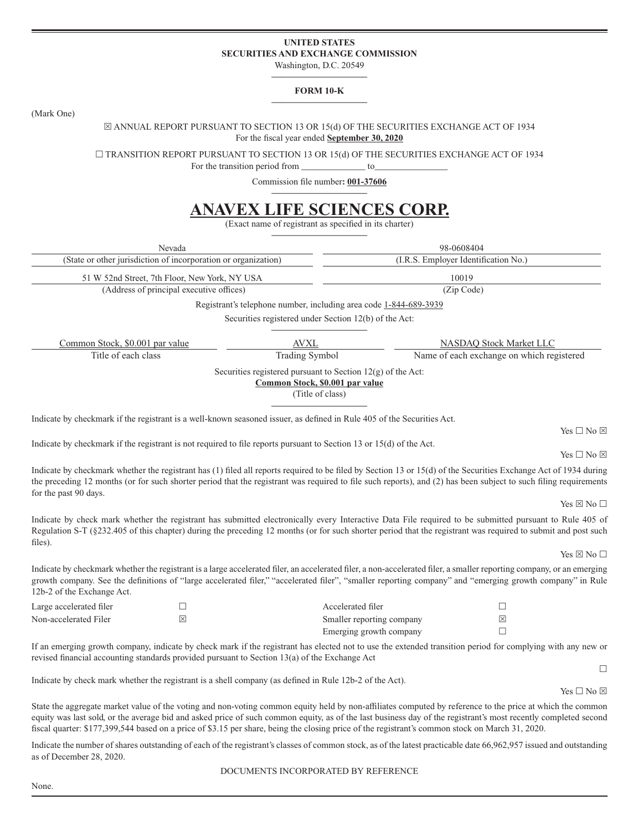## **UNITED STATES SECURITIES AND EXCHANGE COMMISSION**

Washington, D.C. 20549 **–––––––––––––––––––––**

#### **FORM 10-K –––––––––––––––––––––**

(Mark One)

#### $\boxtimes$  ANNUAL REPORT PURSUANT TO SECTION 13 OR 15(d) OF THE SECURITIES EXCHANGE ACT OF 1934 For the fiscal year ended **September 30, 2020**

 $\Box$  TRANSITION REPORT PURSUANT TO SECTION 13 OR 15(d) OF THE SECURITIES EXCHANGE ACT OF 1934

For the transition period from \_\_\_\_\_\_\_\_\_\_\_\_\_\_\_ to

Commission file number: 001-37606 **–––––––––––––––––––––**

# **ANAVEX LIFE SCIENCES CORP.**

(Exact name of registrant as specified in its charter) **–––––––––––––––––––––**

Nevada 98-0608404 (State or other jurisdiction of incorporation or organization) (I.R.S. Employer Identification No.) 51 W 52nd Street, 7th Floor, New York, NY USA 10019 (Address of principal executive offices) (Zip Code) Registrant's telephone number, including area code 1-844-689-3939 Securities registered under Section 12(b) of the Act: **–––––––––––––––––––––** Common Stock, \$0.001 par value AVXL AVXL NASDAQ Stock Market LLC Title of each class Trading Symbol Name of each exchange on which registered Securities registered pursuant to Section 12(g) of the Act: **Common Stock, \$0.001 par value** (Title of class) **–––––––––––––––––––––** Indicate by checkmark if the registrant is a well-known seasoned issuer, as defined in Rule 405 of the Securities Act. Yes  $\Box$  No  $\boxtimes$ Indicate by checkmark if the registrant is not required to file reports pursuant to Section 13 or 15(d) of the Act. Yes  $\Box$  No  $\boxtimes$ Indicate by checkmark whether the registrant has  $(1)$  filed all reports required to be filed by Section 13 or 15(d) of the Securities Exchange Act of 1934 during the preceding 12 months (or for such shorter period that the registrant was required to file such reports), and (2) has been subject to such filing requirements for the past 90 days. Yes  $\boxtimes$  No  $\Box$ Indicate by check mark whether the registrant has submitted electronically every Interactive Data File required to be submitted pursuant to Rule 405 of Regulation S-T (§232.405 of this chapter) during the preceding 12 months (or for such shorter period that the registrant was required to submit and post such files). Yes  $\times$  No  $\Box$ Indicate by checkmark whether the registrant is a large accelerated filer, an accelerated filer, a non-accelerated filer, a smaller reporting company, or an emerging growth company. See the definitions of "large accelerated filer," "accelerated filer", "smaller reporting company" and "emerging growth company" in Rule 12b-2 of the Exchange Act. Large accelerated filer  $\Box$ Non-accelerated Filer  $\boxtimes$   $\boxtimes$ Emerging growth company  $\Box$ If an emerging growth company, indicate by check mark if the registrant has elected not to use the extended transition period for complying with any new or revised financial accounting standards provided pursuant to Section  $13(a)$  of the Exchange Act  $\Box$ Indicate by check mark whether the registrant is a shell company (as defined in Rule 12b-2 of the Act). Yes  $\square$  No  $\boxtimes$ State the aggregate market value of the voting and non-voting common equity held by non-affiliates computed by reference to the price at which the common equity was last sold, or the average bid and asked price of such common equity, as of the last business day of the registrant's most recently completed second fiscal quarter: \$177,399,544 based on a price of \$3.15 per share, being the closing price of the registrant's common stock on March 31, 2020. Indicate the number of shares outstanding of each of the registrant's classes of common stock, as of the latest practicable date 66,962,957 issued and outstanding as of December 28, 2020. DOCUMENTS INCORPORATED BY REFERENCE

None.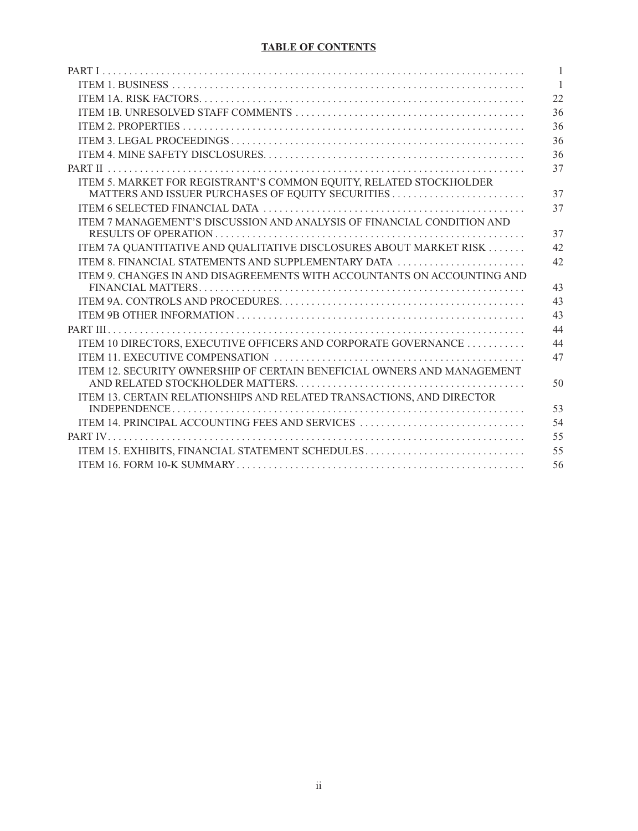# **TABLE OF CONTENTS**

|                                                                                                                                                                                                                                                                                                                                                                                                                                                                                                         | $\mathbf{1}$   |
|---------------------------------------------------------------------------------------------------------------------------------------------------------------------------------------------------------------------------------------------------------------------------------------------------------------------------------------------------------------------------------------------------------------------------------------------------------------------------------------------------------|----------------|
|                                                                                                                                                                                                                                                                                                                                                                                                                                                                                                         | $\overline{1}$ |
|                                                                                                                                                                                                                                                                                                                                                                                                                                                                                                         | 22             |
|                                                                                                                                                                                                                                                                                                                                                                                                                                                                                                         | 36             |
|                                                                                                                                                                                                                                                                                                                                                                                                                                                                                                         | 36             |
|                                                                                                                                                                                                                                                                                                                                                                                                                                                                                                         | 36             |
|                                                                                                                                                                                                                                                                                                                                                                                                                                                                                                         | 36             |
|                                                                                                                                                                                                                                                                                                                                                                                                                                                                                                         | 37             |
| ITEM 5. MARKET FOR REGISTRANT'S COMMON EQUITY, RELATED STOCKHOLDER                                                                                                                                                                                                                                                                                                                                                                                                                                      | 37             |
|                                                                                                                                                                                                                                                                                                                                                                                                                                                                                                         | 37             |
| ITEM 7 MANAGEMENT'S DISCUSSION AND ANALYSIS OF FINANCIAL CONDITION AND                                                                                                                                                                                                                                                                                                                                                                                                                                  | 37             |
| ITEM 7A QUANTITATIVE AND QUALITATIVE DISCLOSURES ABOUT MARKET RISK                                                                                                                                                                                                                                                                                                                                                                                                                                      | 42             |
| ITEM 8. FINANCIAL STATEMENTS AND SUPPLEMENTARY DATA                                                                                                                                                                                                                                                                                                                                                                                                                                                     | 42             |
| ITEM 9. CHANGES IN AND DISAGREEMENTS WITH ACCOUNTANTS ON ACCOUNTING AND                                                                                                                                                                                                                                                                                                                                                                                                                                 | 43             |
|                                                                                                                                                                                                                                                                                                                                                                                                                                                                                                         | 43             |
|                                                                                                                                                                                                                                                                                                                                                                                                                                                                                                         | 43             |
|                                                                                                                                                                                                                                                                                                                                                                                                                                                                                                         | 44             |
| ITEM 10 DIRECTORS, EXECUTIVE OFFICERS AND CORPORATE GOVERNANCE                                                                                                                                                                                                                                                                                                                                                                                                                                          | 44             |
|                                                                                                                                                                                                                                                                                                                                                                                                                                                                                                         | 47             |
| ITEM 12. SECURITY OWNERSHIP OF CERTAIN BENEFICIAL OWNERS AND MANAGEMENT                                                                                                                                                                                                                                                                                                                                                                                                                                 | 50             |
| ITEM 13. CERTAIN RELATIONSHIPS AND RELATED TRANSACTIONS, AND DIRECTOR<br>$INDEPENDENCE 1 Output Output Description Description Description Description Description Description Description Description Description Description Description Description Description Description Description Description Description Description Description Description Description Description Description Description Description Description Description Description Description Description Description Description$ | 53             |
| ITEM 14. PRINCIPAL ACCOUNTING FEES AND SERVICES                                                                                                                                                                                                                                                                                                                                                                                                                                                         | 54             |
|                                                                                                                                                                                                                                                                                                                                                                                                                                                                                                         | 55             |
| ITEM 15. EXHIBITS, FINANCIAL STATEMENT SCHEDULES                                                                                                                                                                                                                                                                                                                                                                                                                                                        | 55             |
|                                                                                                                                                                                                                                                                                                                                                                                                                                                                                                         | 56             |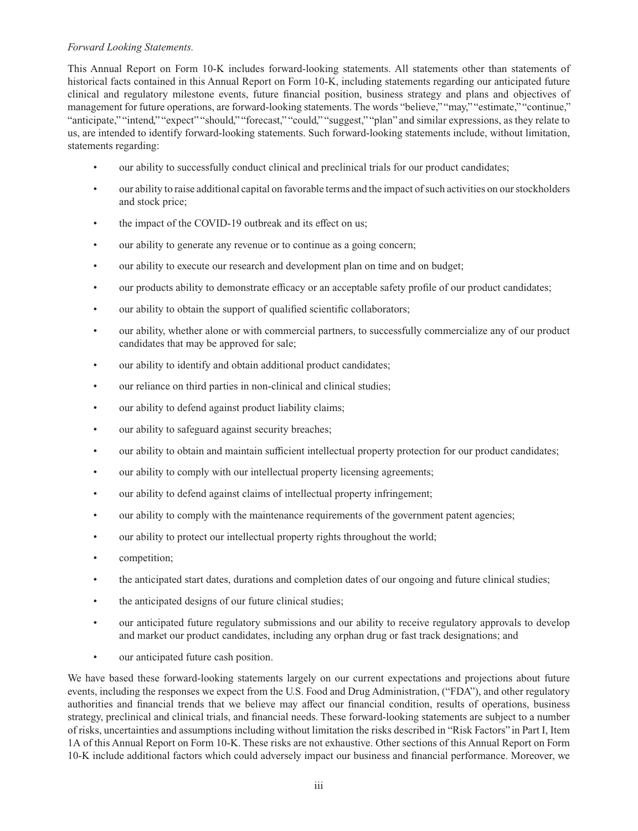## *Forward Looking Statements.*

This Annual Report on Form 10-K includes forward-looking statements. All statements other than statements of historical facts contained in this Annual Report on Form 10-K, including statements regarding our anticipated future clinical and regulatory milestone events, future financial position, business strategy and plans and objectives of management for future operations, are forward-looking statements. The words "believe," "may," "estimate," "continue," "anticipate," "intend," "expect" "should," "forecast," "could," "suggest," "plan" and similar expressions, as they relate to us, are intended to identify forward-looking statements. Such forward-looking statements include, without limitation, statements regarding:

- our ability to successfully conduct clinical and preclinical trials for our product candidates;
- our ability to raise additional capital on favorable terms and the impact of such activities on our stockholders and stock price;
- the impact of the COVID-19 outbreak and its effect on us;
- our ability to generate any revenue or to continue as a going concern;
- our ability to execute our research and development plan on time and on budget;
- our products ability to demonstrate efficacy or an acceptable safety profile of our product candidates;
- our ability to obtain the support of qualified scientific collaborators;
- our ability, whether alone or with commercial partners, to successfully commercialize any of our product candidates that may be approved for sale;
- our ability to identify and obtain additional product candidates;
- our reliance on third parties in non-clinical and clinical studies;
- our ability to defend against product liability claims;
- our ability to safeguard against security breaches;
- our ability to obtain and maintain sufficient intellectual property protection for our product candidates;
- our ability to comply with our intellectual property licensing agreements;
- our ability to defend against claims of intellectual property infringement;
- our ability to comply with the maintenance requirements of the government patent agencies;
- our ability to protect our intellectual property rights throughout the world;
- competition;
- the anticipated start dates, durations and completion dates of our ongoing and future clinical studies;
- the anticipated designs of our future clinical studies;
- our anticipated future regulatory submissions and our ability to receive regulatory approvals to develop and market our product candidates, including any orphan drug or fast track designations; and
- our anticipated future cash position.

We have based these forward-looking statements largely on our current expectations and projections about future events, including the responses we expect from the U.S. Food and Drug Administration, ("FDA"), and other regulatory authorities and financial trends that we believe may affect our financial condition, results of operations, business strategy, preclinical and clinical trials, and financial needs. These forward-looking statements are subject to a number of risks, uncertainties and assumptions including without limitation the risks described in "Risk Factors" in Part I, Item 1A of this Annual Report on Form 10-K. These risks are not exhaustive. Other sections of this Annual Report on Form 10-K include additional factors which could adversely impact our business and financial performance. Moreover, we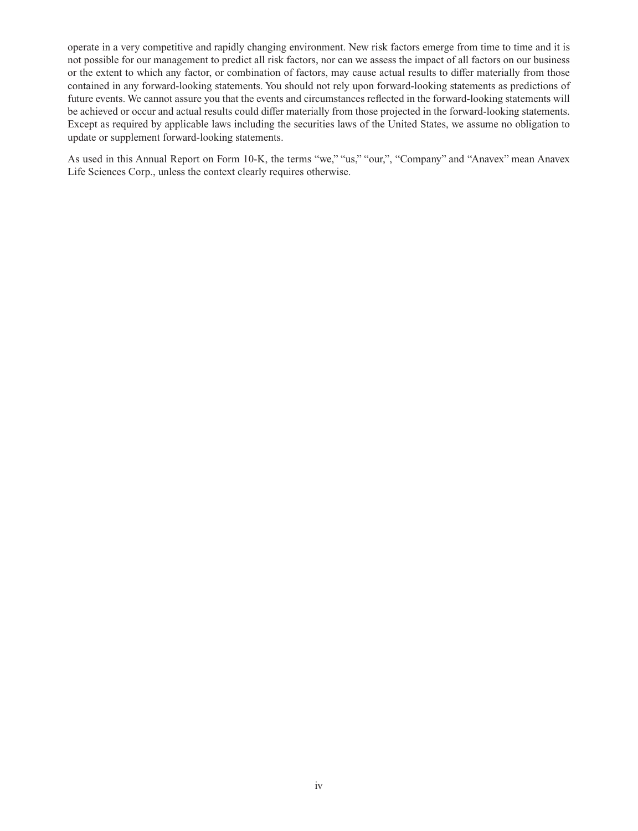operate in a very competitive and rapidly changing environment. New risk factors emerge from time to time and it is not possible for our management to predict all risk factors, nor can we assess the impact of all factors on our business or the extent to which any factor, or combination of factors, may cause actual results to differ materially from those contained in any forward-looking statements. You should not rely upon forward-looking statements as predictions of future events. We cannot assure you that the events and circumstances reflected in the forward-looking statements will be achieved or occur and actual results could differ materially from those projected in the forward-looking statements. Except as required by applicable laws including the securities laws of the United States, we assume no obligation to update or supplement forward-looking statements.

As used in this Annual Report on Form 10-K, the terms "we," "us," "our,", "Company" and "Anavex" mean Anavex Life Sciences Corp., unless the context clearly requires otherwise.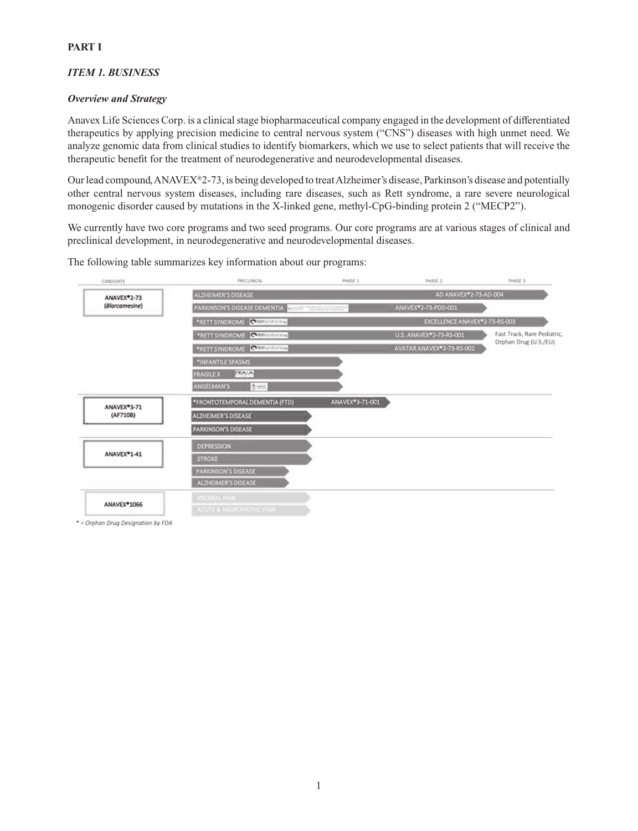# *ITEM 1. BUSINESS*

## *Overview and Strategy*

Anavex Life Sciences Corp. is a clinical stage biopharmaceutical company engaged in the development of differentiated therapeutics by applying precision medicine to central nervous system ("CNS") diseases with high unmet need. We analyze genomic data from clinical studies to identify biomarkers, which we use to select patients that will receive the therapeutic benefit for the treatment of neurodegenerative and neurodevelopmental diseases.

Our lead compound, ANAVEX®2-73, is being developed to treat Alzheimer's disease, Parkinson's disease and potentially other central nervous system diseases, including rare diseases, such as Rett syndrome, a rare severe neurological monogenic disorder caused by mutations in the X-linked gene, methyl-CpG-binding protein 2 ("MECP2").

We currently have two core programs and two seed programs. Our core programs are at various stages of clinical and preclinical development, in neurodegenerative and neurodevelopmental diseases.

The following table summarizes key information about our programs:



\* = Orphan Drug Designation by FDA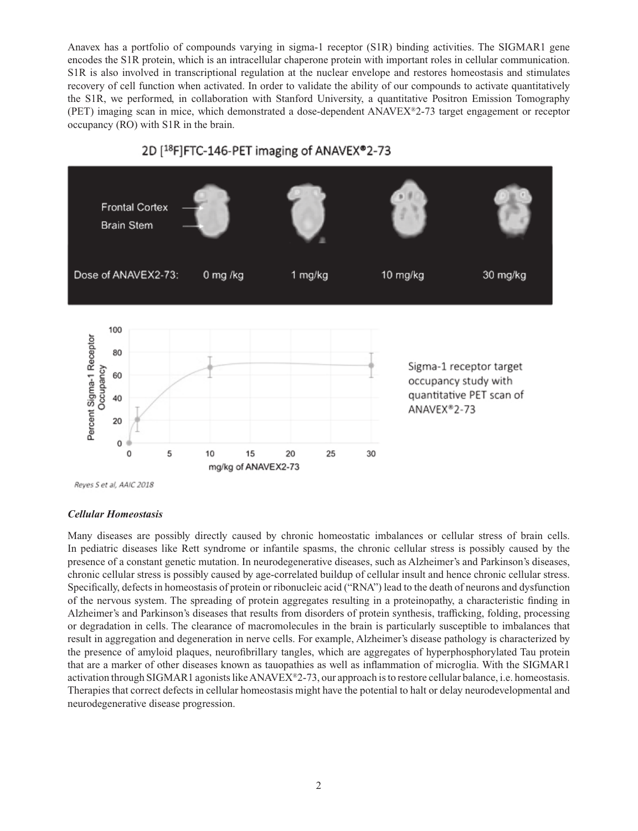Anavex has a portfolio of compounds varying in sigma-1 receptor (S1R) binding activities. The SIGMAR1 gene encodes the S1R protein, which is an intracellular chaperone protein with important roles in cellular communication. S1R is also involved in transcriptional regulation at the nuclear envelope and restores homeostasis and stimulates recovery of cell function when activated. In order to validate the ability of our compounds to activate quantitatively the S1R, we performed, in collaboration with Stanford University, a quantitative Positron Emission Tomography (PET) imaging scan in mice, which demonstrated a dose-dependent ANAVEX®2-73 target engagement or receptor occupancy (RO) with S1R in the brain.



Reyes S et al, AAIC 2018

#### *Cellular Homeostasis*

Many diseases are possibly directly caused by chronic homeostatic imbalances or cellular stress of brain cells. In pediatric diseases like Rett syndrome or infantile spasms, the chronic cellular stress is possibly caused by the presence of a constant genetic mutation. In neurodegenerative diseases, such as Alzheimer's and Parkinson's diseases, chronic cellular stress is possibly caused by age-correlated buildup of cellular insult and hence chronic cellular stress. Specifically, defects in homeostasis of protein or ribonucleic acid ("RNA") lead to the death of neurons and dysfunction of the nervous system. The spreading of protein aggregates resulting in a proteinopathy, a characteristic finding in Alzheimer's and Parkinson's diseases that results from disorders of protein synthesis, trafficking, folding, processing or degradation in cells. The clearance of macromolecules in the brain is particularly susceptible to imbalances that result in aggregation and degeneration in nerve cells. For example, Alzheimer's disease pathology is characterized by the presence of amyloid plaques, neurofibrillary tangles, which are aggregates of hyperphosphorylated Tau protein that are a marker of other diseases known as tauopathies as well as inflammation of microglia. With the SIGMAR1 activation through SIGMAR1 agonists like ANAVEX®2-73, our approach is to restore cellular balance, i.e. homeostasis. Therapies that correct defects in cellular homeostasis might have the potential to halt or delay neurodevelopmental and neurodegenerative disease progression.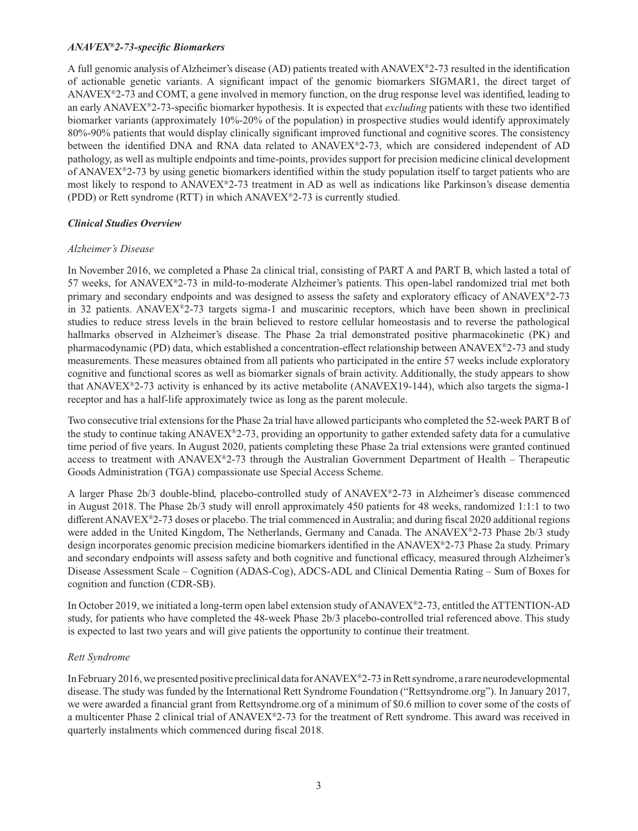#### *ANAVEX®2-73-specifi c Biomarkers*

A full genomic analysis of Alzheimer's disease (AD) patients treated with  $ANAVEX^{\circledast}2-73$  resulted in the identification of actionable genetic variants. A significant impact of the genomic biomarkers SIGMAR1, the direct target of ANAVEX $E^2$ -73 and COMT, a gene involved in memory function, on the drug response level was identified, leading to an early ANAVEX®2-73-specific biomarker hypothesis. It is expected that *excluding* patients with these two identified biomarker variants (approximately 10%-20% of the population) in prospective studies would identify approximately 80%-90% patients that would display clinically significant improved functional and cognitive scores. The consistency between the identified DNA and RNA data related to  $ANAVEX<sup>®</sup>2-73$ , which are considered independent of AD pathology, as well as multiple endpoints and time-points, provides support for precision medicine clinical development of ANAVEX®2-73 by using genetic biomarkers identified within the study population itself to target patients who are most likely to respond to ANAVEX®2-73 treatment in AD as well as indications like Parkinson's disease dementia (PDD) or Rett syndrome (RTT) in which ANAVEX®2-73 is currently studied.

# *Clinical Studies Overview*

## *Alzheimer's Disease*

In November 2016, we completed a Phase 2a clinical trial, consisting of PART A and PART B, which lasted a total of 57 weeks, for ANAVEX®2-73 in mild-to-moderate Alzheimer's patients. This open-label randomized trial met both primary and secondary endpoints and was designed to assess the safety and exploratory efficacy of  $ANAVEX<sup>®2-73</sup>$ in 32 patients. ANAVEX®2-73 targets sigma-1 and muscarinic receptors, which have been shown in preclinical studies to reduce stress levels in the brain believed to restore cellular homeostasis and to reverse the pathological hallmarks observed in Alzheimer's disease. The Phase 2a trial demonstrated positive pharmacokinetic (PK) and pharmacodynamic (PD) data, which established a concentration-effect relationship between ANAVE $X^{\circledast}$ 2-73 and study measurements. These measures obtained from all patients who participated in the entire 57 weeks include exploratory cognitive and functional scores as well as biomarker signals of brain activity. Additionally, the study appears to show that ANAVEX®2-73 activity is enhanced by its active metabolite (ANAVEX19-144), which also targets the sigma-1 receptor and has a half-life approximately twice as long as the parent molecule.

Two consecutive trial extensions for the Phase 2a trial have allowed participants who completed the 52-week PART B of the study to continue taking  $ANAVEX<sup>®2-73</sup>$ , providing an opportunity to gather extended safety data for a cumulative time period of five years. In August 2020, patients completing these Phase 2a trial extensions were granted continued access to treatment with ANAVEX®2-73 through the Australian Government Department of Health – Therapeutic Goods Administration (TGA) compassionate use Special Access Scheme.

A larger Phase 2b/3 double-blind, placebo-controlled study of ANAVEX®2-73 in Alzheimer's disease commenced in August 2018. The Phase 2b/3 study will enroll approximately 450 patients for 48 weeks, randomized 1:1:1 to two different ANAVEX<sup>®</sup>2-73 doses or placebo. The trial commenced in Australia; and during fiscal 2020 additional regions were added in the United Kingdom, The Netherlands, Germany and Canada. The ANAVEX®2-73 Phase 2b/3 study design incorporates genomic precision medicine biomarkers identified in the ANAVEX®2-73 Phase 2a study. Primary and secondary endpoints will assess safety and both cognitive and functional efficacy, measured through Alzheimer's Disease Assessment Scale – Cognition (ADAS-Cog), ADCS-ADL and Clinical Dementia Rating – Sum of Boxes for cognition and function (CDR-SB).

In October 2019, we initiated a long-term open label extension study of ANAVEX®2-73, entitled the ATTENTION-AD study, for patients who have completed the 48-week Phase 2b/3 placebo-controlled trial referenced above. This study is expected to last two years and will give patients the opportunity to continue their treatment.

#### *Rett Syndrome*

In February 2016, we presented positive preclinical data for ANAVEX®2-73 in Rett syndrome, a rare neurodevelopmental disease. The study was funded by the International Rett Syndrome Foundation ("Rettsyndrome.org"). In January 2017, we were awarded a financial grant from Rettsyndrome.org of a minimum of \$0.6 million to cover some of the costs of a multicenter Phase 2 clinical trial of ANAVEX®2-73 for the treatment of Rett syndrome. This award was received in quarterly instalments which commenced during fiscal 2018.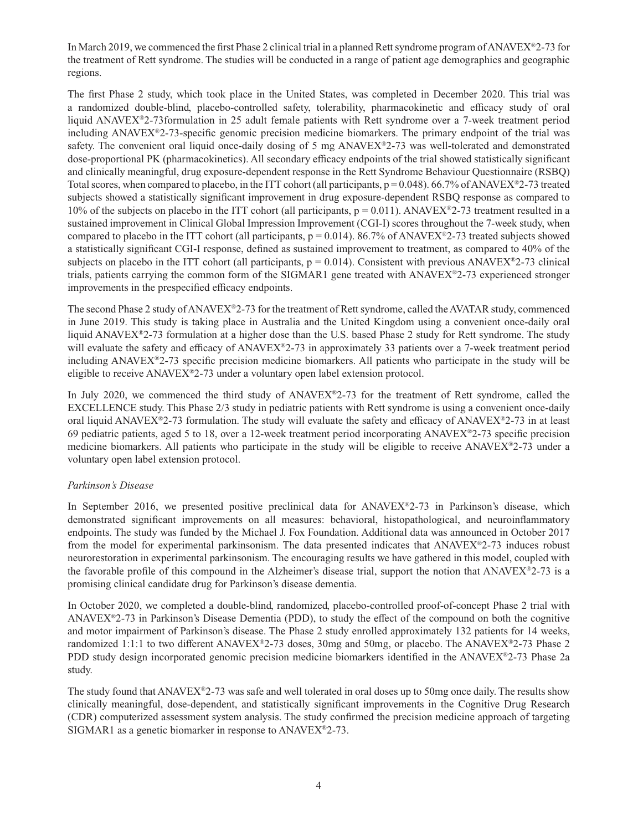In March 2019, we commenced the first Phase 2 clinical trial in a planned Rett syndrome program of ANAVEX $\degree$ 2-73 for the treatment of Rett syndrome. The studies will be conducted in a range of patient age demographics and geographic regions.

The first Phase 2 study, which took place in the United States, was completed in December 2020. This trial was a randomized double-blind, placebo-controlled safety, tolerability, pharmacokinetic and efficacy study of oral liquid ANAVEX®2-73formulation in 25 adult female patients with Rett syndrome over a 7-week treatment period including ANAVEX®2-73-specific genomic precision medicine biomarkers. The primary endpoint of the trial was safety. The convenient oral liquid once-daily dosing of 5 mg ANAVEX<sup>®</sup>2-73 was well-tolerated and demonstrated dose-proportional PK (pharmacokinetics). All secondary efficacy endpoints of the trial showed statistically significant and clinically meaningful, drug exposure-dependent response in the Rett Syndrome Behaviour Questionnaire (RSBQ) Total scores, when compared to placebo, in the ITT cohort (all participants,  $p = 0.048$ ). 66.7% of ANAVEX<sup>®</sup>2-73 treated subjects showed a statistically significant improvement in drug exposure-dependent RSBQ response as compared to 10% of the subjects on placebo in the ITT cohort (all participants,  $p = 0.011$ ). ANAVEX<sup>®</sup>2-73 treatment resulted in a sustained improvement in Clinical Global Impression Improvement (CGI-I) scores throughout the 7-week study, when compared to placebo in the ITT cohort (all participants,  $p = 0.014$ ). 86.7% of ANAVEX<sup>®</sup>2-73 treated subjects showed a statistically significant CGI-I response, defined as sustained improvement to treatment, as compared to 40% of the subjects on placebo in the ITT cohort (all participants,  $p = 0.014$ ). Consistent with previous ANAVEX<sup>®</sup>2-73 clinical trials, patients carrying the common form of the SIGMAR1 gene treated with ANAVEX®2-73 experienced stronger improvements in the prespecified efficacy endpoints.

The second Phase 2 study of ANAVEX®2-73 for the treatment of Rett syndrome, called the AVATAR study, commenced in June 2019. This study is taking place in Australia and the United Kingdom using a convenient once-daily oral liquid ANAVEX®2-73 formulation at a higher dose than the U.S. based Phase 2 study for Rett syndrome. The study will evaluate the safety and efficacy of ANAVEX®2-73 in approximately 33 patients over a 7-week treatment period including  $ANAVEX<sup>®</sup>2-73$  specific precision medicine biomarkers. All patients who participate in the study will be eligible to receive  $ANAVEX^{\otimes}2-73$  under a voluntary open label extension protocol.

In July 2020, we commenced the third study of ANAVEX®2-73 for the treatment of Rett syndrome, called the EXCELLENCE study. This Phase 2/3 study in pediatric patients with Rett syndrome is using a convenient once-daily oral liquid ANAVEX<sup>®</sup>2-73 formulation. The study will evaluate the safety and efficacy of ANAVEX<sup>®</sup>2-73 in at least 69 pediatric patients, aged 5 to 18, over a 12-week treatment period incorporating  $ANAVEX^{\otimes}2-73$  specific precision medicine biomarkers. All patients who participate in the study will be eligible to receive ANAVEX®2-73 under a voluntary open label extension protocol.

# *Parkinson's Disease*

In September 2016, we presented positive preclinical data for ANAVEX®2-73 in Parkinson's disease, which demonstrated significant improvements on all measures: behavioral, histopathological, and neuroinflammatory endpoints. The study was funded by the Michael J. Fox Foundation. Additional data was announced in October 2017 from the model for experimental parkinsonism. The data presented indicates that ANAVEX®2-73 induces robust neurorestoration in experimental parkinsonism. The encouraging results we have gathered in this model, coupled with the favorable profile of this compound in the Alzheimer's disease trial, support the notion that ANAVEX<sup>®</sup>2-73 is a promising clinical candidate drug for Parkinson's disease dementia.

In October 2020, we completed a double-blind, randomized, placebo-controlled proof-of-concept Phase 2 trial with ANAVEX $\Sigma$ -73 in Parkinson's Disease Dementia (PDD), to study the effect of the compound on both the cognitive and motor impairment of Parkinson's disease. The Phase 2 study enrolled approximately 132 patients for 14 weeks, randomized 1:1:1 to two different ANAVEX®2-73 doses, 30mg and 50mg, or placebo. The ANAVEX®2-73 Phase 2 PDD study design incorporated genomic precision medicine biomarkers identified in the ANAVEX®2-73 Phase 2a study.

The study found that ANAVEX<sup>®</sup>2-73 was safe and well tolerated in oral doses up to 50mg once daily. The results show clinically meaningful, dose-dependent, and statistically significant improvements in the Cognitive Drug Research (CDR) computerized assessment system analysis. The study confirmed the precision medicine approach of targeting SIGMAR1 as a genetic biomarker in response to ANAVEX®2-73.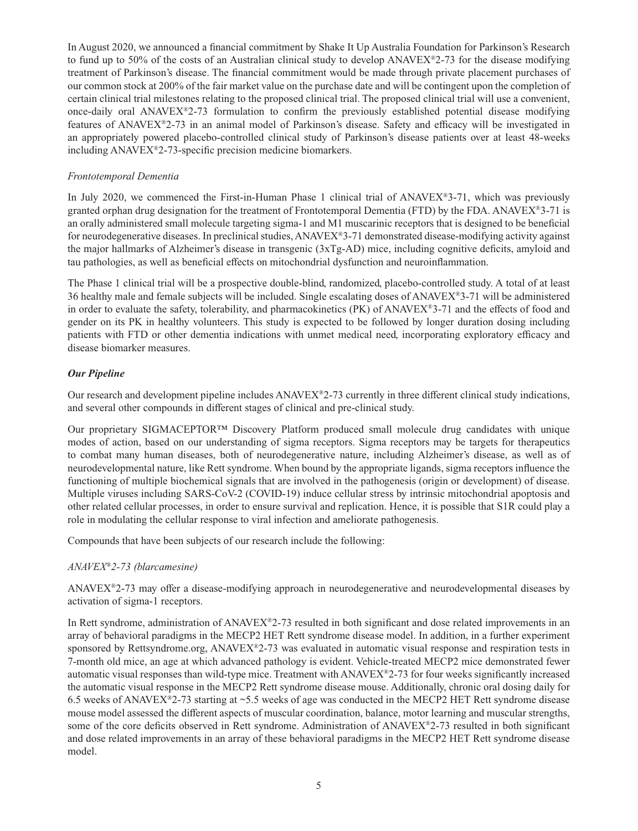In August 2020, we announced a financial commitment by Shake It Up Australia Foundation for Parkinson's Research to fund up to 50% of the costs of an Australian clinical study to develop  $ANAVEX^*2-73$  for the disease modifying treatment of Parkinson's disease. The financial commitment would be made through private placement purchases of our common stock at 200% of the fair market value on the purchase date and will be contingent upon the completion of certain clinical trial milestones relating to the proposed clinical trial. The proposed clinical trial will use a convenient, once-daily oral ANAVEX®2-73 formulation to confirm the previously established potential disease modifying features of ANAVEX<sup>®</sup>2-73 in an animal model of Parkinson's disease. Safety and efficacy will be investigated in an appropriately powered placebo-controlled clinical study of Parkinson's disease patients over at least 48-weeks including  $ANAVEX<sup>®</sup>2-73$ -specific precision medicine biomarkers.

#### *Frontotemporal Dementia*

In July 2020, we commenced the First-in-Human Phase 1 clinical trial of ANAVEX®3-71, which was previously granted orphan drug designation for the treatment of Frontotemporal Dementia (FTD) by the FDA. ANAVEX<sup>®</sup>3-71 is an orally administered small molecule targeting sigma-1 and M1 muscarinic receptors that is designed to be beneficial for neurodegenerative diseases. In preclinical studies, ANAVEX®3-71 demonstrated disease-modifying activity against the major hallmarks of Alzheimer's disease in transgenic  $(3xTg-AD)$  mice, including cognitive deficits, amyloid and tau pathologies, as well as beneficial effects on mitochondrial dysfunction and neuroinflammation.

The Phase 1 clinical trial will be a prospective double-blind, randomized, placebo-controlled study. A total of at least 36 healthy male and female subjects will be included. Single escalating doses of ANAVEX®3-71 will be administered in order to evaluate the safety, tolerability, and pharmacokinetics (PK) of ANAVEX®3-71 and the effects of food and gender on its PK in healthy volunteers. This study is expected to be followed by longer duration dosing including patients with FTD or other dementia indications with unmet medical need, incorporating exploratory efficacy and disease biomarker measures.

# *Our Pipeline*

Our research and development pipeline includes ANAVEX®2-73 currently in three different clinical study indications, and several other compounds in different stages of clinical and pre-clinical study.

Our proprietary SIGMACEPTOR™ Discovery Platform produced small molecule drug candidates with unique modes of action, based on our understanding of sigma receptors. Sigma receptors may be targets for therapeutics to combat many human diseases, both of neurodegenerative nature, including Alzheimer's disease, as well as of neurodevelopmental nature, like Rett syndrome. When bound by the appropriate ligands, sigma receptors influence the functioning of multiple biochemical signals that are involved in the pathogenesis (origin or development) of disease. Multiple viruses including SARS-CoV-2 (COVID-19) induce cellular stress by intrinsic mitochondrial apoptosis and other related cellular processes, in order to ensure survival and replication. Hence, it is possible that S1R could play a role in modulating the cellular response to viral infection and ameliorate pathogenesis.

Compounds that have been subjects of our research include the following:

# *ANAVEX®2-73 (blarcamesine)*

ANAVEX<sup>®</sup>2-73 may offer a disease-modifying approach in neurodegenerative and neurodevelopmental diseases by activation of sigma-1 receptors.

In Rett syndrome, administration of ANAVEX®2-73 resulted in both significant and dose related improvements in an array of behavioral paradigms in the MECP2 HET Rett syndrome disease model. In addition, in a further experiment sponsored by Rettsyndrome.org, ANAVEX®2-73 was evaluated in automatic visual response and respiration tests in 7-month old mice, an age at which advanced pathology is evident. Vehicle-treated MECP2 mice demonstrated fewer automatic visual responses than wild-type mice. Treatment with ANAVEX<sup>®</sup>2-73 for four weeks significantly increased the automatic visual response in the MECP2 Rett syndrome disease mouse. Additionally, chronic oral dosing daily for 6.5 weeks of ANAVEX®2-73 starting at ~5.5 weeks of age was conducted in the MECP2 HET Rett syndrome disease mouse model assessed the different aspects of muscular coordination, balance, motor learning and muscular strengths, some of the core deficits observed in Rett syndrome. Administration of ANAVEX®2-73 resulted in both significant and dose related improvements in an array of these behavioral paradigms in the MECP2 HET Rett syndrome disease model.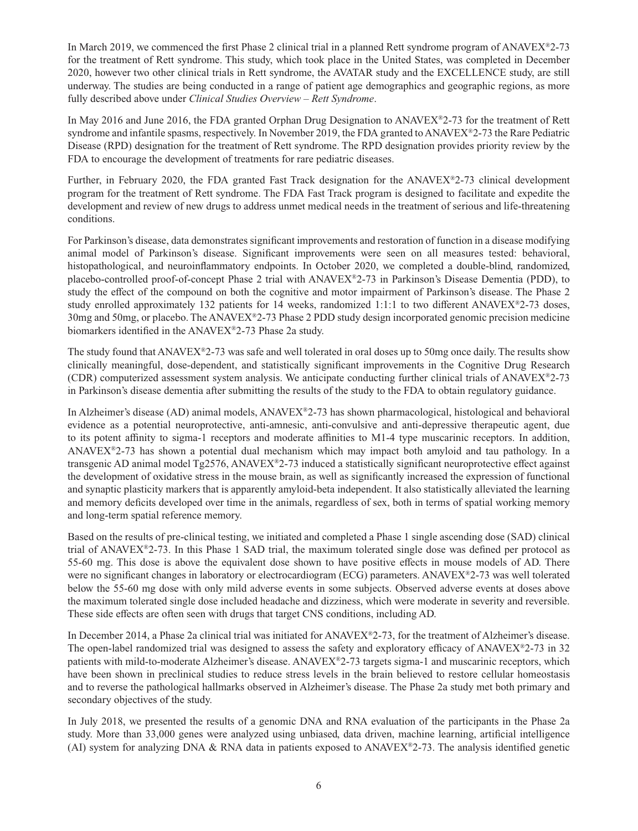In March 2019, we commenced the first Phase 2 clinical trial in a planned Rett syndrome program of  $ANAVEX^{\otimes}2-73$ for the treatment of Rett syndrome. This study, which took place in the United States, was completed in December 2020, however two other clinical trials in Rett syndrome, the AVATAR study and the EXCELLENCE study, are still underway. The studies are being conducted in a range of patient age demographics and geographic regions, as more fully described above under *Clinical Studies Overview – Rett Syndrome*.

In May 2016 and June 2016, the FDA granted Orphan Drug Designation to ANAVEX®2-73 for the treatment of Rett syndrome and infantile spasms, respectively. In November 2019, the FDA granted to ANAVEX®2-73 the Rare Pediatric Disease (RPD) designation for the treatment of Rett syndrome. The RPD designation provides priority review by the FDA to encourage the development of treatments for rare pediatric diseases.

Further, in February 2020, the FDA granted Fast Track designation for the ANAVEX®2-73 clinical development program for the treatment of Rett syndrome. The FDA Fast Track program is designed to facilitate and expedite the development and review of new drugs to address unmet medical needs in the treatment of serious and life-threatening conditions.

For Parkinson's disease, data demonstrates significant improvements and restoration of function in a disease modifying animal model of Parkinson's disease. Significant improvements were seen on all measures tested: behavioral, histopathological, and neuroinflammatory endpoints. In October 2020, we completed a double-blind, randomized, placebo-controlled proof-of-concept Phase 2 trial with ANAVEX®2-73 in Parkinson's Disease Dementia (PDD), to study the effect of the compound on both the cognitive and motor impairment of Parkinson's disease. The Phase 2 study enrolled approximately 132 patients for 14 weeks, randomized 1:1:1 to two different ANAVEX®2-73 doses, 30mg and 50mg, or placebo. The ANAVEX®2-73 Phase 2 PDD study design incorporated genomic precision medicine biomarkers identified in the ANAVEX®2-73 Phase 2a study.

The study found that ANAVEX<sup>®</sup>2-73 was safe and well tolerated in oral doses up to 50mg once daily. The results show clinically meaningful, dose-dependent, and statistically significant improvements in the Cognitive Drug Research (CDR) computerized assessment system analysis. We anticipate conducting further clinical trials of  $ANAVEX^{\otimes}2-73$ in Parkinson's disease dementia after submitting the results of the study to the FDA to obtain regulatory guidance.

In Alzheimer's disease (AD) animal models, ANAVEX®2-73 has shown pharmacological, histological and behavioral evidence as a potential neuroprotective, anti-amnesic, anti-convulsive and anti-depressive therapeutic agent, due to its potent affinity to sigma-1 receptors and moderate affinities to M1-4 type muscarinic receptors. In addition, ANAVEX®2-73 has shown a potential dual mechanism which may impact both amyloid and tau pathology. In a transgenic AD animal model Tg2576, ANAVEX®2-73 induced a statistically significant neuroprotective effect against the development of oxidative stress in the mouse brain, as well as significantly increased the expression of functional and synaptic plasticity markers that is apparently amyloid-beta independent. It also statistically alleviated the learning and memory deficits developed over time in the animals, regardless of sex, both in terms of spatial working memory and long-term spatial reference memory.

Based on the results of pre-clinical testing, we initiated and completed a Phase 1 single ascending dose (SAD) clinical trial of  $ANAVEX<sup>®</sup>2-73$ . In this Phase 1 SAD trial, the maximum tolerated single dose was defined per protocol as 55-60 mg. This dose is above the equivalent dose shown to have positive effects in mouse models of AD. There were no significant changes in laboratory or electrocardiogram (ECG) parameters. ANAVEX®2-73 was well tolerated below the 55-60 mg dose with only mild adverse events in some subjects. Observed adverse events at doses above the maximum tolerated single dose included headache and dizziness, which were moderate in severity and reversible. These side effects are often seen with drugs that target CNS conditions, including AD.

In December 2014, a Phase 2a clinical trial was initiated for ANAVEX®2-73, for the treatment of Alzheimer's disease. The open-label randomized trial was designed to assess the safety and exploratory efficacy of  $ANAVEX<sup>®2-73</sup>$  in 32 patients with mild-to-moderate Alzheimer's disease. ANAVEX®2-73 targets sigma-1 and muscarinic receptors, which have been shown in preclinical studies to reduce stress levels in the brain believed to restore cellular homeostasis and to reverse the pathological hallmarks observed in Alzheimer's disease. The Phase 2a study met both primary and secondary objectives of the study.

In July 2018, we presented the results of a genomic DNA and RNA evaluation of the participants in the Phase 2a study. More than 33,000 genes were analyzed using unbiased, data driven, machine learning, artificial intelligence (AI) system for analyzing DNA & RNA data in patients exposed to ANAVEX<sup>®</sup>2-73. The analysis identified genetic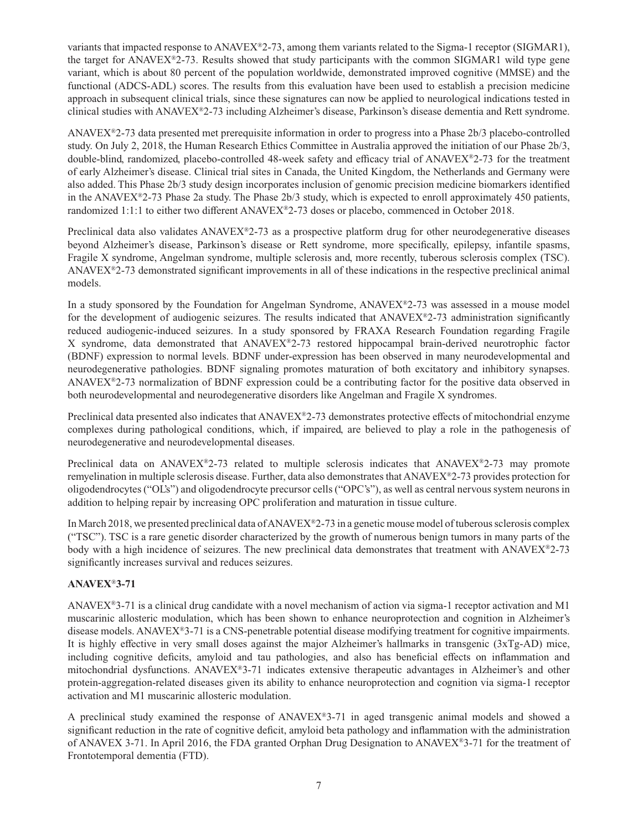variants that impacted response to ANAVEX®2-73, among them variants related to the Sigma-1 receptor (SIGMAR1), the target for ANAVEX®2-73. Results showed that study participants with the common SIGMAR1 wild type gene variant, which is about 80 percent of the population worldwide, demonstrated improved cognitive (MMSE) and the functional (ADCS-ADL) scores. The results from this evaluation have been used to establish a precision medicine approach in subsequent clinical trials, since these signatures can now be applied to neurological indications tested in clinical studies with ANAVEX®2-73 including Alzheimer's disease, Parkinson's disease dementia and Rett syndrome.

ANAVEX®2-73 data presented met prerequisite information in order to progress into a Phase 2b/3 placebo-controlled study. On July 2, 2018, the Human Research Ethics Committee in Australia approved the initiation of our Phase 2b/3, double-blind, randomized, placebo-controlled 48-week safety and efficacy trial of ANAVEX®2-73 for the treatment of early Alzheimer's disease. Clinical trial sites in Canada, the United Kingdom, the Netherlands and Germany were also added. This Phase 2b/3 study design incorporates inclusion of genomic precision medicine biomarkers identified in the ANAVEX®2-73 Phase 2a study. The Phase 2b/3 study, which is expected to enroll approximately 450 patients, randomized 1:1:1 to either two different ANAVEX®2-73 doses or placebo, commenced in October 2018.

Preclinical data also validates  $A N A V E X^* 2$ -73 as a prospective platform drug for other neurodegenerative diseases beyond Alzheimer's disease, Parkinson's disease or Rett syndrome, more specifically, epilepsy, infantile spasms, Fragile X syndrome, Angelman syndrome, multiple sclerosis and, more recently, tuberous sclerosis complex (TSC). ANAVE $X^{\circledast}$ 2-73 demonstrated significant improvements in all of these indications in the respective preclinical animal models.

In a study sponsored by the Foundation for Angelman Syndrome, ANAVEX®2-73 was assessed in a mouse model for the development of audiogenic seizures. The results indicated that  $ANAVEX^@2-73$  administration significantly reduced audiogenic-induced seizures. In a study sponsored by FRAXA Research Foundation regarding Fragile X syndrome, data demonstrated that ANAVEX®2-73 restored hippocampal brain-derived neurotrophic factor (BDNF) expression to normal levels. BDNF under-expression has been observed in many neurodevelopmental and neurodegenerative pathologies. BDNF signaling promotes maturation of both excitatory and inhibitory synapses. ANAVEX®2-73 normalization of BDNF expression could be a contributing factor for the positive data observed in both neurodevelopmental and neurodegenerative disorders like Angelman and Fragile X syndromes.

Preclinical data presented also indicates that ANAVEX®2-73 demonstrates protective effects of mitochondrial enzyme complexes during pathological conditions, which, if impaired, are believed to play a role in the pathogenesis of neurodegenerative and neurodevelopmental diseases.

Preclinical data on ANAVEX<sup>®</sup>2-73 related to multiple sclerosis indicates that ANAVEX<sup>®</sup>2-73 may promote remyelination in multiple sclerosis disease. Further, data also demonstrates that ANAVEX®2-73 provides protection for oligodendrocytes ("OL's") and oligodendrocyte precursor cells ("OPC's"), as well as central nervous system neurons in addition to helping repair by increasing OPC proliferation and maturation in tissue culture.

In March 2018, we presented preclinical data of ANAVEX®2-73 in a genetic mouse model of tuberous sclerosis complex ("TSC"). TSC is a rare genetic disorder characterized by the growth of numerous benign tumors in many parts of the body with a high incidence of seizures. The new preclinical data demonstrates that treatment with ANAVEX®2-73 significantly increases survival and reduces seizures.

# **ANAVEX**®**3-71**

ANAVEX®3-71 is a clinical drug candidate with a novel mechanism of action via sigma-1 receptor activation and M1 muscarinic allosteric modulation, which has been shown to enhance neuroprotection and cognition in Alzheimer's disease models. ANAVEX®3-71 is a CNS-penetrable potential disease modifying treatment for cognitive impairments. It is highly effective in very small doses against the major Alzheimer's hallmarks in transgenic  $(3xTg-AD)$  mice, including cognitive deficits, amyloid and tau pathologies, and also has beneficial effects on inflammation and mitochondrial dysfunctions. ANAVEX®3-71 indicates extensive therapeutic advantages in Alzheimer's and other protein-aggregation-related diseases given its ability to enhance neuroprotection and cognition via sigma-1 receptor activation and M1 muscarinic allosteric modulation.

A preclinical study examined the response of ANAVEX®3-71 in aged transgenic animal models and showed a significant reduction in the rate of cognitive deficit, amyloid beta pathology and inflammation with the administration of ANAVEX 3-71. In April 2016, the FDA granted Orphan Drug Designation to ANAVEX®3-71 for the treatment of Frontotemporal dementia (FTD).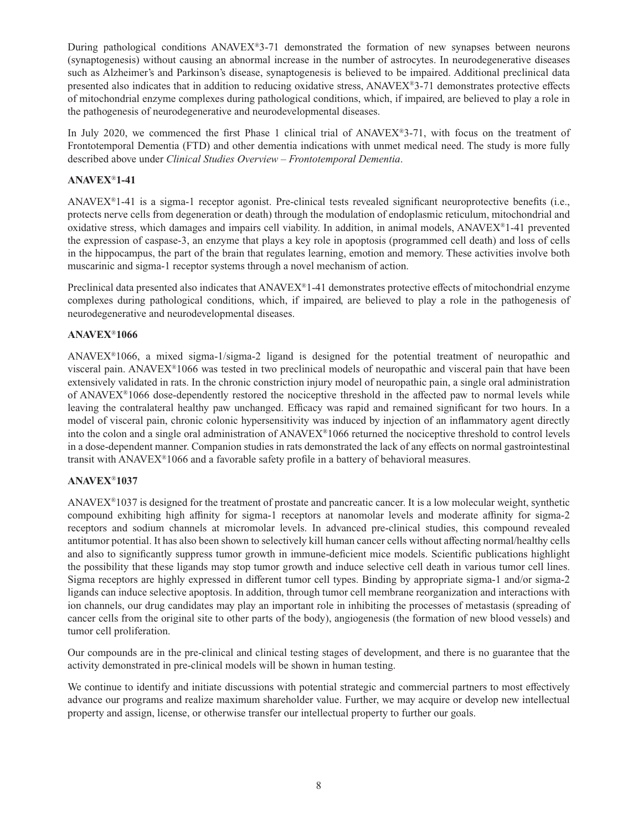During pathological conditions  $ANAVEX^{\otimes}3-71$  demonstrated the formation of new synapses between neurons (synaptogenesis) without causing an abnormal increase in the number of astrocytes. In neurodegenerative diseases such as Alzheimer's and Parkinson's disease, synaptogenesis is believed to be impaired. Additional preclinical data presented also indicates that in addition to reducing oxidative stress, ANAVEX®3-71 demonstrates protective effects of mitochondrial enzyme complexes during pathological conditions, which, if impaired, are believed to play a role in the pathogenesis of neurodegenerative and neurodevelopmental diseases.

In July 2020, we commenced the first Phase 1 clinical trial of  $ANAVEX^*3-71$ , with focus on the treatment of Frontotemporal Dementia (FTD) and other dementia indications with unmet medical need. The study is more fully described above under *Clinical Studies Overview – Frontotemporal Dementia*.

# **ANAVEX**®**1-41**

ANAVEX $\mathbb{R}$ 1-41 is a sigma-1 receptor agonist. Pre-clinical tests revealed significant neuroprotective benefits (i.e., protects nerve cells from degeneration or death) through the modulation of endoplasmic reticulum, mitochondrial and oxidative stress, which damages and impairs cell viability. In addition, in animal models,  $ANAVEX^{\circledast}1-41$  prevented the expression of caspase-3, an enzyme that plays a key role in apoptosis (programmed cell death) and loss of cells in the hippocampus, the part of the brain that regulates learning, emotion and memory. These activities involve both muscarinic and sigma-1 receptor systems through a novel mechanism of action.

Preclinical data presented also indicates that  $ANAVEX<sup>®</sup>1-41$  demonstrates protective effects of mitochondrial enzyme complexes during pathological conditions, which, if impaired, are believed to play a role in the pathogenesis of neurodegenerative and neurodevelopmental diseases.

#### **ANAVEX**®**1066**

ANAVEX®1066, a mixed sigma-1/sigma-2 ligand is designed for the potential treatment of neuropathic and visceral pain. ANAVEX®1066 was tested in two preclinical models of neuropathic and visceral pain that have been extensively validated in rats. In the chronic constriction injury model of neuropathic pain, a single oral administration of ANAVEX<sup>®</sup>1066 dose-dependently restored the nociceptive threshold in the affected paw to normal levels while leaving the contralateral healthy paw unchanged. Efficacy was rapid and remained significant for two hours. In a model of visceral pain, chronic colonic hypersensitivity was induced by injection of an inflammatory agent directly into the colon and a single oral administration of ANAVEX®1066 returned the nociceptive threshold to control levels in a dose-dependent manner. Companion studies in rats demonstrated the lack of any effects on normal gastrointestinal transit with  $ANAVEX^{\otimes}1066$  and a favorable safety profile in a battery of behavioral measures.

# **ANAVEX**®**1037**

ANAVEX®1037 is designed for the treatment of prostate and pancreatic cancer. It is a low molecular weight, synthetic compound exhibiting high affinity for sigma-1 receptors at nanomolar levels and moderate affinity for sigma-2 receptors and sodium channels at micromolar levels. In advanced pre-clinical studies, this compound revealed antitumor potential. It has also been shown to selectively kill human cancer cells without affecting normal/healthy cells and also to significantly suppress tumor growth in immune-deficient mice models. Scientific publications highlight the possibility that these ligands may stop tumor growth and induce selective cell death in various tumor cell lines. Sigma receptors are highly expressed in different tumor cell types. Binding by appropriate sigma-1 and/or sigma-2 ligands can induce selective apoptosis. In addition, through tumor cell membrane reorganization and interactions with ion channels, our drug candidates may play an important role in inhibiting the processes of metastasis (spreading of cancer cells from the original site to other parts of the body), angiogenesis (the formation of new blood vessels) and tumor cell proliferation.

Our compounds are in the pre-clinical and clinical testing stages of development, and there is no guarantee that the activity demonstrated in pre-clinical models will be shown in human testing.

We continue to identify and initiate discussions with potential strategic and commercial partners to most effectively advance our programs and realize maximum shareholder value. Further, we may acquire or develop new intellectual property and assign, license, or otherwise transfer our intellectual property to further our goals.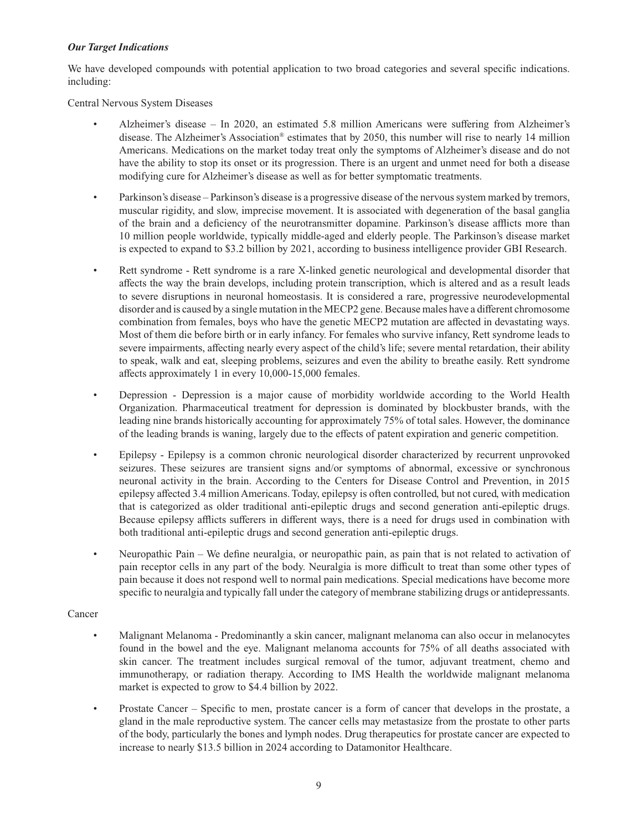## *Our Target Indications*

We have developed compounds with potential application to two broad categories and several specific indications. including:

Central Nervous System Diseases

- Alzheimer's disease In 2020, an estimated 5.8 million Americans were suffering from Alzheimer's disease. The Alzheimer's Association® estimates that by 2050, this number will rise to nearly 14 million Americans. Medications on the market today treat only the symptoms of Alzheimer's disease and do not have the ability to stop its onset or its progression. There is an urgent and unmet need for both a disease modifying cure for Alzheimer's disease as well as for better symptomatic treatments.
- Parkinson's disease Parkinson's disease is a progressive disease of the nervous system marked by tremors, muscular rigidity, and slow, imprecise movement. It is associated with degeneration of the basal ganglia of the brain and a deficiency of the neurotransmitter dopamine. Parkinson's disease afflicts more than 10 million people worldwide, typically middle-aged and elderly people. The Parkinson's disease market is expected to expand to \$3.2 billion by 2021, according to business intelligence provider GBI Research.
- Rett syndrome Rett syndrome is a rare X-linked genetic neurological and developmental disorder that affects the way the brain develops, including protein transcription, which is altered and as a result leads to severe disruptions in neuronal homeostasis. It is considered a rare, progressive neurodevelopmental disorder and is caused by a single mutation in the MECP2 gene. Because males have a different chromosome combination from females, boys who have the genetic MECP2 mutation are affected in devastating ways. Most of them die before birth or in early infancy. For females who survive infancy, Rett syndrome leads to severe impairments, affecting nearly every aspect of the child's life; severe mental retardation, their ability to speak, walk and eat, sleeping problems, seizures and even the ability to breathe easily. Rett syndrome affects approximately 1 in every 10,000-15,000 females.
- Depression Depression is a major cause of morbidity worldwide according to the World Health Organization. Pharmaceutical treatment for depression is dominated by blockbuster brands, with the leading nine brands historically accounting for approximately 75% of total sales. However, the dominance of the leading brands is waning, largely due to the effects of patent expiration and generic competition.
- Epilepsy Epilepsy is a common chronic neurological disorder characterized by recurrent unprovoked seizures. These seizures are transient signs and/or symptoms of abnormal, excessive or synchronous neuronal activity in the brain. According to the Centers for Disease Control and Prevention, in 2015 epilepsy aff ected 3.4 million Americans. Today, epilepsy is often controlled, but not cured, with medication that is categorized as older traditional anti-epileptic drugs and second generation anti-epileptic drugs. Because epilepsy afflicts sufferers in different ways, there is a need for drugs used in combination with both traditional anti-epileptic drugs and second generation anti-epileptic drugs.
- Neuropathic Pain We define neuralgia, or neuropathic pain, as pain that is not related to activation of pain receptor cells in any part of the body. Neuralgia is more difficult to treat than some other types of pain because it does not respond well to normal pain medications. Special medications have become more specific to neuralgia and typically fall under the category of membrane stabilizing drugs or antidepressants.

# Cancer

- Malignant Melanoma Predominantly a skin cancer, malignant melanoma can also occur in melanocytes found in the bowel and the eye. Malignant melanoma accounts for 75% of all deaths associated with skin cancer. The treatment includes surgical removal of the tumor, adjuvant treatment, chemo and immunotherapy, or radiation therapy. According to IMS Health the worldwide malignant melanoma market is expected to grow to \$4.4 billion by 2022.
- Prostate Cancer Specific to men, prostate cancer is a form of cancer that develops in the prostate, a gland in the male reproductive system. The cancer cells may metastasize from the prostate to other parts of the body, particularly the bones and lymph nodes. Drug therapeutics for prostate cancer are expected to increase to nearly \$13.5 billion in 2024 according to Datamonitor Healthcare.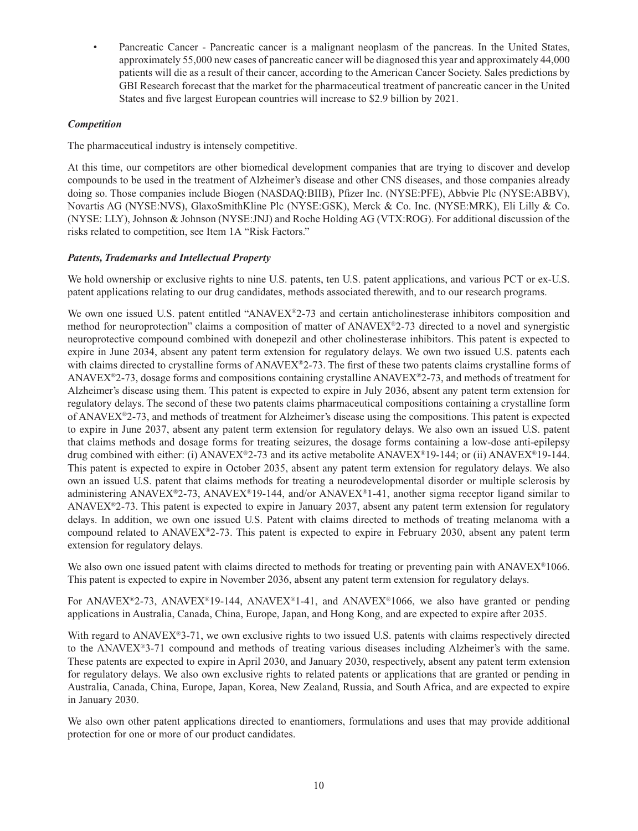Pancreatic Cancer - Pancreatic cancer is a malignant neoplasm of the pancreas. In the United States, approximately 55,000 new cases of pancreatic cancer will be diagnosed this year and approximately 44,000 patients will die as a result of their cancer, according to the American Cancer Society. Sales predictions by GBI Research forecast that the market for the pharmaceutical treatment of pancreatic cancer in the United States and five largest European countries will increase to \$2.9 billion by 2021.

# *Competition*

The pharmaceutical industry is intensely competitive.

At this time, our competitors are other biomedical development companies that are trying to discover and develop compounds to be used in the treatment of Alzheimer's disease and other CNS diseases, and those companies already doing so. Those companies include Biogen (NASDAQ:BIIB), Pfizer Inc. (NYSE:PFE), Abbvie Plc (NYSE:ABBV), Novartis AG (NYSE:NVS), GlaxoSmithKline Plc (NYSE:GSK), Merck & Co. Inc. (NYSE:MRK), Eli Lilly & Co. (NYSE: LLY), Johnson & Johnson (NYSE:JNJ) and Roche Holding AG (VTX:ROG). For additional discussion of the risks related to competition, see Item 1A "Risk Factors."

## *Patents, Trademarks and Intellectual Property*

We hold ownership or exclusive rights to nine U.S. patents, ten U.S. patent applications, and various PCT or ex-U.S. patent applications relating to our drug candidates, methods associated therewith, and to our research programs.

We own one issued U.S. patent entitled "ANAVEX®2-73 and certain anticholinesterase inhibitors composition and method for neuroprotection" claims a composition of matter of ANAVEX®2-73 directed to a novel and synergistic neuroprotective compound combined with donepezil and other cholinesterase inhibitors. This patent is expected to expire in June 2034, absent any patent term extension for regulatory delays. We own two issued U.S. patents each with claims directed to crystalline forms of  $ANAVEX<sup>®2-73</sup>$ . The first of these two patents claims crystalline forms of ANAVEX<sup>®</sup>2-73, dosage forms and compositions containing crystalline ANAVEX<sup>®</sup>2-73, and methods of treatment for Alzheimer's disease using them. This patent is expected to expire in July 2036, absent any patent term extension for regulatory delays. The second of these two patents claims pharmaceutical compositions containing a crystalline form of ANAVEX®2-73, and methods of treatment for Alzheimer's disease using the compositions. This patent is expected to expire in June 2037, absent any patent term extension for regulatory delays. We also own an issued U.S. patent that claims methods and dosage forms for treating seizures, the dosage forms containing a low-dose anti-epilepsy drug combined with either: (i) ANAVEX<sup>®</sup>2-73 and its active metabolite ANAVEX<sup>®</sup>19-144; or (ii) ANAVEX<sup>®</sup>19-144. This patent is expected to expire in October 2035, absent any patent term extension for regulatory delays. We also own an issued U.S. patent that claims methods for treating a neurodevelopmental disorder or multiple sclerosis by administering ANAVEX<sup>®</sup>2-73, ANAVEX<sup>®</sup>19-144, and/or ANAVEX<sup>®</sup>1-41, another sigma receptor ligand similar to ANAVEX®2-73. This patent is expected to expire in January 2037, absent any patent term extension for regulatory delays. In addition, we own one issued U.S. Patent with claims directed to methods of treating melanoma with a compound related to ANAVEX®2-73. This patent is expected to expire in February 2030, absent any patent term extension for regulatory delays.

We also own one issued patent with claims directed to methods for treating or preventing pain with ANAVEX®1066. This patent is expected to expire in November 2036, absent any patent term extension for regulatory delays.

For ANAVEX<sup>®</sup>2-73, ANAVEX<sup>®</sup>19-144, ANAVEX<sup>®</sup>1-41, and ANAVEX<sup>®</sup>1066, we also have granted or pending applications in Australia, Canada, China, Europe, Japan, and Hong Kong, and are expected to expire after 2035.

With regard to ANAVEX<sup>®</sup>3-71, we own exclusive rights to two issued U.S. patents with claims respectively directed to the ANAVEX®3-71 compound and methods of treating various diseases including Alzheimer's with the same. These patents are expected to expire in April 2030, and January 2030, respectively, absent any patent term extension for regulatory delays. We also own exclusive rights to related patents or applications that are granted or pending in Australia, Canada, China, Europe, Japan, Korea, New Zealand, Russia, and South Africa, and are expected to expire in January 2030.

We also own other patent applications directed to enantiomers, formulations and uses that may provide additional protection for one or more of our product candidates.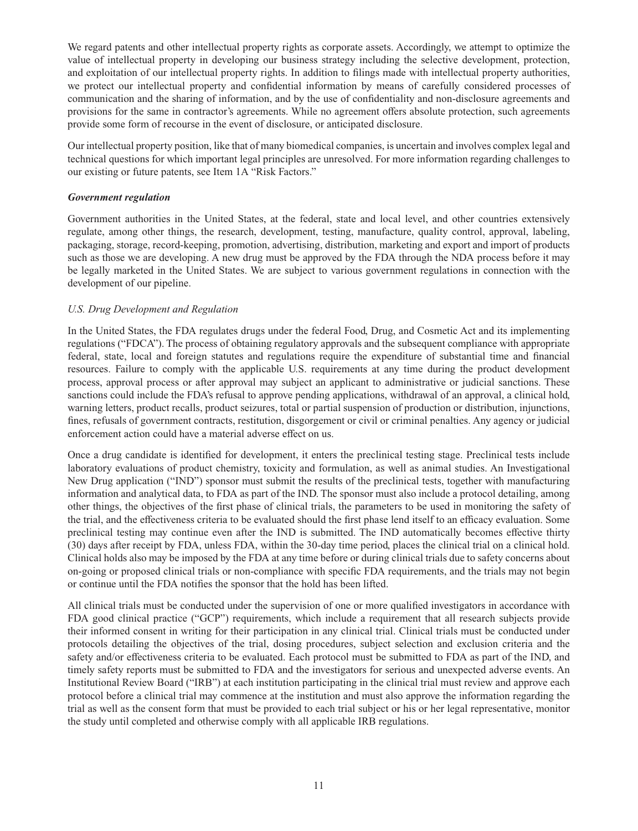We regard patents and other intellectual property rights as corporate assets. Accordingly, we attempt to optimize the value of intellectual property in developing our business strategy including the selective development, protection, and exploitation of our intellectual property rights. In addition to filings made with intellectual property authorities, we protect our intellectual property and confidential information by means of carefully considered processes of communication and the sharing of information, and by the use of confidentiality and non-disclosure agreements and provisions for the same in contractor's agreements. While no agreement offers absolute protection, such agreements provide some form of recourse in the event of disclosure, or anticipated disclosure.

Our intellectual property position, like that of many biomedical companies, is uncertain and involves complex legal and technical questions for which important legal principles are unresolved. For more information regarding challenges to our existing or future patents, see Item 1A "Risk Factors."

#### *Government regulation*

Government authorities in the United States, at the federal, state and local level, and other countries extensively regulate, among other things, the research, development, testing, manufacture, quality control, approval, labeling, packaging, storage, record-keeping, promotion, advertising, distribution, marketing and export and import of products such as those we are developing. A new drug must be approved by the FDA through the NDA process before it may be legally marketed in the United States. We are subject to various government regulations in connection with the development of our pipeline.

## *U.S. Drug Development and Regulation*

In the United States, the FDA regulates drugs under the federal Food, Drug, and Cosmetic Act and its implementing regulations ("FDCA"). The process of obtaining regulatory approvals and the subsequent compliance with appropriate federal, state, local and foreign statutes and regulations require the expenditure of substantial time and financial resources. Failure to comply with the applicable U.S. requirements at any time during the product development process, approval process or after approval may subject an applicant to administrative or judicial sanctions. These sanctions could include the FDA's refusal to approve pending applications, withdrawal of an approval, a clinical hold, warning letters, product recalls, product seizures, total or partial suspension of production or distribution, injunctions, fines, refusals of government contracts, restitution, disgorgement or civil or criminal penalties. Any agency or judicial enforcement action could have a material adverse effect on us.

Once a drug candidate is identified for development, it enters the preclinical testing stage. Preclinical tests include laboratory evaluations of product chemistry, toxicity and formulation, as well as animal studies. An Investigational New Drug application ("IND") sponsor must submit the results of the preclinical tests, together with manufacturing information and analytical data, to FDA as part of the IND. The sponsor must also include a protocol detailing, among other things, the objectives of the first phase of clinical trials, the parameters to be used in monitoring the safety of the trial, and the effectiveness criteria to be evaluated should the first phase lend itself to an efficacy evaluation. Some preclinical testing may continue even after the IND is submitted. The IND automatically becomes effective thirty (30) days after receipt by FDA, unless FDA, within the 30-day time period, places the clinical trial on a clinical hold. Clinical holds also may be imposed by the FDA at any time before or during clinical trials due to safety concerns about on-going or proposed clinical trials or non-compliance with specifi c FDA requirements, and the trials may not begin or continue until the FDA notifies the sponsor that the hold has been lifted.

All clinical trials must be conducted under the supervision of one or more qualified investigators in accordance with FDA good clinical practice ("GCP") requirements, which include a requirement that all research subjects provide their informed consent in writing for their participation in any clinical trial. Clinical trials must be conducted under protocols detailing the objectives of the trial, dosing procedures, subject selection and exclusion criteria and the safety and/or effectiveness criteria to be evaluated. Each protocol must be submitted to FDA as part of the IND, and timely safety reports must be submitted to FDA and the investigators for serious and unexpected adverse events. An Institutional Review Board ("IRB") at each institution participating in the clinical trial must review and approve each protocol before a clinical trial may commence at the institution and must also approve the information regarding the trial as well as the consent form that must be provided to each trial subject or his or her legal representative, monitor the study until completed and otherwise comply with all applicable IRB regulations.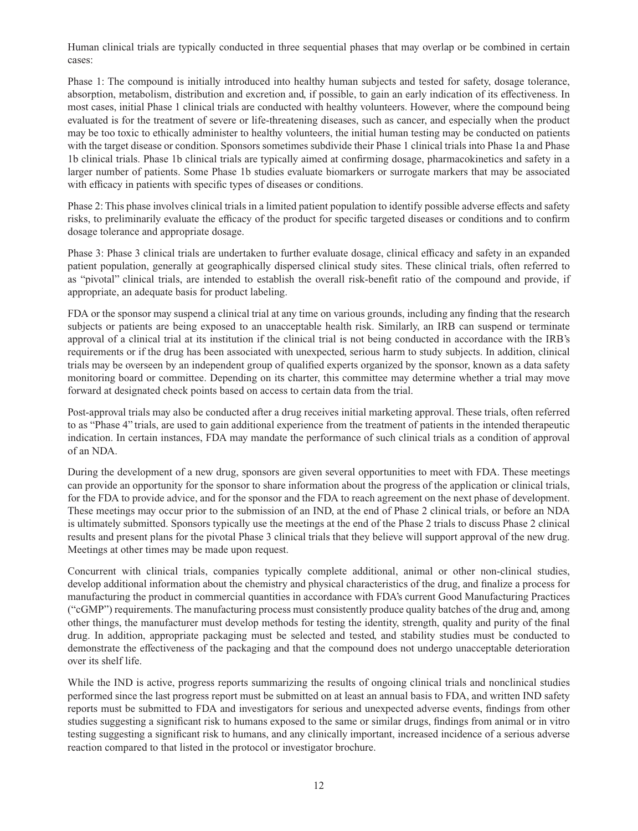Human clinical trials are typically conducted in three sequential phases that may overlap or be combined in certain cases:

Phase 1: The compound is initially introduced into healthy human subjects and tested for safety, dosage tolerance, absorption, metabolism, distribution and excretion and, if possible, to gain an early indication of its effectiveness. In most cases, initial Phase 1 clinical trials are conducted with healthy volunteers. However, where the compound being evaluated is for the treatment of severe or life-threatening diseases, such as cancer, and especially when the product may be too toxic to ethically administer to healthy volunteers, the initial human testing may be conducted on patients with the target disease or condition. Sponsors sometimes subdivide their Phase 1 clinical trials into Phase 1a and Phase 1b clinical trials. Phase 1b clinical trials are typically aimed at confirming dosage, pharmacokinetics and safety in a larger number of patients. Some Phase 1b studies evaluate biomarkers or surrogate markers that may be associated with efficacy in patients with specific types of diseases or conditions.

Phase 2: This phase involves clinical trials in a limited patient population to identify possible adverse effects and safety risks, to preliminarily evaluate the efficacy of the product for specific targeted diseases or conditions and to confirm dosage tolerance and appropriate dosage.

Phase 3: Phase 3 clinical trials are undertaken to further evaluate dosage, clinical efficacy and safety in an expanded patient population, generally at geographically dispersed clinical study sites. These clinical trials, often referred to as "pivotal" clinical trials, are intended to establish the overall risk-benefi t ratio of the compound and provide, if appropriate, an adequate basis for product labeling.

FDA or the sponsor may suspend a clinical trial at any time on various grounds, including any finding that the research subjects or patients are being exposed to an unacceptable health risk. Similarly, an IRB can suspend or terminate approval of a clinical trial at its institution if the clinical trial is not being conducted in accordance with the IRB's requirements or if the drug has been associated with unexpected, serious harm to study subjects. In addition, clinical trials may be overseen by an independent group of qualified experts organized by the sponsor, known as a data safety monitoring board or committee. Depending on its charter, this committee may determine whether a trial may move forward at designated check points based on access to certain data from the trial.

Post-approval trials may also be conducted after a drug receives initial marketing approval. These trials, often referred to as "Phase 4" trials, are used to gain additional experience from the treatment of patients in the intended therapeutic indication. In certain instances, FDA may mandate the performance of such clinical trials as a condition of approval of an NDA.

During the development of a new drug, sponsors are given several opportunities to meet with FDA. These meetings can provide an opportunity for the sponsor to share information about the progress of the application or clinical trials, for the FDA to provide advice, and for the sponsor and the FDA to reach agreement on the next phase of development. These meetings may occur prior to the submission of an IND, at the end of Phase 2 clinical trials, or before an NDA is ultimately submitted. Sponsors typically use the meetings at the end of the Phase 2 trials to discuss Phase 2 clinical results and present plans for the pivotal Phase 3 clinical trials that they believe will support approval of the new drug. Meetings at other times may be made upon request.

Concurrent with clinical trials, companies typically complete additional, animal or other non-clinical studies, develop additional information about the chemistry and physical characteristics of the drug, and finalize a process for manufacturing the product in commercial quantities in accordance with FDA's current Good Manufacturing Practices ("cGMP") requirements. The manufacturing process must consistently produce quality batches of the drug and, among other things, the manufacturer must develop methods for testing the identity, strength, quality and purity of the final drug. In addition, appropriate packaging must be selected and tested, and stability studies must be conducted to demonstrate the effectiveness of the packaging and that the compound does not undergo unacceptable deterioration over its shelf life.

While the IND is active, progress reports summarizing the results of ongoing clinical trials and nonclinical studies performed since the last progress report must be submitted on at least an annual basis to FDA, and written IND safety reports must be submitted to FDA and investigators for serious and unexpected adverse events, findings from other studies suggesting a significant risk to humans exposed to the same or similar drugs, findings from animal or in vitro testing suggesting a significant risk to humans, and any clinically important, increased incidence of a serious adverse reaction compared to that listed in the protocol or investigator brochure.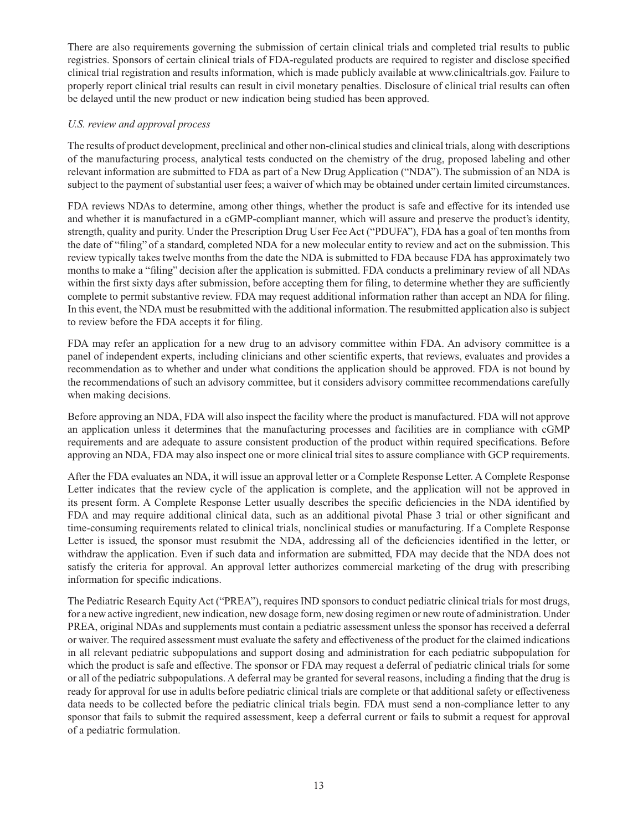There are also requirements governing the submission of certain clinical trials and completed trial results to public registries. Sponsors of certain clinical trials of FDA-regulated products are required to register and disclose specified clinical trial registration and results information, which is made publicly available at www.clinicaltrials.gov. Failure to properly report clinical trial results can result in civil monetary penalties. Disclosure of clinical trial results can often be delayed until the new product or new indication being studied has been approved.

## *U.S. review and approval process*

The results of product development, preclinical and other non-clinical studies and clinical trials, along with descriptions of the manufacturing process, analytical tests conducted on the chemistry of the drug, proposed labeling and other relevant information are submitted to FDA as part of a New Drug Application ("NDA"). The submission of an NDA is subject to the payment of substantial user fees; a waiver of which may be obtained under certain limited circumstances.

FDA reviews NDAs to determine, among other things, whether the product is safe and effective for its intended use and whether it is manufactured in a cGMP-compliant manner, which will assure and preserve the product's identity, strength, quality and purity. Under the Prescription Drug User Fee Act ("PDUFA"), FDA has a goal of ten months from the date of "filing" of a standard, completed NDA for a new molecular entity to review and act on the submission. This review typically takes twelve months from the date the NDA is submitted to FDA because FDA has approximately two months to make a "filing" decision after the application is submitted. FDA conducts a preliminary review of all NDAs within the first sixty days after submission, before accepting them for filing, to determine whether they are sufficiently complete to permit substantive review. FDA may request additional information rather than accept an NDA for filing. In this event, the NDA must be resubmitted with the additional information. The resubmitted application also is subject to review before the FDA accepts it for filing.

FDA may refer an application for a new drug to an advisory committee within FDA. An advisory committee is a panel of independent experts, including clinicians and other scientific experts, that reviews, evaluates and provides a recommendation as to whether and under what conditions the application should be approved. FDA is not bound by the recommendations of such an advisory committee, but it considers advisory committee recommendations carefully when making decisions.

Before approving an NDA, FDA will also inspect the facility where the product is manufactured. FDA will not approve an application unless it determines that the manufacturing processes and facilities are in compliance with cGMP requirements and are adequate to assure consistent production of the product within required specifications. Before approving an NDA, FDA may also inspect one or more clinical trial sites to assure compliance with GCP requirements.

After the FDA evaluates an NDA, it will issue an approval letter or a Complete Response Letter. A Complete Response Letter indicates that the review cycle of the application is complete, and the application will not be approved in its present form. A Complete Response Letter usually describes the specific deficiencies in the NDA identified by FDA and may require additional clinical data, such as an additional pivotal Phase 3 trial or other significant and time-consuming requirements related to clinical trials, nonclinical studies or manufacturing. If a Complete Response Letter is issued, the sponsor must resubmit the NDA, addressing all of the deficiencies identified in the letter, or withdraw the application. Even if such data and information are submitted, FDA may decide that the NDA does not satisfy the criteria for approval. An approval letter authorizes commercial marketing of the drug with prescribing information for specific indications.

The Pediatric Research Equity Act ("PREA"), requires IND sponsors to conduct pediatric clinical trials for most drugs, for a new active ingredient, new indication, new dosage form, new dosing regimen or new route of administration. Under PREA, original NDAs and supplements must contain a pediatric assessment unless the sponsor has received a deferral or waiver. The required assessment must evaluate the safety and effectiveness of the product for the claimed indications in all relevant pediatric subpopulations and support dosing and administration for each pediatric subpopulation for which the product is safe and effective. The sponsor or FDA may request a deferral of pediatric clinical trials for some or all of the pediatric subpopulations. A deferral may be granted for several reasons, including a finding that the drug is ready for approval for use in adults before pediatric clinical trials are complete or that additional safety or effectiveness data needs to be collected before the pediatric clinical trials begin. FDA must send a non-compliance letter to any sponsor that fails to submit the required assessment, keep a deferral current or fails to submit a request for approval of a pediatric formulation.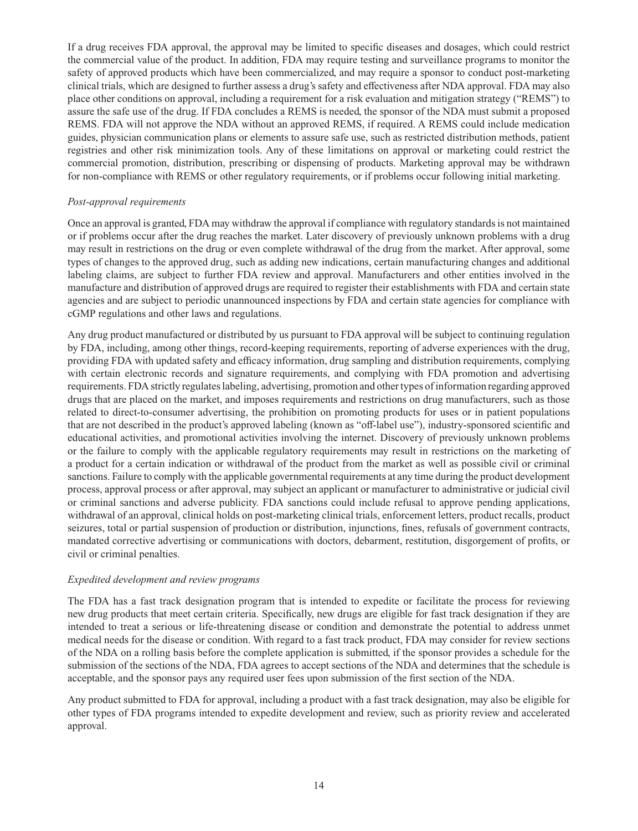If a drug receives FDA approval, the approval may be limited to specific diseases and dosages, which could restrict the commercial value of the product. In addition, FDA may require testing and surveillance programs to monitor the safety of approved products which have been commercialized, and may require a sponsor to conduct post-marketing clinical trials, which are designed to further assess a drug's safety and effectiveness after NDA approval. FDA may also place other conditions on approval, including a requirement for a risk evaluation and mitigation strategy ("REMS") to assure the safe use of the drug. If FDA concludes a REMS is needed, the sponsor of the NDA must submit a proposed REMS. FDA will not approve the NDA without an approved REMS, if required. A REMS could include medication guides, physician communication plans or elements to assure safe use, such as restricted distribution methods, patient registries and other risk minimization tools. Any of these limitations on approval or marketing could restrict the commercial promotion, distribution, prescribing or dispensing of products. Marketing approval may be withdrawn for non-compliance with REMS or other regulatory requirements, or if problems occur following initial marketing.

#### *Post-approval requirements*

Once an approval is granted, FDA may withdraw the approval if compliance with regulatory standards is not maintained or if problems occur after the drug reaches the market. Later discovery of previously unknown problems with a drug may result in restrictions on the drug or even complete withdrawal of the drug from the market. After approval, some types of changes to the approved drug, such as adding new indications, certain manufacturing changes and additional labeling claims, are subject to further FDA review and approval. Manufacturers and other entities involved in the manufacture and distribution of approved drugs are required to register their establishments with FDA and certain state agencies and are subject to periodic unannounced inspections by FDA and certain state agencies for compliance with cGMP regulations and other laws and regulations.

Any drug product manufactured or distributed by us pursuant to FDA approval will be subject to continuing regulation by FDA, including, among other things, record-keeping requirements, reporting of adverse experiences with the drug, providing FDA with updated safety and efficacy information, drug sampling and distribution requirements, complying with certain electronic records and signature requirements, and complying with FDA promotion and advertising requirements. FDA strictly regulates labeling, advertising, promotion and other types of information regarding approved drugs that are placed on the market, and imposes requirements and restrictions on drug manufacturers, such as those related to direct-to-consumer advertising, the prohibition on promoting products for uses or in patient populations that are not described in the product's approved labeling (known as "off-label use"), industry-sponsored scientific and educational activities, and promotional activities involving the internet. Discovery of previously unknown problems or the failure to comply with the applicable regulatory requirements may result in restrictions on the marketing of a product for a certain indication or withdrawal of the product from the market as well as possible civil or criminal sanctions. Failure to comply with the applicable governmental requirements at any time during the product development process, approval process or after approval, may subject an applicant or manufacturer to administrative or judicial civil or criminal sanctions and adverse publicity. FDA sanctions could include refusal to approve pending applications, withdrawal of an approval, clinical holds on post-marketing clinical trials, enforcement letters, product recalls, product seizures, total or partial suspension of production or distribution, injunctions, fines, refusals of government contracts, mandated corrective advertising or communications with doctors, debarment, restitution, disgorgement of profits, or civil or criminal penalties.

#### *Expedited development and review programs*

The FDA has a fast track designation program that is intended to expedite or facilitate the process for reviewing new drug products that meet certain criteria. Specifically, new drugs are eligible for fast track designation if they are intended to treat a serious or life-threatening disease or condition and demonstrate the potential to address unmet medical needs for the disease or condition. With regard to a fast track product, FDA may consider for review sections of the NDA on a rolling basis before the complete application is submitted, if the sponsor provides a schedule for the submission of the sections of the NDA, FDA agrees to accept sections of the NDA and determines that the schedule is acceptable, and the sponsor pays any required user fees upon submission of the first section of the NDA.

Any product submitted to FDA for approval, including a product with a fast track designation, may also be eligible for other types of FDA programs intended to expedite development and review, such as priority review and accelerated approval.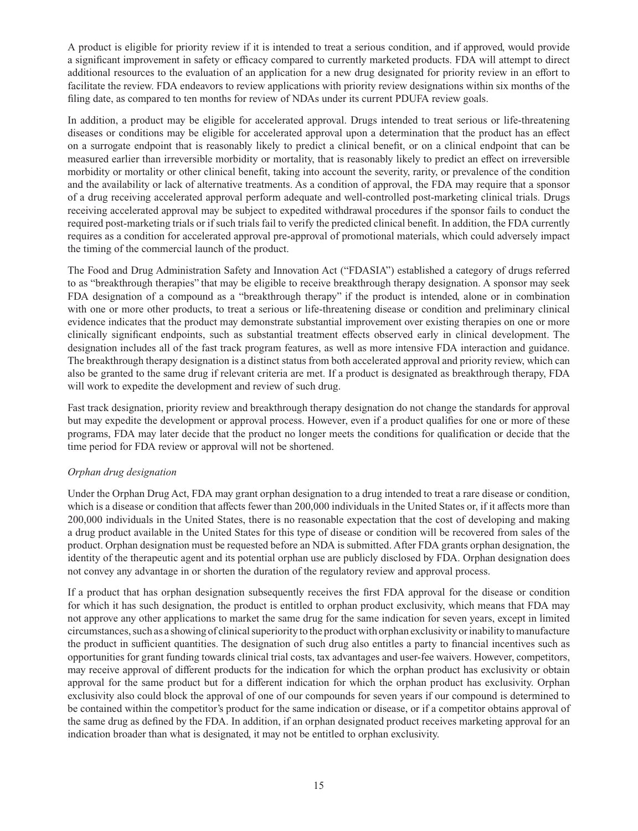A product is eligible for priority review if it is intended to treat a serious condition, and if approved, would provide a significant improvement in safety or efficacy compared to currently marketed products. FDA will attempt to direct additional resources to the evaluation of an application for a new drug designated for priority review in an effort to facilitate the review. FDA endeavors to review applications with priority review designations within six months of the filing date, as compared to ten months for review of NDAs under its current PDUFA review goals.

In addition, a product may be eligible for accelerated approval. Drugs intended to treat serious or life-threatening diseases or conditions may be eligible for accelerated approval upon a determination that the product has an effect on a surrogate endpoint that is reasonably likely to predict a clinical benefit, or on a clinical endpoint that can be measured earlier than irreversible morbidity or mortality, that is reasonably likely to predict an effect on irreversible morbidity or mortality or other clinical benefit, taking into account the severity, rarity, or prevalence of the condition and the availability or lack of alternative treatments. As a condition of approval, the FDA may require that a sponsor of a drug receiving accelerated approval perform adequate and well-controlled post-marketing clinical trials. Drugs receiving accelerated approval may be subject to expedited withdrawal procedures if the sponsor fails to conduct the required post-marketing trials or if such trials fail to verify the predicted clinical benefit. In addition, the FDA currently requires as a condition for accelerated approval pre-approval of promotional materials, which could adversely impact the timing of the commercial launch of the product.

The Food and Drug Administration Safety and Innovation Act ("FDASIA") established a category of drugs referred to as "breakthrough therapies" that may be eligible to receive breakthrough therapy designation. A sponsor may seek FDA designation of a compound as a "breakthrough therapy" if the product is intended, alone or in combination with one or more other products, to treat a serious or life-threatening disease or condition and preliminary clinical evidence indicates that the product may demonstrate substantial improvement over existing therapies on one or more clinically significant endpoints, such as substantial treatment effects observed early in clinical development. The designation includes all of the fast track program features, as well as more intensive FDA interaction and guidance. The breakthrough therapy designation is a distinct status from both accelerated approval and priority review, which can also be granted to the same drug if relevant criteria are met. If a product is designated as breakthrough therapy, FDA will work to expedite the development and review of such drug.

Fast track designation, priority review and breakthrough therapy designation do not change the standards for approval but may expedite the development or approval process. However, even if a product qualifies for one or more of these programs, FDA may later decide that the product no longer meets the conditions for qualification or decide that the time period for FDA review or approval will not be shortened.

# *Orphan drug designation*

Under the Orphan Drug Act, FDA may grant orphan designation to a drug intended to treat a rare disease or condition, which is a disease or condition that affects fewer than 200,000 individuals in the United States or, if it affects more than 200,000 individuals in the United States, there is no reasonable expectation that the cost of developing and making a drug product available in the United States for this type of disease or condition will be recovered from sales of the product. Orphan designation must be requested before an NDA is submitted. After FDA grants orphan designation, the identity of the therapeutic agent and its potential orphan use are publicly disclosed by FDA. Orphan designation does not convey any advantage in or shorten the duration of the regulatory review and approval process.

If a product that has orphan designation subsequently receives the first FDA approval for the disease or condition for which it has such designation, the product is entitled to orphan product exclusivity, which means that FDA may not approve any other applications to market the same drug for the same indication for seven years, except in limited circumstances, such as a showing of clinical superiority to the product with orphan exclusivity or inability to manufacture the product in sufficient quantities. The designation of such drug also entitles a party to financial incentives such as opportunities for grant funding towards clinical trial costs, tax advantages and user-fee waivers. However, competitors, may receive approval of different products for the indication for which the orphan product has exclusivity or obtain approval for the same product but for a different indication for which the orphan product has exclusivity. Orphan exclusivity also could block the approval of one of our compounds for seven years if our compound is determined to be contained within the competitor's product for the same indication or disease, or if a competitor obtains approval of the same drug as defined by the FDA. In addition, if an orphan designated product receives marketing approval for an indication broader than what is designated, it may not be entitled to orphan exclusivity.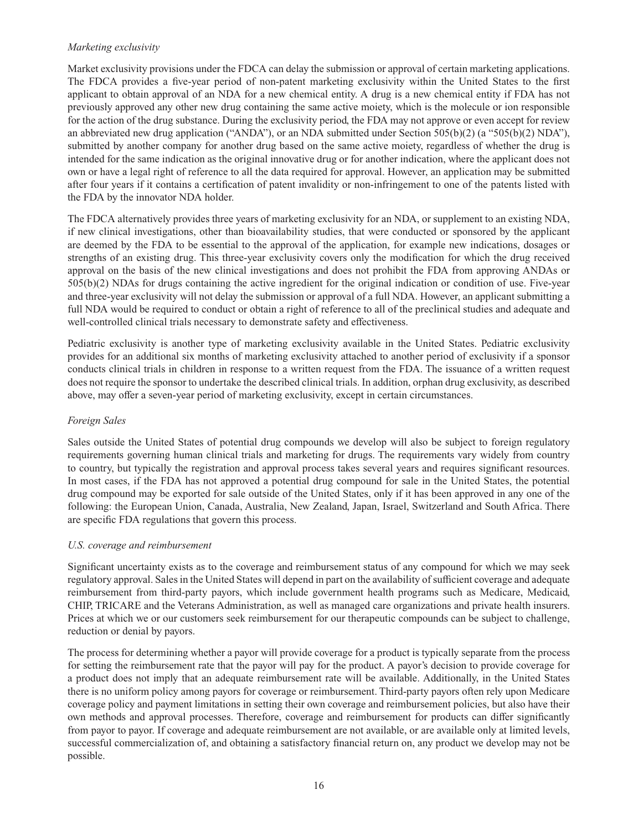#### *Marketing exclusivity*

Market exclusivity provisions under the FDCA can delay the submission or approval of certain marketing applications. The FDCA provides a five-year period of non-patent marketing exclusivity within the United States to the first applicant to obtain approval of an NDA for a new chemical entity. A drug is a new chemical entity if FDA has not previously approved any other new drug containing the same active moiety, which is the molecule or ion responsible for the action of the drug substance. During the exclusivity period, the FDA may not approve or even accept for review an abbreviated new drug application ("ANDA"), or an NDA submitted under Section 505(b)(2) (a "505(b)(2) NDA"), submitted by another company for another drug based on the same active moiety, regardless of whether the drug is intended for the same indication as the original innovative drug or for another indication, where the applicant does not own or have a legal right of reference to all the data required for approval. However, an application may be submitted after four years if it contains a certification of patent invalidity or non-infringement to one of the patents listed with the FDA by the innovator NDA holder.

The FDCA alternatively provides three years of marketing exclusivity for an NDA, or supplement to an existing NDA, if new clinical investigations, other than bioavailability studies, that were conducted or sponsored by the applicant are deemed by the FDA to be essential to the approval of the application, for example new indications, dosages or strengths of an existing drug. This three-year exclusivity covers only the modification for which the drug received approval on the basis of the new clinical investigations and does not prohibit the FDA from approving ANDAs or 505(b)(2) NDAs for drugs containing the active ingredient for the original indication or condition of use. Five-year and three-year exclusivity will not delay the submission or approval of a full NDA. However, an applicant submitting a full NDA would be required to conduct or obtain a right of reference to all of the preclinical studies and adequate and well-controlled clinical trials necessary to demonstrate safety and effectiveness.

Pediatric exclusivity is another type of marketing exclusivity available in the United States. Pediatric exclusivity provides for an additional six months of marketing exclusivity attached to another period of exclusivity if a sponsor conducts clinical trials in children in response to a written request from the FDA. The issuance of a written request does not require the sponsor to undertake the described clinical trials. In addition, orphan drug exclusivity, as described above, may offer a seven-year period of marketing exclusivity, except in certain circumstances.

#### *Foreign Sales*

Sales outside the United States of potential drug compounds we develop will also be subject to foreign regulatory requirements governing human clinical trials and marketing for drugs. The requirements vary widely from country to country, but typically the registration and approval process takes several years and requires significant resources. In most cases, if the FDA has not approved a potential drug compound for sale in the United States, the potential drug compound may be exported for sale outside of the United States, only if it has been approved in any one of the following: the European Union, Canada, Australia, New Zealand, Japan, Israel, Switzerland and South Africa. There are specific FDA regulations that govern this process.

#### *U.S. coverage and reimbursement*

Significant uncertainty exists as to the coverage and reimbursement status of any compound for which we may seek regulatory approval. Sales in the United States will depend in part on the availability of sufficient coverage and adequate reimbursement from third-party payors, which include government health programs such as Medicare, Medicaid, CHIP, TRICARE and the Veterans Administration, as well as managed care organizations and private health insurers. Prices at which we or our customers seek reimbursement for our therapeutic compounds can be subject to challenge, reduction or denial by payors.

The process for determining whether a payor will provide coverage for a product is typically separate from the process for setting the reimbursement rate that the payor will pay for the product. A payor's decision to provide coverage for a product does not imply that an adequate reimbursement rate will be available. Additionally, in the United States there is no uniform policy among payors for coverage or reimbursement. Third-party payors often rely upon Medicare coverage policy and payment limitations in setting their own coverage and reimbursement policies, but also have their own methods and approval processes. Therefore, coverage and reimbursement for products can differ significantly from payor to payor. If coverage and adequate reimbursement are not available, or are available only at limited levels, successful commercialization of, and obtaining a satisfactory financial return on, any product we develop may not be possible.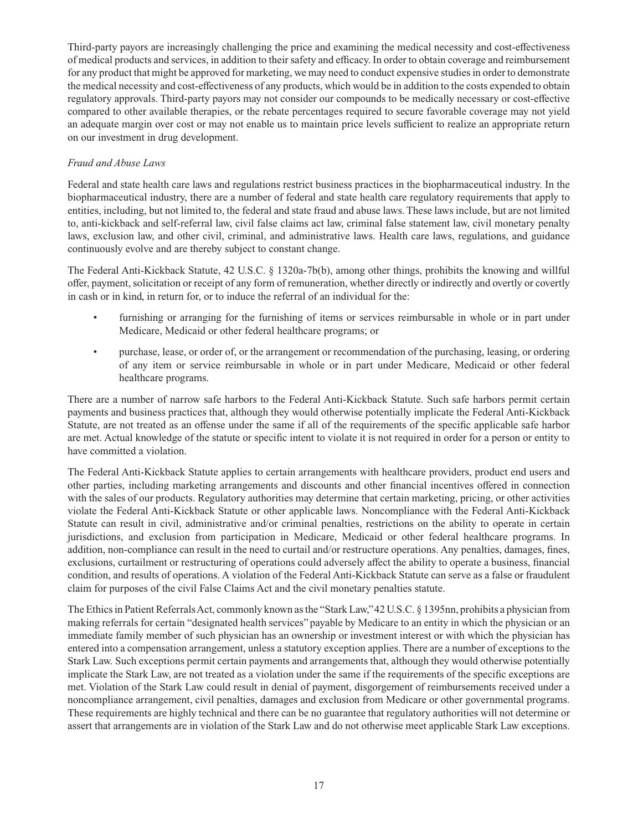Third-party payors are increasingly challenging the price and examining the medical necessity and cost-effectiveness of medical products and services, in addition to their safety and efficacy. In order to obtain coverage and reimbursement for any product that might be approved for marketing, we may need to conduct expensive studies in order to demonstrate the medical necessity and cost-effectiveness of any products, which would be in addition to the costs expended to obtain regulatory approvals. Third-party payors may not consider our compounds to be medically necessary or cost-effective compared to other available therapies, or the rebate percentages required to secure favorable coverage may not yield an adequate margin over cost or may not enable us to maintain price levels sufficient to realize an appropriate return on our investment in drug development.

## *Fraud and Abuse Laws*

Federal and state health care laws and regulations restrict business practices in the biopharmaceutical industry. In the biopharmaceutical industry, there are a number of federal and state health care regulatory requirements that apply to entities, including, but not limited to, the federal and state fraud and abuse laws. These laws include, but are not limited to, anti-kickback and self-referral law, civil false claims act law, criminal false statement law, civil monetary penalty laws, exclusion law, and other civil, criminal, and administrative laws. Health care laws, regulations, and guidance continuously evolve and are thereby subject to constant change.

The Federal Anti-Kickback Statute, 42 U.S.C. § 1320a-7b(b), among other things, prohibits the knowing and willful offer, payment, solicitation or receipt of any form of remuneration, whether directly or indirectly and overtly or covertly in cash or in kind, in return for, or to induce the referral of an individual for the:

- furnishing or arranging for the furnishing of items or services reimbursable in whole or in part under Medicare, Medicaid or other federal healthcare programs; or
- purchase, lease, or order of, or the arrangement or recommendation of the purchasing, leasing, or ordering of any item or service reimbursable in whole or in part under Medicare, Medicaid or other federal healthcare programs.

There are a number of narrow safe harbors to the Federal Anti-Kickback Statute. Such safe harbors permit certain payments and business practices that, although they would otherwise potentially implicate the Federal Anti-Kickback Statute, are not treated as an offense under the same if all of the requirements of the specific applicable safe harbor are met. Actual knowledge of the statute or specific intent to violate it is not required in order for a person or entity to have committed a violation.

The Federal Anti-Kickback Statute applies to certain arrangements with healthcare providers, product end users and other parties, including marketing arrangements and discounts and other financial incentives offered in connection with the sales of our products. Regulatory authorities may determine that certain marketing, pricing, or other activities violate the Federal Anti-Kickback Statute or other applicable laws. Noncompliance with the Federal Anti-Kickback Statute can result in civil, administrative and/or criminal penalties, restrictions on the ability to operate in certain jurisdictions, and exclusion from participation in Medicare, Medicaid or other federal healthcare programs. In addition, non-compliance can result in the need to curtail and/or restructure operations. Any penalties, damages, fines, exclusions, curtailment or restructuring of operations could adversely affect the ability to operate a business, financial condition, and results of operations. A violation of the Federal Anti-Kickback Statute can serve as a false or fraudulent claim for purposes of the civil False Claims Act and the civil monetary penalties statute.

The Ethics in Patient Referrals Act, commonly known as the "Stark Law," 42 U.S.C. § 1395nn, prohibits a physician from making referrals for certain "designated health services" payable by Medicare to an entity in which the physician or an immediate family member of such physician has an ownership or investment interest or with which the physician has entered into a compensation arrangement, unless a statutory exception applies. There are a number of exceptions to the Stark Law. Such exceptions permit certain payments and arrangements that, although they would otherwise potentially implicate the Stark Law, are not treated as a violation under the same if the requirements of the specific exceptions are met. Violation of the Stark Law could result in denial of payment, disgorgement of reimbursements received under a noncompliance arrangement, civil penalties, damages and exclusion from Medicare or other governmental programs. These requirements are highly technical and there can be no guarantee that regulatory authorities will not determine or assert that arrangements are in violation of the Stark Law and do not otherwise meet applicable Stark Law exceptions.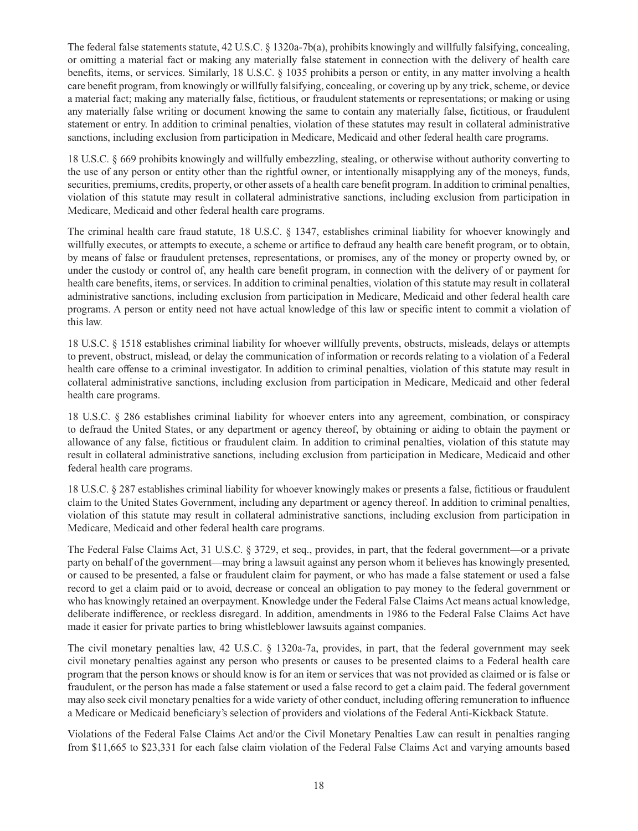The federal false statements statute, 42 U.S.C. § 1320a-7b(a), prohibits knowingly and willfully falsifying, concealing, or omitting a material fact or making any materially false statement in connection with the delivery of health care benefits, items, or services. Similarly, 18 U.S.C. § 1035 prohibits a person or entity, in any matter involving a health care benefit program, from knowingly or willfully falsifying, concealing, or covering up by any trick, scheme, or device a material fact; making any materially false, fictitious, or fraudulent statements or representations; or making or using any materially false writing or document knowing the same to contain any materially false, fictitious, or fraudulent statement or entry. In addition to criminal penalties, violation of these statutes may result in collateral administrative sanctions, including exclusion from participation in Medicare, Medicaid and other federal health care programs.

18 U.S.C. § 669 prohibits knowingly and willfully embezzling, stealing, or otherwise without authority converting to the use of any person or entity other than the rightful owner, or intentionally misapplying any of the moneys, funds, securities, premiums, credits, property, or other assets of a health care benefit program. In addition to criminal penalties, violation of this statute may result in collateral administrative sanctions, including exclusion from participation in Medicare, Medicaid and other federal health care programs.

The criminal health care fraud statute, 18 U.S.C. § 1347, establishes criminal liability for whoever knowingly and willfully executes, or attempts to execute, a scheme or artifice to defraud any health care benefit program, or to obtain, by means of false or fraudulent pretenses, representations, or promises, any of the money or property owned by, or under the custody or control of, any health care benefi t program, in connection with the delivery of or payment for health care benefits, items, or services. In addition to criminal penalties, violation of this statute may result in collateral administrative sanctions, including exclusion from participation in Medicare, Medicaid and other federal health care programs. A person or entity need not have actual knowledge of this law or specific intent to commit a violation of this law.

18 U.S.C. § 1518 establishes criminal liability for whoever willfully prevents, obstructs, misleads, delays or attempts to prevent, obstruct, mislead, or delay the communication of information or records relating to a violation of a Federal health care offense to a criminal investigator. In addition to criminal penalties, violation of this statute may result in collateral administrative sanctions, including exclusion from participation in Medicare, Medicaid and other federal health care programs.

18 U.S.C. § 286 establishes criminal liability for whoever enters into any agreement, combination, or conspiracy to defraud the United States, or any department or agency thereof, by obtaining or aiding to obtain the payment or allowance of any false, fictitious or fraudulent claim. In addition to criminal penalties, violation of this statute may result in collateral administrative sanctions, including exclusion from participation in Medicare, Medicaid and other federal health care programs.

18 U.S.C. § 287 establishes criminal liability for whoever knowingly makes or presents a false, fictitious or fraudulent claim to the United States Government, including any department or agency thereof. In addition to criminal penalties, violation of this statute may result in collateral administrative sanctions, including exclusion from participation in Medicare, Medicaid and other federal health care programs.

The Federal False Claims Act, 31 U.S.C. § 3729, et seq., provides, in part, that the federal government—or a private party on behalf of the government—may bring a lawsuit against any person whom it believes has knowingly presented, or caused to be presented, a false or fraudulent claim for payment, or who has made a false statement or used a false record to get a claim paid or to avoid, decrease or conceal an obligation to pay money to the federal government or who has knowingly retained an overpayment. Knowledge under the Federal False Claims Act means actual knowledge, deliberate indifference, or reckless disregard. In addition, amendments in 1986 to the Federal False Claims Act have made it easier for private parties to bring whistleblower lawsuits against companies.

The civil monetary penalties law, 42 U.S.C. § 1320a-7a, provides, in part, that the federal government may seek civil monetary penalties against any person who presents or causes to be presented claims to a Federal health care program that the person knows or should know is for an item or services that was not provided as claimed or is false or fraudulent, or the person has made a false statement or used a false record to get a claim paid. The federal government may also seek civil monetary penalties for a wide variety of other conduct, including offering remuneration to influence a Medicare or Medicaid beneficiary's selection of providers and violations of the Federal Anti-Kickback Statute.

Violations of the Federal False Claims Act and/or the Civil Monetary Penalties Law can result in penalties ranging from \$11,665 to \$23,331 for each false claim violation of the Federal False Claims Act and varying amounts based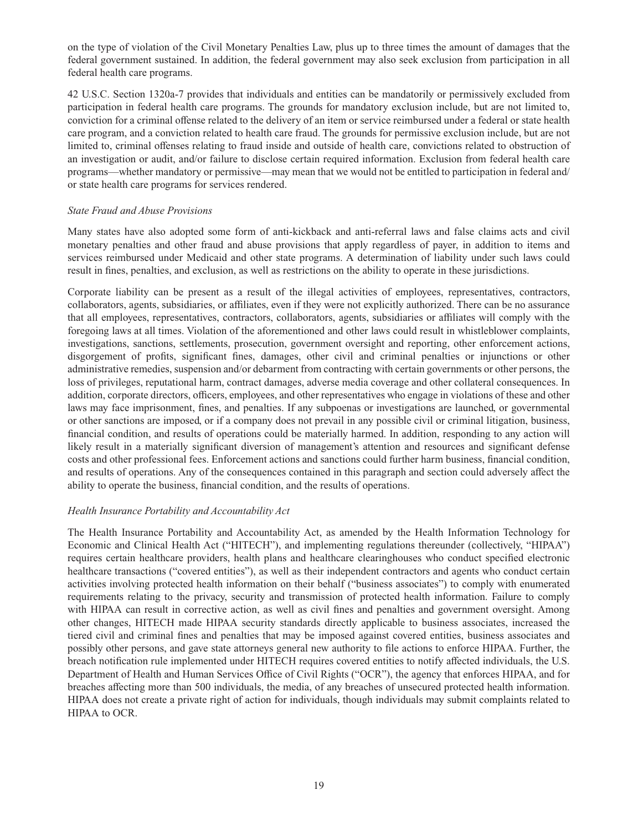on the type of violation of the Civil Monetary Penalties Law, plus up to three times the amount of damages that the federal government sustained. In addition, the federal government may also seek exclusion from participation in all federal health care programs.

42 U.S.C. Section 1320a-7 provides that individuals and entities can be mandatorily or permissively excluded from participation in federal health care programs. The grounds for mandatory exclusion include, but are not limited to, conviction for a criminal offense related to the delivery of an item or service reimbursed under a federal or state health care program, and a conviction related to health care fraud. The grounds for permissive exclusion include, but are not limited to, criminal offenses relating to fraud inside and outside of health care, convictions related to obstruction of an investigation or audit, and/or failure to disclose certain required information. Exclusion from federal health care programs—whether mandatory or permissive—may mean that we would not be entitled to participation in federal and/ or state health care programs for services rendered.

#### *State Fraud and Abuse Provisions*

Many states have also adopted some form of anti-kickback and anti-referral laws and false claims acts and civil monetary penalties and other fraud and abuse provisions that apply regardless of payer, in addition to items and services reimbursed under Medicaid and other state programs. A determination of liability under such laws could result in fines, penalties, and exclusion, as well as restrictions on the ability to operate in these jurisdictions.

Corporate liability can be present as a result of the illegal activities of employees, representatives, contractors, collaborators, agents, subsidiaries, or affiliates, even if they were not explicitly authorized. There can be no assurance that all employees, representatives, contractors, collaborators, agents, subsidiaries or affiliates will comply with the foregoing laws at all times. Violation of the aforementioned and other laws could result in whistleblower complaints, investigations, sanctions, settlements, prosecution, government oversight and reporting, other enforcement actions, disgorgement of profits, significant fines, damages, other civil and criminal penalties or injunctions or other administrative remedies, suspension and/or debarment from contracting with certain governments or other persons, the loss of privileges, reputational harm, contract damages, adverse media coverage and other collateral consequences. In addition, corporate directors, officers, employees, and other representatives who engage in violations of these and other laws may face imprisonment, fines, and penalties. If any subpoenas or investigations are launched, or governmental or other sanctions are imposed, or if a company does not prevail in any possible civil or criminal litigation, business, financial condition, and results of operations could be materially harmed. In addition, responding to any action will likely result in a materially significant diversion of management's attention and resources and significant defense costs and other professional fees. Enforcement actions and sanctions could further harm business, financial condition, and results of operations. Any of the consequences contained in this paragraph and section could adversely affect the ability to operate the business, financial condition, and the results of operations.

# *Health Insurance Portability and Accountability Act*

The Health Insurance Portability and Accountability Act, as amended by the Health Information Technology for Economic and Clinical Health Act ("HITECH"), and implementing regulations thereunder (collectively, "HIPAA") requires certain healthcare providers, health plans and healthcare clearinghouses who conduct specified electronic healthcare transactions ("covered entities"), as well as their independent contractors and agents who conduct certain activities involving protected health information on their behalf ("business associates") to comply with enumerated requirements relating to the privacy, security and transmission of protected health information. Failure to comply with HIPAA can result in corrective action, as well as civil fines and penalties and government oversight. Among other changes, HITECH made HIPAA security standards directly applicable to business associates, increased the tiered civil and criminal fines and penalties that may be imposed against covered entities, business associates and possibly other persons, and gave state attorneys general new authority to file actions to enforce HIPAA. Further, the breach notification rule implemented under HITECH requires covered entities to notify affected individuals, the U.S. Department of Health and Human Services Office of Civil Rights ("OCR"), the agency that enforces HIPAA, and for breaches affecting more than 500 individuals, the media, of any breaches of unsecured protected health information. HIPAA does not create a private right of action for individuals, though individuals may submit complaints related to HIPAA to OCR.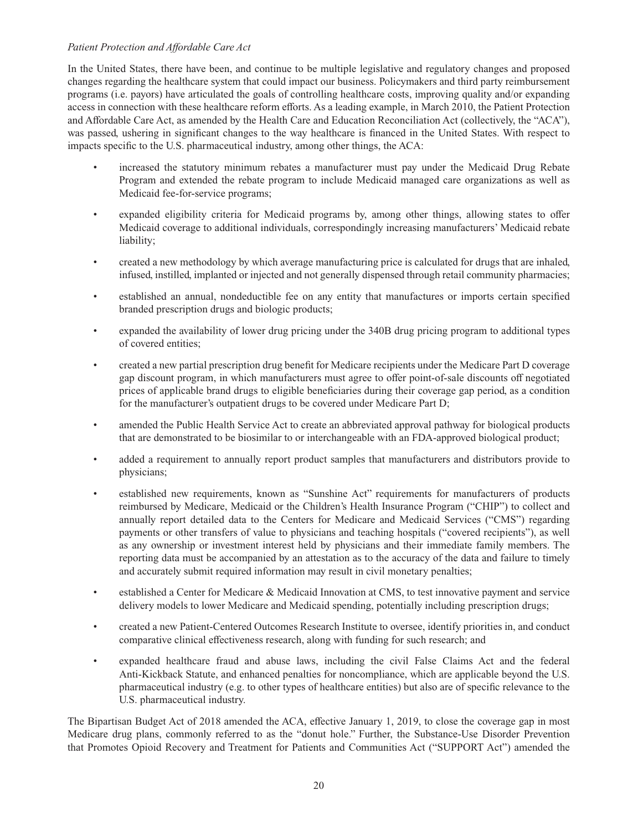## Patient Protection and Affordable Care Act

In the United States, there have been, and continue to be multiple legislative and regulatory changes and proposed changes regarding the healthcare system that could impact our business. Policymakers and third party reimbursement programs (i.e. payors) have articulated the goals of controlling healthcare costs, improving quality and/or expanding access in connection with these healthcare reform efforts. As a leading example, in March 2010, the Patient Protection and Affordable Care Act, as amended by the Health Care and Education Reconciliation Act (collectively, the "ACA"), was passed, ushering in significant changes to the way healthcare is financed in the United States. With respect to impacts specific to the U.S. pharmaceutical industry, among other things, the ACA:

- increased the statutory minimum rebates a manufacturer must pay under the Medicaid Drug Rebate Program and extended the rebate program to include Medicaid managed care organizations as well as Medicaid fee-for-service programs;
- expanded eligibility criteria for Medicaid programs by, among other things, allowing states to offer Medicaid coverage to additional individuals, correspondingly increasing manufacturers' Medicaid rebate liability;
- created a new methodology by which average manufacturing price is calculated for drugs that are inhaled, infused, instilled, implanted or injected and not generally dispensed through retail community pharmacies;
- established an annual, nondeductible fee on any entity that manufactures or imports certain specified branded prescription drugs and biologic products;
- expanded the availability of lower drug pricing under the 340B drug pricing program to additional types of covered entities;
- created a new partial prescription drug benefit for Medicare recipients under the Medicare Part D coverage gap discount program, in which manufacturers must agree to offer point-of-sale discounts off negotiated prices of applicable brand drugs to eligible beneficiaries during their coverage gap period, as a condition for the manufacturer's outpatient drugs to be covered under Medicare Part D;
- amended the Public Health Service Act to create an abbreviated approval pathway for biological products that are demonstrated to be biosimilar to or interchangeable with an FDA-approved biological product;
- added a requirement to annually report product samples that manufacturers and distributors provide to physicians;
- established new requirements, known as "Sunshine Act" requirements for manufacturers of products reimbursed by Medicare, Medicaid or the Children's Health Insurance Program ("CHIP") to collect and annually report detailed data to the Centers for Medicare and Medicaid Services ("CMS") regarding payments or other transfers of value to physicians and teaching hospitals ("covered recipients"), as well as any ownership or investment interest held by physicians and their immediate family members. The reporting data must be accompanied by an attestation as to the accuracy of the data and failure to timely and accurately submit required information may result in civil monetary penalties;
- established a Center for Medicare & Medicaid Innovation at CMS, to test innovative payment and service delivery models to lower Medicare and Medicaid spending, potentially including prescription drugs;
- created a new Patient-Centered Outcomes Research Institute to oversee, identify priorities in, and conduct comparative clinical effectiveness research, along with funding for such research; and
- expanded healthcare fraud and abuse laws, including the civil False Claims Act and the federal Anti-Kickback Statute, and enhanced penalties for noncompliance, which are applicable beyond the U.S. pharmaceutical industry (e.g. to other types of healthcare entities) but also are of specific relevance to the U.S. pharmaceutical industry.

The Bipartisan Budget Act of 2018 amended the ACA, effective January 1, 2019, to close the coverage gap in most Medicare drug plans, commonly referred to as the "donut hole." Further, the Substance-Use Disorder Prevention that Promotes Opioid Recovery and Treatment for Patients and Communities Act ("SUPPORT Act") amended the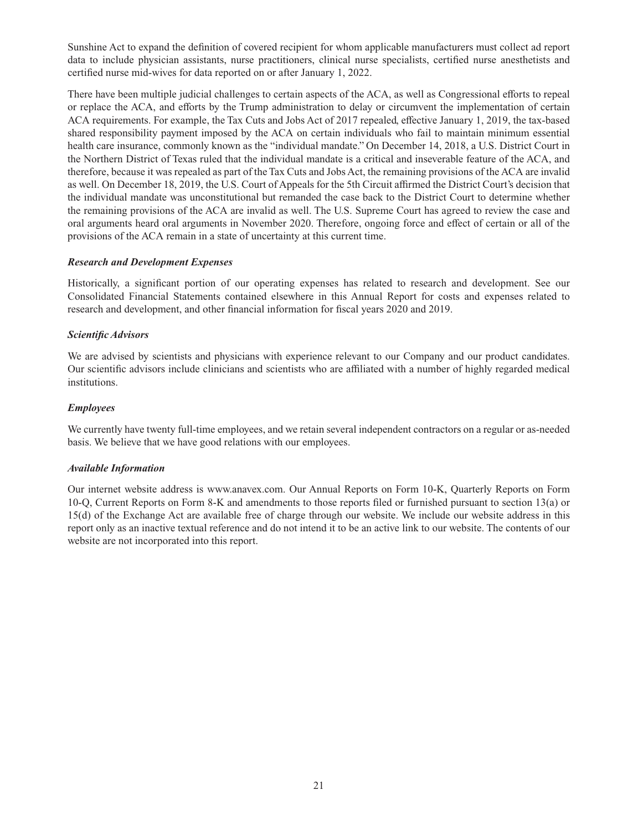Sunshine Act to expand the definition of covered recipient for whom applicable manufacturers must collect ad report data to include physician assistants, nurse practitioners, clinical nurse specialists, certified nurse anesthetists and certified nurse mid-wives for data reported on or after January 1, 2022.

There have been multiple judicial challenges to certain aspects of the ACA, as well as Congressional efforts to repeal or replace the ACA, and efforts by the Trump administration to delay or circumvent the implementation of certain ACA requirements. For example, the Tax Cuts and Jobs Act of 2017 repealed, effective January 1, 2019, the tax-based shared responsibility payment imposed by the ACA on certain individuals who fail to maintain minimum essential health care insurance, commonly known as the "individual mandate." On December 14, 2018, a U.S. District Court in the Northern District of Texas ruled that the individual mandate is a critical and inseverable feature of the ACA, and therefore, because it was repealed as part of the Tax Cuts and Jobs Act, the remaining provisions of the ACA are invalid as well. On December 18, 2019, the U.S. Court of Appeals for the 5th Circuit affirmed the District Court's decision that the individual mandate was unconstitutional but remanded the case back to the District Court to determine whether the remaining provisions of the ACA are invalid as well. The U.S. Supreme Court has agreed to review the case and oral arguments heard oral arguments in November 2020. Therefore, ongoing force and effect of certain or all of the provisions of the ACA remain in a state of uncertainty at this current time.

#### *Research and Development Expenses*

Historically, a significant portion of our operating expenses has related to research and development. See our Consolidated Financial Statements contained elsewhere in this Annual Report for costs and expenses related to research and development, and other financial information for fiscal years 2020 and 2019.

## *Scientifi c Advisors*

We are advised by scientists and physicians with experience relevant to our Company and our product candidates. Our scientific advisors include clinicians and scientists who are affiliated with a number of highly regarded medical institutions.

## *Employees*

We currently have twenty full-time employees, and we retain several independent contractors on a regular or as-needed basis. We believe that we have good relations with our employees.

#### *Available Information*

Our internet website address is www.anavex.com. Our Annual Reports on Form 10-K, Quarterly Reports on Form 10-Q, Current Reports on Form 8-K and amendments to those reports filed or furnished pursuant to section 13(a) or 15(d) of the Exchange Act are available free of charge through our website. We include our website address in this report only as an inactive textual reference and do not intend it to be an active link to our website. The contents of our website are not incorporated into this report.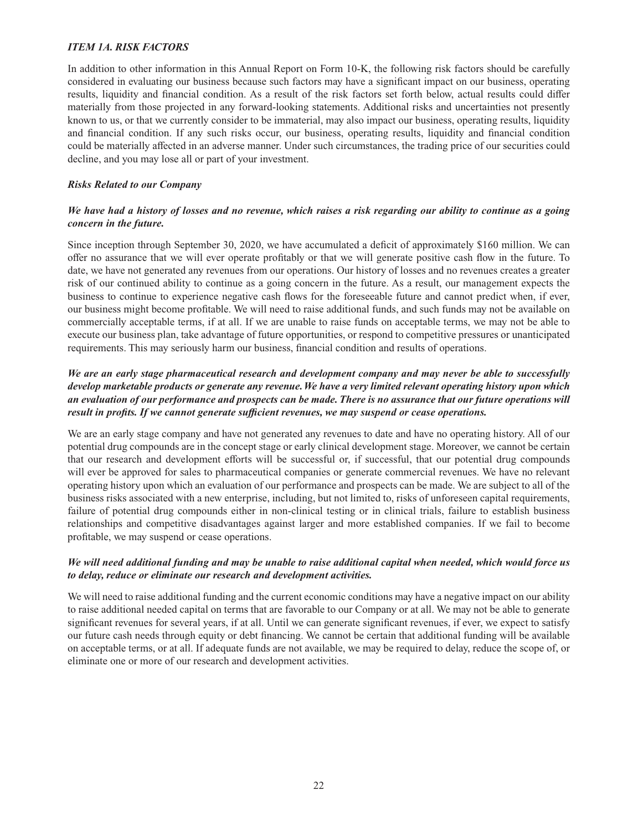# *ITEM 1A. RISK FACTORS*

In addition to other information in this Annual Report on Form 10-K, the following risk factors should be carefully considered in evaluating our business because such factors may have a significant impact on our business, operating results, liquidity and financial condition. As a result of the risk factors set forth below, actual results could differ materially from those projected in any forward-looking statements. Additional risks and uncertainties not presently known to us, or that we currently consider to be immaterial, may also impact our business, operating results, liquidity and financial condition. If any such risks occur, our business, operating results, liquidity and financial condition could be materially affected in an adverse manner. Under such circumstances, the trading price of our securities could decline, and you may lose all or part of your investment.

# *Risks Related to our Company*

# *We have had a history of losses and no revenue, which raises a risk regarding our ability to continue as a going concern in the future.*

Since inception through September 30, 2020, we have accumulated a deficit of approximately \$160 million. We can offer no assurance that we will ever operate profitably or that we will generate positive cash flow in the future. To date, we have not generated any revenues from our operations. Our history of losses and no revenues creates a greater risk of our continued ability to continue as a going concern in the future. As a result, our management expects the business to continue to experience negative cash flows for the foreseeable future and cannot predict when, if ever, our business might become profitable. We will need to raise additional funds, and such funds may not be available on commercially acceptable terms, if at all. If we are unable to raise funds on acceptable terms, we may not be able to execute our business plan, take advantage of future opportunities, or respond to competitive pressures or unanticipated requirements. This may seriously harm our business, financial condition and results of operations.

## *We are an early stage pharmaceutical research and development company and may never be able to successfully develop marketable products or generate any revenue. We have a very limited relevant operating history upon which an evaluation of our performance and prospects can be made. There is no assurance that our future operations will result in profits. If we cannot generate sufficient revenues, we may suspend or cease operations.*

We are an early stage company and have not generated any revenues to date and have no operating history. All of our potential drug compounds are in the concept stage or early clinical development stage. Moreover, we cannot be certain that our research and development efforts will be successful or, if successful, that our potential drug compounds will ever be approved for sales to pharmaceutical companies or generate commercial revenues. We have no relevant operating history upon which an evaluation of our performance and prospects can be made. We are subject to all of the business risks associated with a new enterprise, including, but not limited to, risks of unforeseen capital requirements, failure of potential drug compounds either in non-clinical testing or in clinical trials, failure to establish business relationships and competitive disadvantages against larger and more established companies. If we fail to become profitable, we may suspend or cease operations.

## *We will need additional funding and may be unable to raise additional capital when needed, which would force us to delay, reduce or eliminate our research and development activities.*

We will need to raise additional funding and the current economic conditions may have a negative impact on our ability to raise additional needed capital on terms that are favorable to our Company or at all. We may not be able to generate significant revenues for several years, if at all. Until we can generate significant revenues, if ever, we expect to satisfy our future cash needs through equity or debt financing. We cannot be certain that additional funding will be available on acceptable terms, or at all. If adequate funds are not available, we may be required to delay, reduce the scope of, or eliminate one or more of our research and development activities.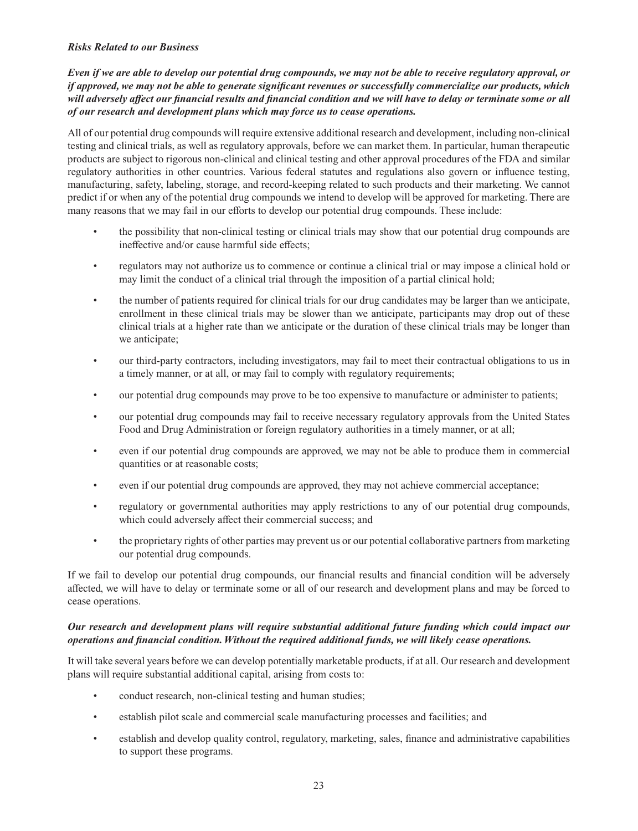#### *Risks Related to our Business*

*Even if we are able to develop our potential drug compounds, we may not be able to receive regulatory approval, or if approved, we may not be able to generate significant revenues or successfully commercialize our products, which* will adversely affect our financial results and financial condition and we will have to delay or terminate some or all *of our research and development plans which may force us to cease operations.*

All of our potential drug compounds will require extensive additional research and development, including non-clinical testing and clinical trials, as well as regulatory approvals, before we can market them. In particular, human therapeutic products are subject to rigorous non-clinical and clinical testing and other approval procedures of the FDA and similar regulatory authorities in other countries. Various federal statutes and regulations also govern or influence testing, manufacturing, safety, labeling, storage, and record-keeping related to such products and their marketing. We cannot predict if or when any of the potential drug compounds we intend to develop will be approved for marketing. There are many reasons that we may fail in our efforts to develop our potential drug compounds. These include:

- the possibility that non-clinical testing or clinical trials may show that our potential drug compounds are ineffective and/or cause harmful side effects:
- regulators may not authorize us to commence or continue a clinical trial or may impose a clinical hold or may limit the conduct of a clinical trial through the imposition of a partial clinical hold;
- the number of patients required for clinical trials for our drug candidates may be larger than we anticipate, enrollment in these clinical trials may be slower than we anticipate, participants may drop out of these clinical trials at a higher rate than we anticipate or the duration of these clinical trials may be longer than we anticipate;
- our third-party contractors, including investigators, may fail to meet their contractual obligations to us in a timely manner, or at all, or may fail to comply with regulatory requirements;
- our potential drug compounds may prove to be too expensive to manufacture or administer to patients;
- our potential drug compounds may fail to receive necessary regulatory approvals from the United States Food and Drug Administration or foreign regulatory authorities in a timely manner, or at all;
- even if our potential drug compounds are approved, we may not be able to produce them in commercial quantities or at reasonable costs;
- even if our potential drug compounds are approved, they may not achieve commercial acceptance;
- regulatory or governmental authorities may apply restrictions to any of our potential drug compounds, which could adversely affect their commercial success; and
- the proprietary rights of other parties may prevent us or our potential collaborative partners from marketing our potential drug compounds.

If we fail to develop our potential drug compounds, our financial results and financial condition will be adversely affected, we will have to delay or terminate some or all of our research and development plans and may be forced to cease operations.

## *Our research and development plans will require substantial additional future funding which could impact our operations and fi nancial condition. Without the required additional funds, we will likely cease operations.*

It will take several years before we can develop potentially marketable products, if at all. Our research and development plans will require substantial additional capital, arising from costs to:

- conduct research, non-clinical testing and human studies;
- establish pilot scale and commercial scale manufacturing processes and facilities; and
- establish and develop quality control, regulatory, marketing, sales, finance and administrative capabilities to support these programs.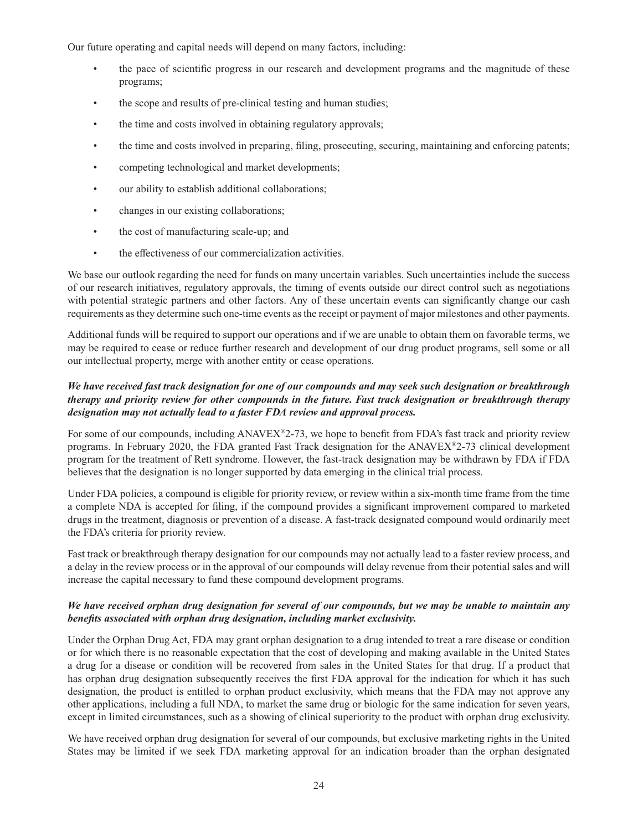Our future operating and capital needs will depend on many factors, including:

- the pace of scientific progress in our research and development programs and the magnitude of these programs;
- the scope and results of pre-clinical testing and human studies;
- the time and costs involved in obtaining regulatory approvals;
- the time and costs involved in preparing, filing, prosecuting, securing, maintaining and enforcing patents;
- competing technological and market developments;
- our ability to establish additional collaborations;
- changes in our existing collaborations;
- the cost of manufacturing scale-up; and
- the effectiveness of our commercialization activities.

We base our outlook regarding the need for funds on many uncertain variables. Such uncertainties include the success of our research initiatives, regulatory approvals, the timing of events outside our direct control such as negotiations with potential strategic partners and other factors. Any of these uncertain events can significantly change our cash requirements as they determine such one-time events as the receipt or payment of major milestones and other payments.

Additional funds will be required to support our operations and if we are unable to obtain them on favorable terms, we may be required to cease or reduce further research and development of our drug product programs, sell some or all our intellectual property, merge with another entity or cease operations.

# *We have received fast track designation for one of our compounds and may seek such designation or breakthrough therapy and priority review for other compounds in the future. Fast track designation or breakthrough therapy designation may not actually lead to a faster FDA review and approval process.*

For some of our compounds, including ANAVEX®2-73, we hope to benefit from FDA's fast track and priority review programs. In February 2020, the FDA granted Fast Track designation for the ANAVEX®2-73 clinical development program for the treatment of Rett syndrome. However, the fast-track designation may be withdrawn by FDA if FDA believes that the designation is no longer supported by data emerging in the clinical trial process.

Under FDA policies, a compound is eligible for priority review, or review within a six-month time frame from the time a complete NDA is accepted for filing, if the compound provides a significant improvement compared to marketed drugs in the treatment, diagnosis or prevention of a disease. A fast-track designated compound would ordinarily meet the FDA's criteria for priority review.

Fast track or breakthrough therapy designation for our compounds may not actually lead to a faster review process, and a delay in the review process or in the approval of our compounds will delay revenue from their potential sales and will increase the capital necessary to fund these compound development programs.

#### *We have received orphan drug designation for several of our compounds, but we may be unable to maintain any benefits associated with orphan drug designation, including market exclusivity.*

Under the Orphan Drug Act, FDA may grant orphan designation to a drug intended to treat a rare disease or condition or for which there is no reasonable expectation that the cost of developing and making available in the United States a drug for a disease or condition will be recovered from sales in the United States for that drug. If a product that has orphan drug designation subsequently receives the first FDA approval for the indication for which it has such designation, the product is entitled to orphan product exclusivity, which means that the FDA may not approve any other applications, including a full NDA, to market the same drug or biologic for the same indication for seven years, except in limited circumstances, such as a showing of clinical superiority to the product with orphan drug exclusivity.

We have received orphan drug designation for several of our compounds, but exclusive marketing rights in the United States may be limited if we seek FDA marketing approval for an indication broader than the orphan designated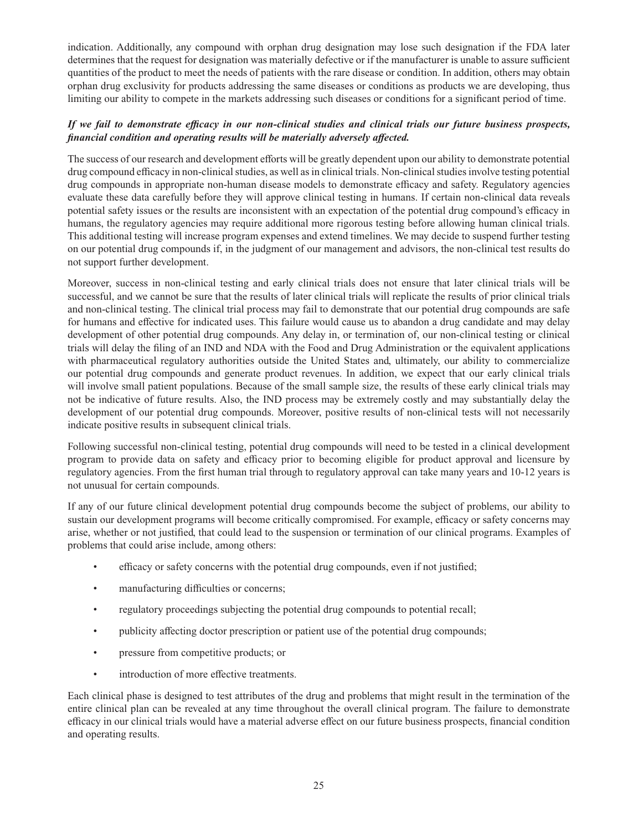indication. Additionally, any compound with orphan drug designation may lose such designation if the FDA later determines that the request for designation was materially defective or if the manufacturer is unable to assure sufficient quantities of the product to meet the needs of patients with the rare disease or condition. In addition, others may obtain orphan drug exclusivity for products addressing the same diseases or conditions as products we are developing, thus limiting our ability to compete in the markets addressing such diseases or conditions for a significant period of time.

# If we fail to demonstrate efficacy in our non-clinical studies and clinical trials our future business prospects, *fi nancial condition and operating results will be materially adversely aff ected.*

The success of our research and development efforts will be greatly dependent upon our ability to demonstrate potential drug compound efficacy in non-clinical studies, as well as in clinical trials. Non-clinical studies involve testing potential drug compounds in appropriate non-human disease models to demonstrate efficacy and safety. Regulatory agencies evaluate these data carefully before they will approve clinical testing in humans. If certain non-clinical data reveals potential safety issues or the results are inconsistent with an expectation of the potential drug compound's efficacy in humans, the regulatory agencies may require additional more rigorous testing before allowing human clinical trials. This additional testing will increase program expenses and extend timelines. We may decide to suspend further testing on our potential drug compounds if, in the judgment of our management and advisors, the non-clinical test results do not support further development.

Moreover, success in non-clinical testing and early clinical trials does not ensure that later clinical trials will be successful, and we cannot be sure that the results of later clinical trials will replicate the results of prior clinical trials and non-clinical testing. The clinical trial process may fail to demonstrate that our potential drug compounds are safe for humans and effective for indicated uses. This failure would cause us to abandon a drug candidate and may delay development of other potential drug compounds. Any delay in, or termination of, our non-clinical testing or clinical trials will delay the filing of an IND and NDA with the Food and Drug Administration or the equivalent applications with pharmaceutical regulatory authorities outside the United States and, ultimately, our ability to commercialize our potential drug compounds and generate product revenues. In addition, we expect that our early clinical trials will involve small patient populations. Because of the small sample size, the results of these early clinical trials may not be indicative of future results. Also, the IND process may be extremely costly and may substantially delay the development of our potential drug compounds. Moreover, positive results of non-clinical tests will not necessarily indicate positive results in subsequent clinical trials.

Following successful non-clinical testing, potential drug compounds will need to be tested in a clinical development program to provide data on safety and efficacy prior to becoming eligible for product approval and licensure by regulatory agencies. From the first human trial through to regulatory approval can take many years and 10-12 years is not unusual for certain compounds.

If any of our future clinical development potential drug compounds become the subject of problems, our ability to sustain our development programs will become critically compromised. For example, efficacy or safety concerns may arise, whether or not justified, that could lead to the suspension or termination of our clinical programs. Examples of problems that could arise include, among others:

- efficacy or safety concerns with the potential drug compounds, even if not justified;
- manufacturing difficulties or concerns;
- regulatory proceedings subjecting the potential drug compounds to potential recall;
- publicity affecting doctor prescription or patient use of the potential drug compounds;
- pressure from competitive products; or
- introduction of more effective treatments.

Each clinical phase is designed to test attributes of the drug and problems that might result in the termination of the entire clinical plan can be revealed at any time throughout the overall clinical program. The failure to demonstrate efficacy in our clinical trials would have a material adverse effect on our future business prospects, financial condition and operating results.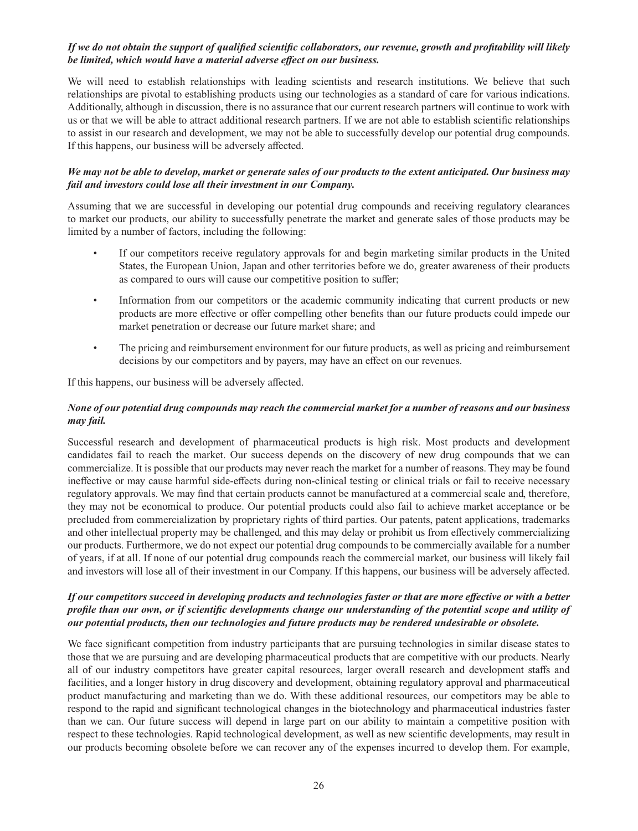# If we do not obtain the support of qualified scientific collaborators, our revenue, growth and profitability will likely be limited, which would have a material adverse effect on our business.

We will need to establish relationships with leading scientists and research institutions. We believe that such relationships are pivotal to establishing products using our technologies as a standard of care for various indications. Additionally, although in discussion, there is no assurance that our current research partners will continue to work with us or that we will be able to attract additional research partners. If we are not able to establish scientific relationships to assist in our research and development, we may not be able to successfully develop our potential drug compounds. If this happens, our business will be adversely affected.

## *We may not be able to develop, market or generate sales of our products to the extent anticipated. Our business may fail and investors could lose all their investment in our Company.*

Assuming that we are successful in developing our potential drug compounds and receiving regulatory clearances to market our products, our ability to successfully penetrate the market and generate sales of those products may be limited by a number of factors, including the following:

- If our competitors receive regulatory approvals for and begin marketing similar products in the United States, the European Union, Japan and other territories before we do, greater awareness of their products as compared to ours will cause our competitive position to suffer;
- Information from our competitors or the academic community indicating that current products or new products are more effective or offer compelling other benefits than our future products could impede our market penetration or decrease our future market share; and
- The pricing and reimbursement environment for our future products, as well as pricing and reimbursement decisions by our competitors and by payers, may have an effect on our revenues.

If this happens, our business will be adversely affected.

# *None of our potential drug compounds may reach the commercial market for a number of reasons and our business may fail.*

Successful research and development of pharmaceutical products is high risk. Most products and development candidates fail to reach the market. Our success depends on the discovery of new drug compounds that we can commercialize. It is possible that our products may never reach the market for a number of reasons. They may be found ineffective or may cause harmful side-effects during non-clinical testing or clinical trials or fail to receive necessary regulatory approvals. We may find that certain products cannot be manufactured at a commercial scale and, therefore, they may not be economical to produce. Our potential products could also fail to achieve market acceptance or be precluded from commercialization by proprietary rights of third parties. Our patents, patent applications, trademarks and other intellectual property may be challenged, and this may delay or prohibit us from effectively commercializing our products. Furthermore, we do not expect our potential drug compounds to be commercially available for a number of years, if at all. If none of our potential drug compounds reach the commercial market, our business will likely fail and investors will lose all of their investment in our Company. If this happens, our business will be adversely affected.

#### *If our competitors succeed in developing products and technologies faster or that are more eff ective or with a better profile than our own, or if scientific developments change our understanding of the potential scope and utility of our potential products, then our technologies and future products may be rendered undesirable or obsolete.*

We face significant competition from industry participants that are pursuing technologies in similar disease states to those that we are pursuing and are developing pharmaceutical products that are competitive with our products. Nearly all of our industry competitors have greater capital resources, larger overall research and development staffs and facilities, and a longer history in drug discovery and development, obtaining regulatory approval and pharmaceutical product manufacturing and marketing than we do. With these additional resources, our competitors may be able to respond to the rapid and significant technological changes in the biotechnology and pharmaceutical industries faster than we can. Our future success will depend in large part on our ability to maintain a competitive position with respect to these technologies. Rapid technological development, as well as new scientific developments, may result in our products becoming obsolete before we can recover any of the expenses incurred to develop them. For example,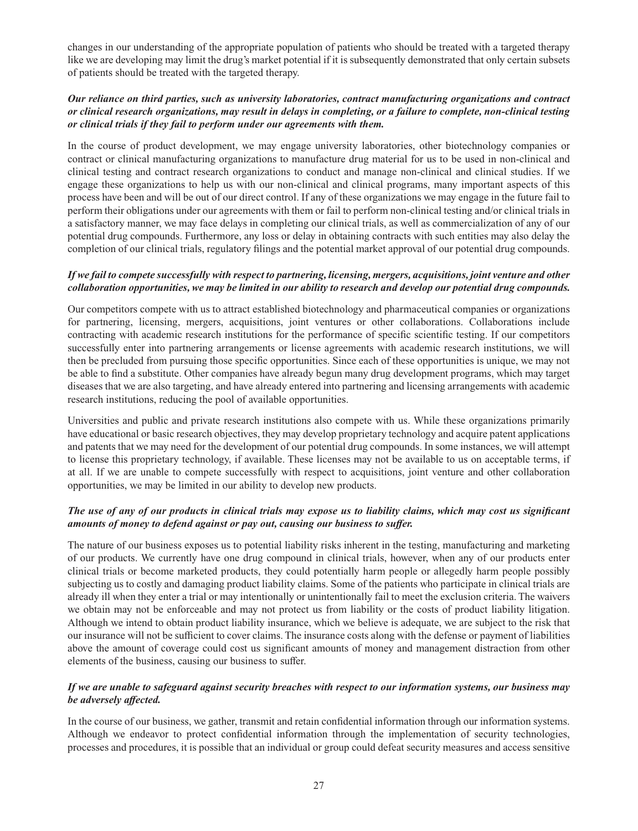changes in our understanding of the appropriate population of patients who should be treated with a targeted therapy like we are developing may limit the drug's market potential if it is subsequently demonstrated that only certain subsets of patients should be treated with the targeted therapy.

## *Our reliance on third parties, such as university laboratories, contract manufacturing organizations and contract or clinical research organizations, may result in delays in completing, or a failure to complete, non-clinical testing or clinical trials if they fail to perform under our agreements with them.*

In the course of product development, we may engage university laboratories, other biotechnology companies or contract or clinical manufacturing organizations to manufacture drug material for us to be used in non-clinical and clinical testing and contract research organizations to conduct and manage non-clinical and clinical studies. If we engage these organizations to help us with our non-clinical and clinical programs, many important aspects of this process have been and will be out of our direct control. If any of these organizations we may engage in the future fail to perform their obligations under our agreements with them or fail to perform non-clinical testing and/or clinical trials in a satisfactory manner, we may face delays in completing our clinical trials, as well as commercialization of any of our potential drug compounds. Furthermore, any loss or delay in obtaining contracts with such entities may also delay the completion of our clinical trials, regulatory filings and the potential market approval of our potential drug compounds.

#### *If we fail to compete successfully with respect to partnering, licensing, mergers, acquisitions, joint venture and other collaboration opportunities, we may be limited in our ability to research and develop our potential drug compounds.*

Our competitors compete with us to attract established biotechnology and pharmaceutical companies or organizations for partnering, licensing, mergers, acquisitions, joint ventures or other collaborations. Collaborations include contracting with academic research institutions for the performance of specific scientific testing. If our competitors successfully enter into partnering arrangements or license agreements with academic research institutions, we will then be precluded from pursuing those specific opportunities. Since each of these opportunities is unique, we may not be able to find a substitute. Other companies have already begun many drug development programs, which may target diseases that we are also targeting, and have already entered into partnering and licensing arrangements with academic research institutions, reducing the pool of available opportunities.

Universities and public and private research institutions also compete with us. While these organizations primarily have educational or basic research objectives, they may develop proprietary technology and acquire patent applications and patents that we may need for the development of our potential drug compounds. In some instances, we will attempt to license this proprietary technology, if available. These licenses may not be available to us on acceptable terms, if at all. If we are unable to compete successfully with respect to acquisitions, joint venture and other collaboration opportunities, we may be limited in our ability to develop new products.

## The use of any of our products in clinical trials may expose us to liability claims, which may cost us significant *amounts of money to defend against or pay out, causing our business to suffer.*

The nature of our business exposes us to potential liability risks inherent in the testing, manufacturing and marketing of our products. We currently have one drug compound in clinical trials, however, when any of our products enter clinical trials or become marketed products, they could potentially harm people or allegedly harm people possibly subjecting us to costly and damaging product liability claims. Some of the patients who participate in clinical trials are already ill when they enter a trial or may intentionally or unintentionally fail to meet the exclusion criteria. The waivers we obtain may not be enforceable and may not protect us from liability or the costs of product liability litigation. Although we intend to obtain product liability insurance, which we believe is adequate, we are subject to the risk that our insurance will not be sufficient to cover claims. The insurance costs along with the defense or payment of liabilities above the amount of coverage could cost us significant amounts of money and management distraction from other elements of the business, causing our business to suffer.

# *If we are unable to safeguard against security breaches with respect to our information systems, our business may be adversely affected.*

In the course of our business, we gather, transmit and retain confidential information through our information systems. Although we endeavor to protect confidential information through the implementation of security technologies, processes and procedures, it is possible that an individual or group could defeat security measures and access sensitive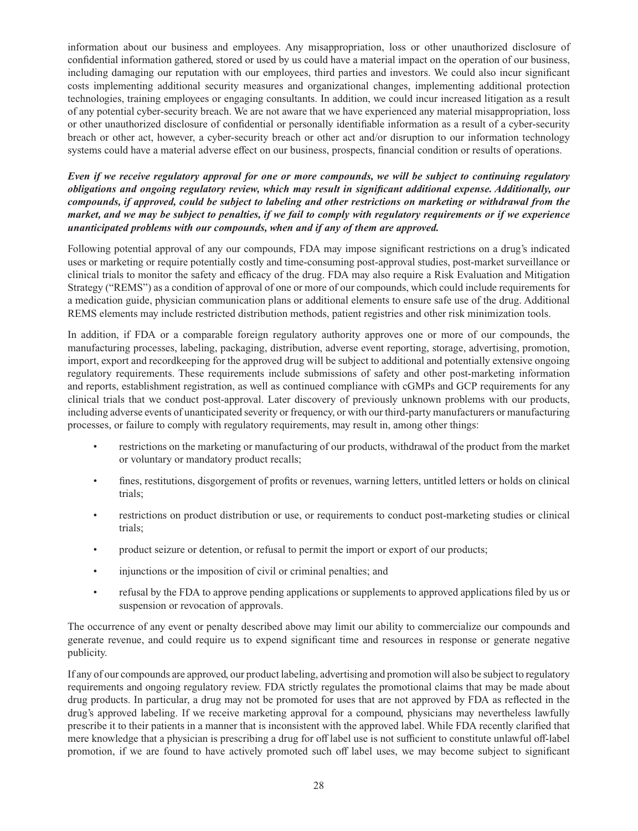information about our business and employees. Any misappropriation, loss or other unauthorized disclosure of confidential information gathered, stored or used by us could have a material impact on the operation of our business, including damaging our reputation with our employees, third parties and investors. We could also incur significant costs implementing additional security measures and organizational changes, implementing additional protection technologies, training employees or engaging consultants. In addition, we could incur increased litigation as a result of any potential cyber-security breach. We are not aware that we have experienced any material misappropriation, loss or other unauthorized disclosure of confidential or personally identifiable information as a result of a cyber-security breach or other act, however, a cyber-security breach or other act and/or disruption to our information technology systems could have a material adverse effect on our business, prospects, financial condition or results of operations.

*Even if we receive regulatory approval for one or more compounds, we will be subject to continuing regulatory obligations and ongoing regulatory review, which may result in significant additional expense. Additionally, our compounds, if approved, could be subject to labeling and other restrictions on marketing or withdrawal from the market, and we may be subject to penalties, if we fail to comply with regulatory requirements or if we experience unanticipated problems with our compounds, when and if any of them are approved.*

Following potential approval of any our compounds, FDA may impose significant restrictions on a drug's indicated uses or marketing or require potentially costly and time-consuming post-approval studies, post-market surveillance or clinical trials to monitor the safety and efficacy of the drug. FDA may also require a Risk Evaluation and Mitigation Strategy ("REMS") as a condition of approval of one or more of our compounds, which could include requirements for a medication guide, physician communication plans or additional elements to ensure safe use of the drug. Additional REMS elements may include restricted distribution methods, patient registries and other risk minimization tools.

In addition, if FDA or a comparable foreign regulatory authority approves one or more of our compounds, the manufacturing processes, labeling, packaging, distribution, adverse event reporting, storage, advertising, promotion, import, export and recordkeeping for the approved drug will be subject to additional and potentially extensive ongoing regulatory requirements. These requirements include submissions of safety and other post-marketing information and reports, establishment registration, as well as continued compliance with cGMPs and GCP requirements for any clinical trials that we conduct post-approval. Later discovery of previously unknown problems with our products, including adverse events of unanticipated severity or frequency, or with our third-party manufacturers or manufacturing processes, or failure to comply with regulatory requirements, may result in, among other things:

- restrictions on the marketing or manufacturing of our products, withdrawal of the product from the market or voluntary or mandatory product recalls;
- fines, restitutions, disgorgement of profits or revenues, warning letters, untitled letters or holds on clinical trials;
- restrictions on product distribution or use, or requirements to conduct post-marketing studies or clinical trials;
- product seizure or detention, or refusal to permit the import or export of our products;
- injunctions or the imposition of civil or criminal penalties; and
- refusal by the FDA to approve pending applications or supplements to approved applications filed by us or suspension or revocation of approvals.

The occurrence of any event or penalty described above may limit our ability to commercialize our compounds and generate revenue, and could require us to expend significant time and resources in response or generate negative publicity.

If any of our compounds are approved, our product labeling, advertising and promotion will also be subject to regulatory requirements and ongoing regulatory review. FDA strictly regulates the promotional claims that may be made about drug products. In particular, a drug may not be promoted for uses that are not approved by FDA as reflected in the drug's approved labeling. If we receive marketing approval for a compound, physicians may nevertheless lawfully prescribe it to their patients in a manner that is inconsistent with the approved label. While FDA recently clarified that mere knowledge that a physician is prescribing a drug for off label use is not sufficient to constitute unlawful off-label promotion, if we are found to have actively promoted such off label uses, we may become subject to significant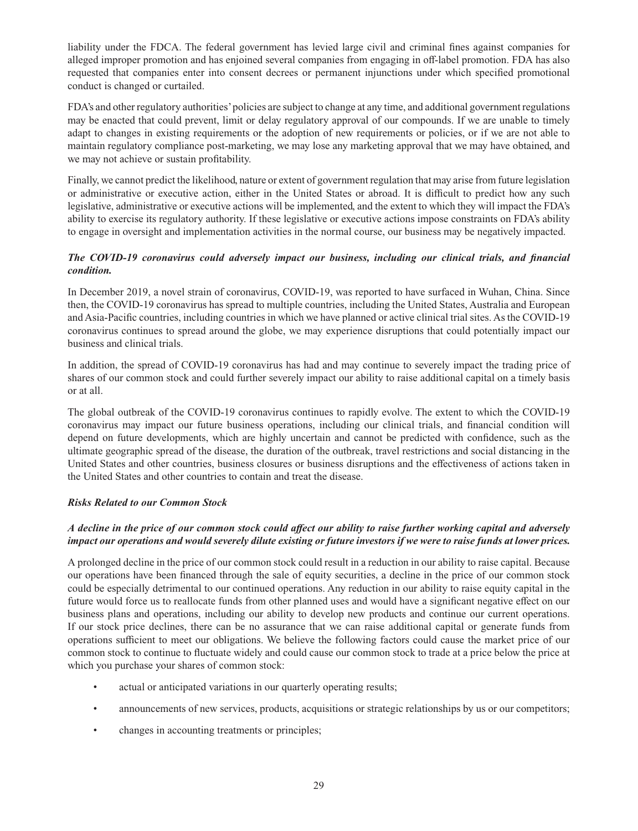liability under the FDCA. The federal government has levied large civil and criminal fines against companies for alleged improper promotion and has enjoined several companies from engaging in off -label promotion. FDA has also requested that companies enter into consent decrees or permanent injunctions under which specified promotional conduct is changed or curtailed.

FDA's and other regulatory authorities' policies are subject to change at any time, and additional government regulations may be enacted that could prevent, limit or delay regulatory approval of our compounds. If we are unable to timely adapt to changes in existing requirements or the adoption of new requirements or policies, or if we are not able to maintain regulatory compliance post-marketing, we may lose any marketing approval that we may have obtained, and we may not achieve or sustain profitability.

Finally, we cannot predict the likelihood, nature or extent of government regulation that may arise from future legislation or administrative or executive action, either in the United States or abroad. It is difficult to predict how any such legislative, administrative or executive actions will be implemented, and the extent to which they will impact the FDA's ability to exercise its regulatory authority. If these legislative or executive actions impose constraints on FDA's ability to engage in oversight and implementation activities in the normal course, our business may be negatively impacted.

# *The COVID-19 coronavirus could adversely impact our business, including our clinical trials, and financial condition.*

In December 2019, a novel strain of coronavirus, COVID-19, was reported to have surfaced in Wuhan, China. Since then, the COVID-19 coronavirus has spread to multiple countries, including the United States, Australia and European and Asia-Pacific countries, including countries in which we have planned or active clinical trial sites. As the COVID-19 coronavirus continues to spread around the globe, we may experience disruptions that could potentially impact our business and clinical trials.

In addition, the spread of COVID-19 coronavirus has had and may continue to severely impact the trading price of shares of our common stock and could further severely impact our ability to raise additional capital on a timely basis or at all.

The global outbreak of the COVID-19 coronavirus continues to rapidly evolve. The extent to which the COVID-19 coronavirus may impact our future business operations, including our clinical trials, and financial condition will depend on future developments, which are highly uncertain and cannot be predicted with confidence, such as the ultimate geographic spread of the disease, the duration of the outbreak, travel restrictions and social distancing in the United States and other countries, business closures or business disruptions and the effectiveness of actions taken in the United States and other countries to contain and treat the disease.

# *Risks Related to our Common Stock*

# A decline in the price of our common stock could affect our ability to raise further working capital and adversely *impact our operations and would severely dilute existing or future investors if we were to raise funds at lower prices.*

A prolonged decline in the price of our common stock could result in a reduction in our ability to raise capital. Because our operations have been financed through the sale of equity securities, a decline in the price of our common stock could be especially detrimental to our continued operations. Any reduction in our ability to raise equity capital in the future would force us to reallocate funds from other planned uses and would have a significant negative effect on our business plans and operations, including our ability to develop new products and continue our current operations. If our stock price declines, there can be no assurance that we can raise additional capital or generate funds from operations sufficient to meet our obligations. We believe the following factors could cause the market price of our common stock to continue to fluctuate widely and could cause our common stock to trade at a price below the price at which you purchase your shares of common stock:

- actual or anticipated variations in our quarterly operating results;
- announcements of new services, products, acquisitions or strategic relationships by us or our competitors;
- changes in accounting treatments or principles;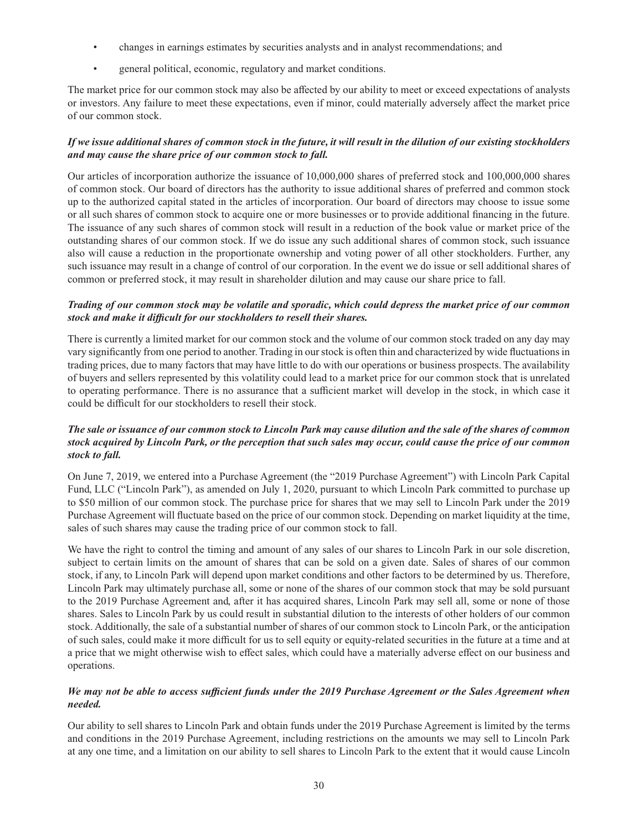- changes in earnings estimates by securities analysts and in analyst recommendations; and
- general political, economic, regulatory and market conditions.

The market price for our common stock may also be affected by our ability to meet or exceed expectations of analysts or investors. Any failure to meet these expectations, even if minor, could materially adversely affect the market price of our common stock.

# *If we issue additional shares of common stock in the future, it will result in the dilution of our existing stockholders and may cause the share price of our common stock to fall.*

Our articles of incorporation authorize the issuance of 10,000,000 shares of preferred stock and 100,000,000 shares of common stock. Our board of directors has the authority to issue additional shares of preferred and common stock up to the authorized capital stated in the articles of incorporation. Our board of directors may choose to issue some or all such shares of common stock to acquire one or more businesses or to provide additional financing in the future. The issuance of any such shares of common stock will result in a reduction of the book value or market price of the outstanding shares of our common stock. If we do issue any such additional shares of common stock, such issuance also will cause a reduction in the proportionate ownership and voting power of all other stockholders. Further, any such issuance may result in a change of control of our corporation. In the event we do issue or sell additional shares of common or preferred stock, it may result in shareholder dilution and may cause our share price to fall.

## *Trading of our common stock may be volatile and sporadic, which could depress the market price of our common stock and make it diffi cult for our stockholders to resell their shares.*

There is currently a limited market for our common stock and the volume of our common stock traded on any day may vary significantly from one period to another. Trading in our stock is often thin and characterized by wide fluctuations in trading prices, due to many factors that may have little to do with our operations or business prospects. The availability of buyers and sellers represented by this volatility could lead to a market price for our common stock that is unrelated to operating performance. There is no assurance that a sufficient market will develop in the stock, in which case it could be difficult for our stockholders to resell their stock.

## *The sale or issuance of our common stock to Lincoln Park may cause dilution and the sale of the shares of common stock acquired by Lincoln Park, or the perception that such sales may occur, could cause the price of our common stock to fall.*

On June 7, 2019, we entered into a Purchase Agreement (the "2019 Purchase Agreement") with Lincoln Park Capital Fund, LLC ("Lincoln Park"), as amended on July 1, 2020, pursuant to which Lincoln Park committed to purchase up to \$50 million of our common stock. The purchase price for shares that we may sell to Lincoln Park under the 2019 Purchase Agreement will fluctuate based on the price of our common stock. Depending on market liquidity at the time, sales of such shares may cause the trading price of our common stock to fall.

We have the right to control the timing and amount of any sales of our shares to Lincoln Park in our sole discretion, subject to certain limits on the amount of shares that can be sold on a given date. Sales of shares of our common stock, if any, to Lincoln Park will depend upon market conditions and other factors to be determined by us. Therefore, Lincoln Park may ultimately purchase all, some or none of the shares of our common stock that may be sold pursuant to the 2019 Purchase Agreement and, after it has acquired shares, Lincoln Park may sell all, some or none of those shares. Sales to Lincoln Park by us could result in substantial dilution to the interests of other holders of our common stock. Additionally, the sale of a substantial number of shares of our common stock to Lincoln Park, or the anticipation of such sales, could make it more difficult for us to sell equity or equity-related securities in the future at a time and at a price that we might otherwise wish to effect sales, which could have a materially adverse effect on our business and operations.

## *We may not be able to access sufficient funds under the 2019 Purchase Agreement or the Sales Agreement when needed.*

Our ability to sell shares to Lincoln Park and obtain funds under the 2019 Purchase Agreement is limited by the terms and conditions in the 2019 Purchase Agreement, including restrictions on the amounts we may sell to Lincoln Park at any one time, and a limitation on our ability to sell shares to Lincoln Park to the extent that it would cause Lincoln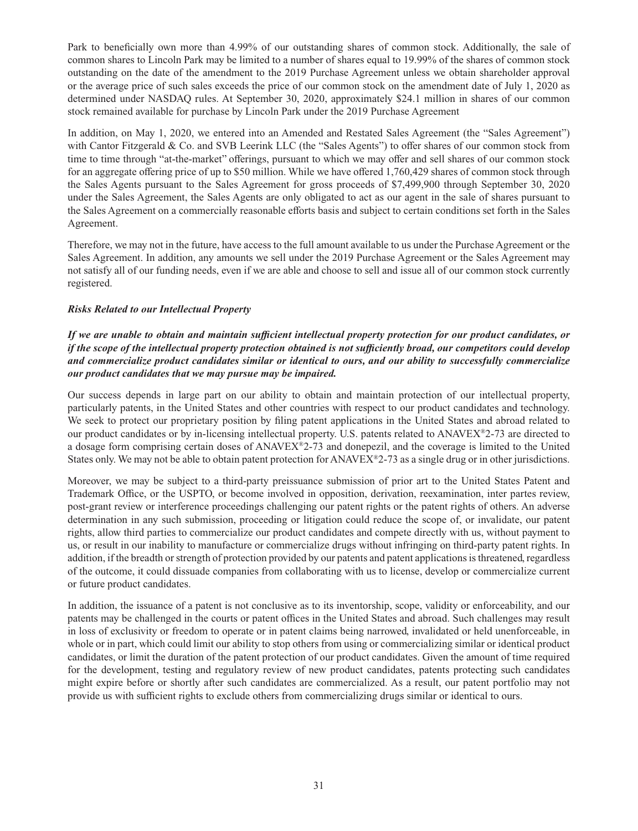Park to beneficially own more than 4.99% of our outstanding shares of common stock. Additionally, the sale of common shares to Lincoln Park may be limited to a number of shares equal to 19.99% of the shares of common stock outstanding on the date of the amendment to the 2019 Purchase Agreement unless we obtain shareholder approval or the average price of such sales exceeds the price of our common stock on the amendment date of July 1, 2020 as determined under NASDAQ rules. At September 30, 2020, approximately \$24.1 million in shares of our common stock remained available for purchase by Lincoln Park under the 2019 Purchase Agreement

In addition, on May 1, 2020, we entered into an Amended and Restated Sales Agreement (the "Sales Agreement") with Cantor Fitzgerald & Co. and SVB Leerink LLC (the "Sales Agents") to offer shares of our common stock from time to time through "at-the-market" offerings, pursuant to which we may offer and sell shares of our common stock for an aggregate offering price of up to \$50 million. While we have offered 1,760,429 shares of common stock through the Sales Agents pursuant to the Sales Agreement for gross proceeds of \$7,499,900 through September 30, 2020 under the Sales Agreement, the Sales Agents are only obligated to act as our agent in the sale of shares pursuant to the Sales Agreement on a commercially reasonable efforts basis and subject to certain conditions set forth in the Sales Agreement.

Therefore, we may not in the future, have access to the full amount available to us under the Purchase Agreement or the Sales Agreement. In addition, any amounts we sell under the 2019 Purchase Agreement or the Sales Agreement may not satisfy all of our funding needs, even if we are able and choose to sell and issue all of our common stock currently registered.

#### *Risks Related to our Intellectual Property*

If we are unable to obtain and maintain sufficient intellectual property protection for our product candidates, or *if the scope of the intellectual property protection obtained is not sufficiently broad, our competitors could develop and commercialize product candidates similar or identical to ours, and our ability to successfully commercialize our product candidates that we may pursue may be impaired.*

Our success depends in large part on our ability to obtain and maintain protection of our intellectual property, particularly patents, in the United States and other countries with respect to our product candidates and technology. We seek to protect our proprietary position by filing patent applications in the United States and abroad related to our product candidates or by in-licensing intellectual property. U.S. patents related to ANAVEX®2-73 are directed to a dosage form comprising certain doses of ANAVEX®2-73 and donepezil, and the coverage is limited to the United States only. We may not be able to obtain patent protection for ANAVEX®2-73 as a single drug or in other jurisdictions.

Moreover, we may be subject to a third-party preissuance submission of prior art to the United States Patent and Trademark Office, or the USPTO, or become involved in opposition, derivation, reexamination, inter partes review, post-grant review or interference proceedings challenging our patent rights or the patent rights of others. An adverse determination in any such submission, proceeding or litigation could reduce the scope of, or invalidate, our patent rights, allow third parties to commercialize our product candidates and compete directly with us, without payment to us, or result in our inability to manufacture or commercialize drugs without infringing on third-party patent rights. In addition, if the breadth or strength of protection provided by our patents and patent applications is threatened, regardless of the outcome, it could dissuade companies from collaborating with us to license, develop or commercialize current or future product candidates.

In addition, the issuance of a patent is not conclusive as to its inventorship, scope, validity or enforceability, and our patents may be challenged in the courts or patent offices in the United States and abroad. Such challenges may result in loss of exclusivity or freedom to operate or in patent claims being narrowed, invalidated or held unenforceable, in whole or in part, which could limit our ability to stop others from using or commercializing similar or identical product candidates, or limit the duration of the patent protection of our product candidates. Given the amount of time required for the development, testing and regulatory review of new product candidates, patents protecting such candidates might expire before or shortly after such candidates are commercialized. As a result, our patent portfolio may not provide us with sufficient rights to exclude others from commercializing drugs similar or identical to ours.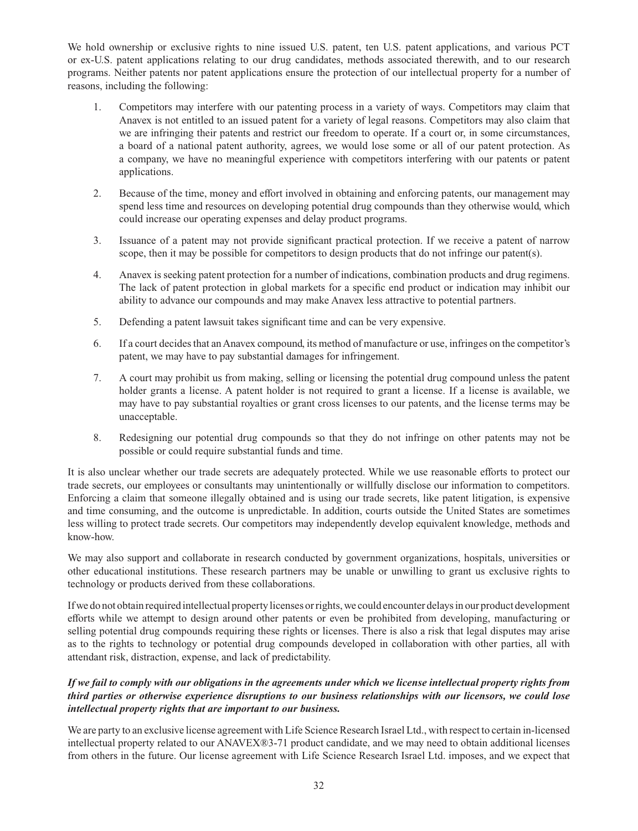We hold ownership or exclusive rights to nine issued U.S. patent, ten U.S. patent applications, and various PCT or ex-U.S. patent applications relating to our drug candidates, methods associated therewith, and to our research programs. Neither patents nor patent applications ensure the protection of our intellectual property for a number of reasons, including the following:

- 1. Competitors may interfere with our patenting process in a variety of ways. Competitors may claim that Anavex is not entitled to an issued patent for a variety of legal reasons. Competitors may also claim that we are infringing their patents and restrict our freedom to operate. If a court or, in some circumstances, a board of a national patent authority, agrees, we would lose some or all of our patent protection. As a company, we have no meaningful experience with competitors interfering with our patents or patent applications.
- 2. Because of the time, money and effort involved in obtaining and enforcing patents, our management may spend less time and resources on developing potential drug compounds than they otherwise would, which could increase our operating expenses and delay product programs.
- 3. Issuance of a patent may not provide significant practical protection. If we receive a patent of narrow scope, then it may be possible for competitors to design products that do not infringe our patent(s).
- 4. Anavex is seeking patent protection for a number of indications, combination products and drug regimens. The lack of patent protection in global markets for a specific end product or indication may inhibit our ability to advance our compounds and may make Anavex less attractive to potential partners.
- 5. Defending a patent lawsuit takes significant time and can be very expensive.
- 6. If a court decides that an Anavex compound, its method of manufacture or use, infringes on the competitor's patent, we may have to pay substantial damages for infringement.
- 7. A court may prohibit us from making, selling or licensing the potential drug compound unless the patent holder grants a license. A patent holder is not required to grant a license. If a license is available, we may have to pay substantial royalties or grant cross licenses to our patents, and the license terms may be unacceptable.
- 8. Redesigning our potential drug compounds so that they do not infringe on other patents may not be possible or could require substantial funds and time.

It is also unclear whether our trade secrets are adequately protected. While we use reasonable efforts to protect our trade secrets, our employees or consultants may unintentionally or willfully disclose our information to competitors. Enforcing a claim that someone illegally obtained and is using our trade secrets, like patent litigation, is expensive and time consuming, and the outcome is unpredictable. In addition, courts outside the United States are sometimes less willing to protect trade secrets. Our competitors may independently develop equivalent knowledge, methods and know-how.

We may also support and collaborate in research conducted by government organizations, hospitals, universities or other educational institutions. These research partners may be unable or unwilling to grant us exclusive rights to technology or products derived from these collaborations.

If we do not obtain required intellectual property licenses or rights, we could encounter delays in our product development efforts while we attempt to design around other patents or even be prohibited from developing, manufacturing or selling potential drug compounds requiring these rights or licenses. There is also a risk that legal disputes may arise as to the rights to technology or potential drug compounds developed in collaboration with other parties, all with attendant risk, distraction, expense, and lack of predictability.

## *If we fail to comply with our obligations in the agreements under which we license intellectual property rights from third parties or otherwise experience disruptions to our business relationships with our licensors, we could lose intellectual property rights that are important to our business.*

We are party to an exclusive license agreement with Life Science Research Israel Ltd., with respect to certain in-licensed intellectual property related to our ANAVEX®3-71 product candidate, and we may need to obtain additional licenses from others in the future. Our license agreement with Life Science Research Israel Ltd. imposes, and we expect that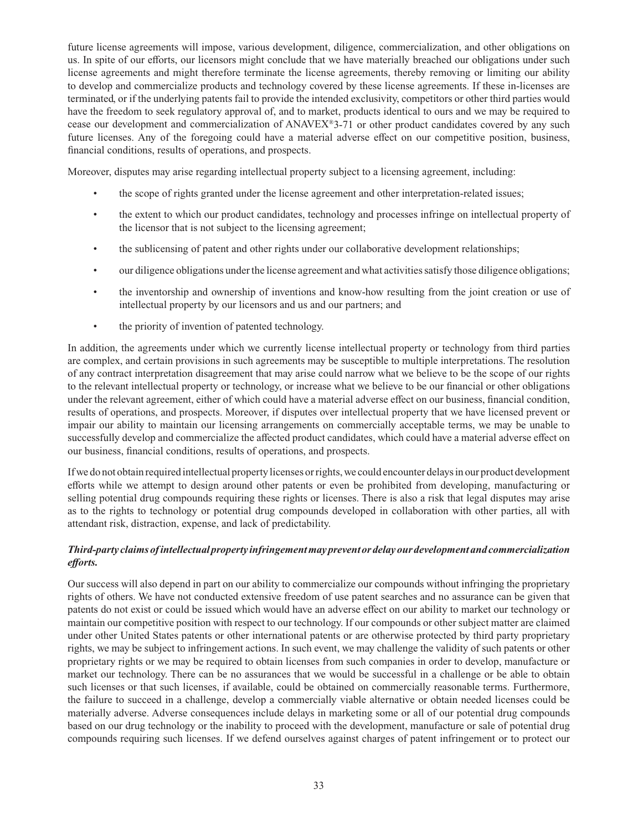future license agreements will impose, various development, diligence, commercialization, and other obligations on us. In spite of our efforts, our licensors might conclude that we have materially breached our obligations under such license agreements and might therefore terminate the license agreements, thereby removing or limiting our ability to develop and commercialize products and technology covered by these license agreements. If these in-licenses are terminated, or if the underlying patents fail to provide the intended exclusivity, competitors or other third parties would have the freedom to seek regulatory approval of, and to market, products identical to ours and we may be required to cease our development and commercialization of ANAVEX®3-71 or other product candidates covered by any such future licenses. Any of the foregoing could have a material adverse effect on our competitive position, business, financial conditions, results of operations, and prospects.

Moreover, disputes may arise regarding intellectual property subject to a licensing agreement, including:

- the scope of rights granted under the license agreement and other interpretation-related issues;
- the extent to which our product candidates, technology and processes infringe on intellectual property of the licensor that is not subject to the licensing agreement;
- the sublicensing of patent and other rights under our collaborative development relationships;
- our diligence obligations under the license agreement and what activities satisfy those diligence obligations;
- the inventorship and ownership of inventions and know-how resulting from the joint creation or use of intellectual property by our licensors and us and our partners; and
- the priority of invention of patented technology.

In addition, the agreements under which we currently license intellectual property or technology from third parties are complex, and certain provisions in such agreements may be susceptible to multiple interpretations. The resolution of any contract interpretation disagreement that may arise could narrow what we believe to be the scope of our rights to the relevant intellectual property or technology, or increase what we believe to be our financial or other obligations under the relevant agreement, either of which could have a material adverse effect on our business, financial condition, results of operations, and prospects. Moreover, if disputes over intellectual property that we have licensed prevent or impair our ability to maintain our licensing arrangements on commercially acceptable terms, we may be unable to successfully develop and commercialize the affected product candidates, which could have a material adverse effect on our business, financial conditions, results of operations, and prospects.

If we do not obtain required intellectual property licenses or rights, we could encounter delays in our product development efforts while we attempt to design around other patents or even be prohibited from developing, manufacturing or selling potential drug compounds requiring these rights or licenses. There is also a risk that legal disputes may arise as to the rights to technology or potential drug compounds developed in collaboration with other parties, all with attendant risk, distraction, expense, and lack of predictability.

# *Third-party claims of intellectual property infringement may prevent or delay our development and commercialization eff orts.*

Our success will also depend in part on our ability to commercialize our compounds without infringing the proprietary rights of others. We have not conducted extensive freedom of use patent searches and no assurance can be given that patents do not exist or could be issued which would have an adverse effect on our ability to market our technology or maintain our competitive position with respect to our technology. If our compounds or other subject matter are claimed under other United States patents or other international patents or are otherwise protected by third party proprietary rights, we may be subject to infringement actions. In such event, we may challenge the validity of such patents or other proprietary rights or we may be required to obtain licenses from such companies in order to develop, manufacture or market our technology. There can be no assurances that we would be successful in a challenge or be able to obtain such licenses or that such licenses, if available, could be obtained on commercially reasonable terms. Furthermore, the failure to succeed in a challenge, develop a commercially viable alternative or obtain needed licenses could be materially adverse. Adverse consequences include delays in marketing some or all of our potential drug compounds based on our drug technology or the inability to proceed with the development, manufacture or sale of potential drug compounds requiring such licenses. If we defend ourselves against charges of patent infringement or to protect our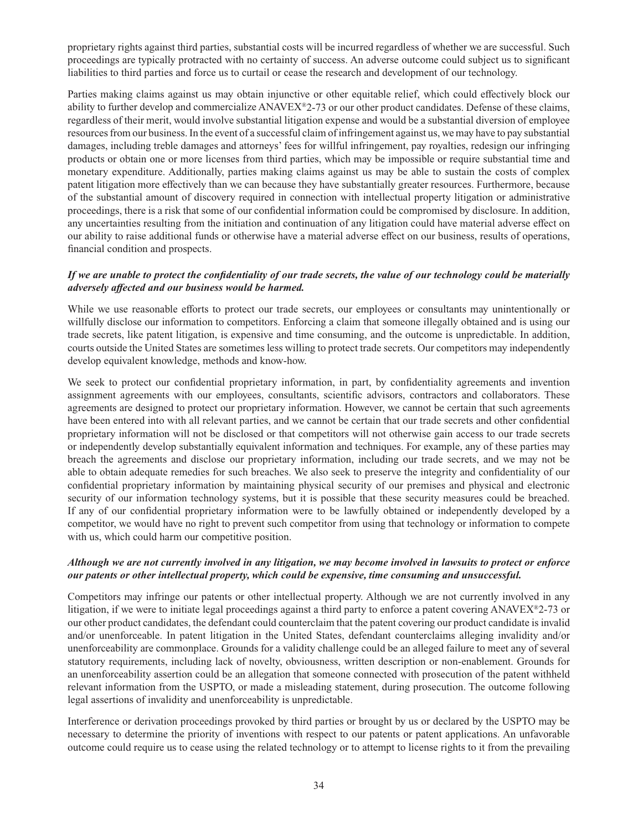proprietary rights against third parties, substantial costs will be incurred regardless of whether we are successful. Such proceedings are typically protracted with no certainty of success. An adverse outcome could subject us to significant liabilities to third parties and force us to curtail or cease the research and development of our technology.

Parties making claims against us may obtain injunctive or other equitable relief, which could effectively block our ability to further develop and commercialize ANAVEX®2-73 or our other product candidates. Defense of these claims, regardless of their merit, would involve substantial litigation expense and would be a substantial diversion of employee resources from our business. In the event of a successful claim of infringement against us, we may have to pay substantial damages, including treble damages and attorneys' fees for willful infringement, pay royalties, redesign our infringing products or obtain one or more licenses from third parties, which may be impossible or require substantial time and monetary expenditure. Additionally, parties making claims against us may be able to sustain the costs of complex patent litigation more effectively than we can because they have substantially greater resources. Furthermore, because of the substantial amount of discovery required in connection with intellectual property litigation or administrative proceedings, there is a risk that some of our confidential information could be compromised by disclosure. In addition, any uncertainties resulting from the initiation and continuation of any litigation could have material adverse effect on our ability to raise additional funds or otherwise have a material adverse effect on our business, results of operations, financial condition and prospects.

#### *If we are unable to protect the confidentiality of our trade secrets, the value of our technology could be materially adversely aff ected and our business would be harmed.*

While we use reasonable efforts to protect our trade secrets, our employees or consultants may unintentionally or willfully disclose our information to competitors. Enforcing a claim that someone illegally obtained and is using our trade secrets, like patent litigation, is expensive and time consuming, and the outcome is unpredictable. In addition, courts outside the United States are sometimes less willing to protect trade secrets. Our competitors may independently develop equivalent knowledge, methods and know-how.

We seek to protect our confidential proprietary information, in part, by confidentiality agreements and invention assignment agreements with our employees, consultants, scientific advisors, contractors and collaborators. These agreements are designed to protect our proprietary information. However, we cannot be certain that such agreements have been entered into with all relevant parties, and we cannot be certain that our trade secrets and other confidential proprietary information will not be disclosed or that competitors will not otherwise gain access to our trade secrets or independently develop substantially equivalent information and techniques. For example, any of these parties may breach the agreements and disclose our proprietary information, including our trade secrets, and we may not be able to obtain adequate remedies for such breaches. We also seek to preserve the integrity and confidentiality of our confidential proprietary information by maintaining physical security of our premises and physical and electronic security of our information technology systems, but it is possible that these security measures could be breached. If any of our confidential proprietary information were to be lawfully obtained or independently developed by a competitor, we would have no right to prevent such competitor from using that technology or information to compete with us, which could harm our competitive position.

#### *Although we are not currently involved in any litigation, we may become involved in lawsuits to protect or enforce our patents or other intellectual property, which could be expensive, time consuming and unsuccessful.*

Competitors may infringe our patents or other intellectual property. Although we are not currently involved in any litigation, if we were to initiate legal proceedings against a third party to enforce a patent covering ANAVEX<sup>®</sup>2-73 or our other product candidates, the defendant could counterclaim that the patent covering our product candidate is invalid and/or unenforceable. In patent litigation in the United States, defendant counterclaims alleging invalidity and/or unenforceability are commonplace. Grounds for a validity challenge could be an alleged failure to meet any of several statutory requirements, including lack of novelty, obviousness, written description or non-enablement. Grounds for an unenforceability assertion could be an allegation that someone connected with prosecution of the patent withheld relevant information from the USPTO, or made a misleading statement, during prosecution. The outcome following legal assertions of invalidity and unenforceability is unpredictable.

Interference or derivation proceedings provoked by third parties or brought by us or declared by the USPTO may be necessary to determine the priority of inventions with respect to our patents or patent applications. An unfavorable outcome could require us to cease using the related technology or to attempt to license rights to it from the prevailing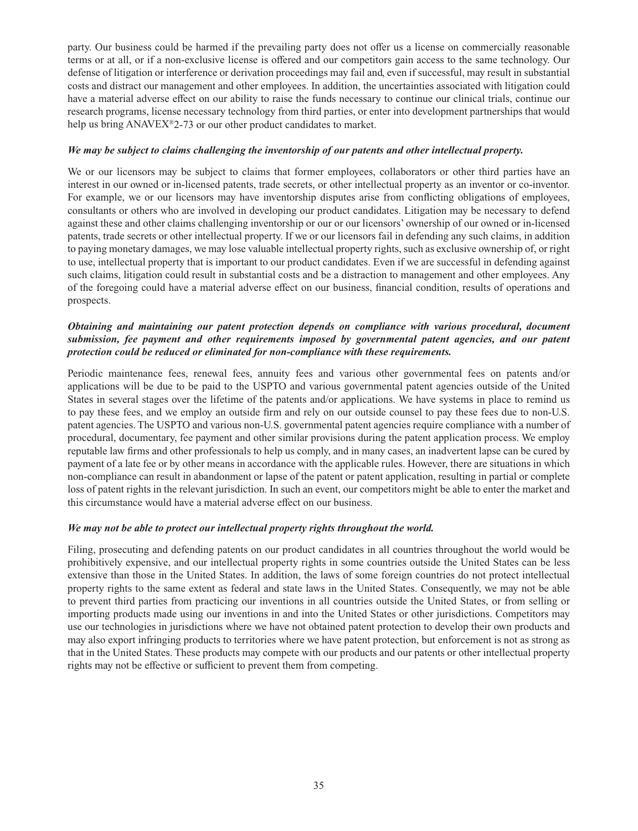party. Our business could be harmed if the prevailing party does not offer us a license on commercially reasonable terms or at all, or if a non-exclusive license is offered and our competitors gain access to the same technology. Our defense of litigation or interference or derivation proceedings may fail and, even if successful, may result in substantial costs and distract our management and other employees. In addition, the uncertainties associated with litigation could have a material adverse effect on our ability to raise the funds necessary to continue our clinical trials, continue our research programs, license necessary technology from third parties, or enter into development partnerships that would help us bring ANAVEX<sup>®</sup>2-73 or our other product candidates to market.

#### *We may be subject to claims challenging the inventorship of our patents and other intellectual property.*

We or our licensors may be subject to claims that former employees, collaborators or other third parties have an interest in our owned or in-licensed patents, trade secrets, or other intellectual property as an inventor or co-inventor. For example, we or our licensors may have inventorship disputes arise from conflicting obligations of employees, consultants or others who are involved in developing our product candidates. Litigation may be necessary to defend against these and other claims challenging inventorship or our or our licensors' ownership of our owned or in-licensed patents, trade secrets or other intellectual property. If we or our licensors fail in defending any such claims, in addition to paying monetary damages, we may lose valuable intellectual property rights, such as exclusive ownership of, or right to use, intellectual property that is important to our product candidates. Even if we are successful in defending against such claims, litigation could result in substantial costs and be a distraction to management and other employees. Any of the foregoing could have a material adverse effect on our business, financial condition, results of operations and prospects.

## *Obtaining and maintaining our patent protection depends on compliance with various procedural, document submission, fee payment and other requirements imposed by governmental patent agencies, and our patent protection could be reduced or eliminated for non-compliance with these requirements.*

Periodic maintenance fees, renewal fees, annuity fees and various other governmental fees on patents and/or applications will be due to be paid to the USPTO and various governmental patent agencies outside of the United States in several stages over the lifetime of the patents and/or applications. We have systems in place to remind us to pay these fees, and we employ an outside firm and rely on our outside counsel to pay these fees due to non-U.S. patent agencies. The USPTO and various non-U.S. governmental patent agencies require compliance with a number of procedural, documentary, fee payment and other similar provisions during the patent application process. We employ reputable law firms and other professionals to help us comply, and in many cases, an inadvertent lapse can be cured by payment of a late fee or by other means in accordance with the applicable rules. However, there are situations in which non-compliance can result in abandonment or lapse of the patent or patent application, resulting in partial or complete loss of patent rights in the relevant jurisdiction. In such an event, our competitors might be able to enter the market and this circumstance would have a material adverse effect on our business.

#### *We may not be able to protect our intellectual property rights throughout the world.*

Filing, prosecuting and defending patents on our product candidates in all countries throughout the world would be prohibitively expensive, and our intellectual property rights in some countries outside the United States can be less extensive than those in the United States. In addition, the laws of some foreign countries do not protect intellectual property rights to the same extent as federal and state laws in the United States. Consequently, we may not be able to prevent third parties from practicing our inventions in all countries outside the United States, or from selling or importing products made using our inventions in and into the United States or other jurisdictions. Competitors may use our technologies in jurisdictions where we have not obtained patent protection to develop their own products and may also export infringing products to territories where we have patent protection, but enforcement is not as strong as that in the United States. These products may compete with our products and our patents or other intellectual property rights may not be effective or sufficient to prevent them from competing.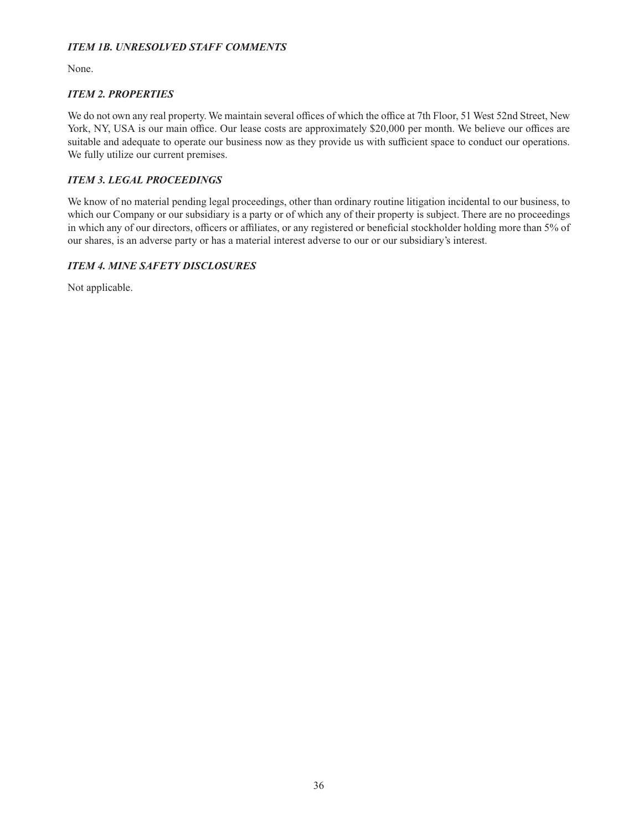# *ITEM 1B. UNRESOLVED STAFF COMMENTS*

None.

# *ITEM 2. PROPERTIES*

We do not own any real property. We maintain several offices of which the office at 7th Floor, 51 West 52nd Street, New York, NY, USA is our main office. Our lease costs are approximately \$20,000 per month. We believe our offices are suitable and adequate to operate our business now as they provide us with sufficient space to conduct our operations. We fully utilize our current premises.

# *ITEM 3. LEGAL PROCEEDINGS*

We know of no material pending legal proceedings, other than ordinary routine litigation incidental to our business, to which our Company or our subsidiary is a party or of which any of their property is subject. There are no proceedings in which any of our directors, officers or affiliates, or any registered or beneficial stockholder holding more than 5% of our shares, is an adverse party or has a material interest adverse to our or our subsidiary's interest.

# *ITEM 4. MINE SAFETY DISCLOSURES*

Not applicable.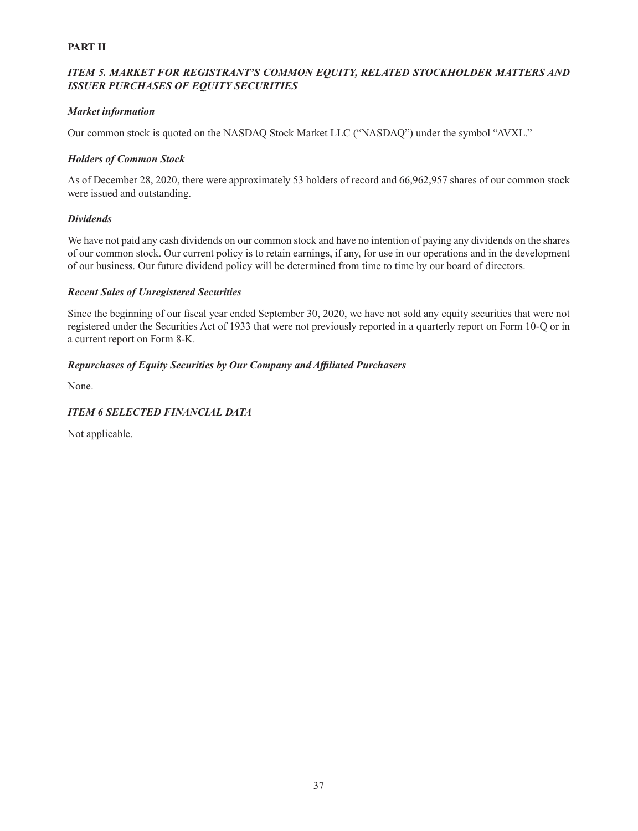# **PART II**

# *ITEM 5. MARKET FOR REGISTRANT'S COMMON EQUITY, RELATED STOCKHOLDER MATTERS AND ISSUER PURCHASES OF EQUITY SECURITIES*

### *Market information*

Our common stock is quoted on the NASDAQ Stock Market LLC ("NASDAQ") under the symbol "AVXL."

## *Holders of Common Stock*

As of December 28, 2020, there were approximately 53 holders of record and 66,962,957 shares of our common stock were issued and outstanding.

## *Dividends*

We have not paid any cash dividends on our common stock and have no intention of paying any dividends on the shares of our common stock. Our current policy is to retain earnings, if any, for use in our operations and in the development of our business. Our future dividend policy will be determined from time to time by our board of directors.

## *Recent Sales of Unregistered Securities*

Since the beginning of our fiscal year ended September 30, 2020, we have not sold any equity securities that were not registered under the Securities Act of 1933 that were not previously reported in a quarterly report on Form 10-Q or in a current report on Form 8-K.

## *Repurchases of Equity Securities by Our Company and Affi liated Purchasers*

None.

# *ITEM 6 SELECTED FINANCIAL DATA*

Not applicable.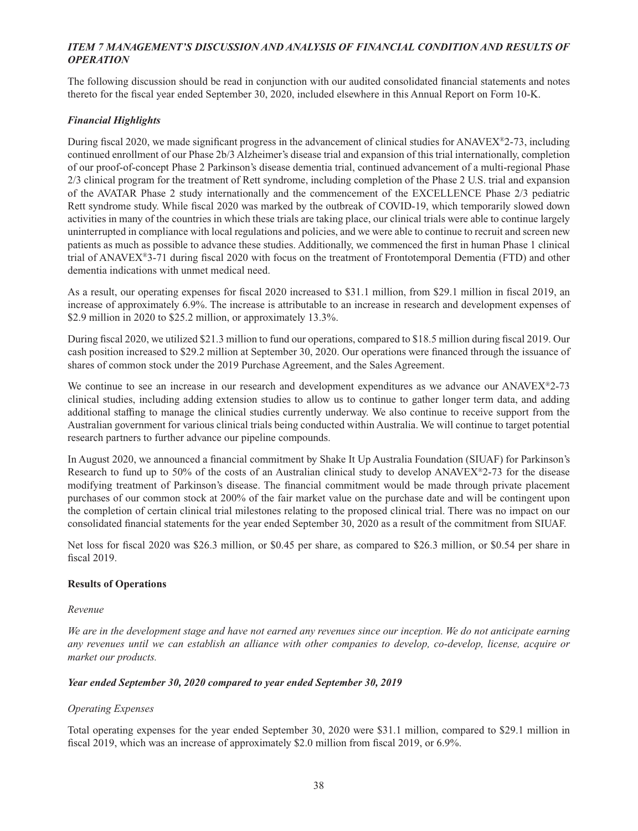# *ITEM 7 MANAGEMENT'S DISCUSSION AND ANALYSIS OF FINANCIAL CONDITION AND RESULTS OF OPERATION*

The following discussion should be read in conjunction with our audited consolidated financial statements and notes thereto for the fiscal year ended September 30, 2020, included elsewhere in this Annual Report on Form 10-K.

## *Financial Highlights*

During fiscal 2020, we made significant progress in the advancement of clinical studies for ANAVEX®2-73, including continued enrollment of our Phase 2b/3 Alzheimer's disease trial and expansion of this trial internationally, completion of our proof-of-concept Phase 2 Parkinson's disease dementia trial, continued advancement of a multi-regional Phase 2/3 clinical program for the treatment of Rett syndrome, including completion of the Phase 2 U.S. trial and expansion of the AVATAR Phase 2 study internationally and the commencement of the EXCELLENCE Phase 2/3 pediatric Rett syndrome study. While fiscal 2020 was marked by the outbreak of COVID-19, which temporarily slowed down activities in many of the countries in which these trials are taking place, our clinical trials were able to continue largely uninterrupted in compliance with local regulations and policies, and we were able to continue to recruit and screen new patients as much as possible to advance these studies. Additionally, we commenced the first in human Phase 1 clinical trial of ANAVEX<sup>®</sup>3-71 during fiscal 2020 with focus on the treatment of Frontotemporal Dementia (FTD) and other dementia indications with unmet medical need.

As a result, our operating expenses for fiscal 2020 increased to  $$31.1$  million, from \$29.1 million in fiscal 2019, an increase of approximately 6.9%. The increase is attributable to an increase in research and development expenses of \$2.9 million in 2020 to \$25.2 million, or approximately 13.3%.

During fiscal 2020, we utilized \$21.3 million to fund our operations, compared to \$18.5 million during fiscal 2019. Our cash position increased to \$29.2 million at September 30, 2020. Our operations were financed through the issuance of shares of common stock under the 2019 Purchase Agreement, and the Sales Agreement.

We continue to see an increase in our research and development expenditures as we advance our ANAVEX<sup>®</sup>2-73 clinical studies, including adding extension studies to allow us to continue to gather longer term data, and adding additional staffing to manage the clinical studies currently underway. We also continue to receive support from the Australian government for various clinical trials being conducted within Australia. We will continue to target potential research partners to further advance our pipeline compounds.

In August 2020, we announced a financial commitment by Shake It Up Australia Foundation (SIUAF) for Parkinson's Research to fund up to 50% of the costs of an Australian clinical study to develop ANAVEX®2-73 for the disease modifying treatment of Parkinson's disease. The financial commitment would be made through private placement purchases of our common stock at 200% of the fair market value on the purchase date and will be contingent upon the completion of certain clinical trial milestones relating to the proposed clinical trial. There was no impact on our consolidated financial statements for the year ended September 30, 2020 as a result of the commitment from SIUAF.

Net loss for fiscal 2020 was \$26.3 million, or \$0.45 per share, as compared to \$26.3 million, or \$0.54 per share in fiscal 2019.

#### **Results of Operations**

#### *Revenue*

*We are in the development stage and have not earned any revenues since our inception. We do not anticipate earning any revenues until we can establish an alliance with other companies to develop, co-develop, license, acquire or market our products.*

#### *Year ended September 30, 2020 compared to year ended September 30, 2019*

#### *Operating Expenses*

Total operating expenses for the year ended September 30, 2020 were \$31.1 million, compared to \$29.1 million in fiscal 2019, which was an increase of approximately \$2.0 million from fiscal 2019, or  $6.9\%$ .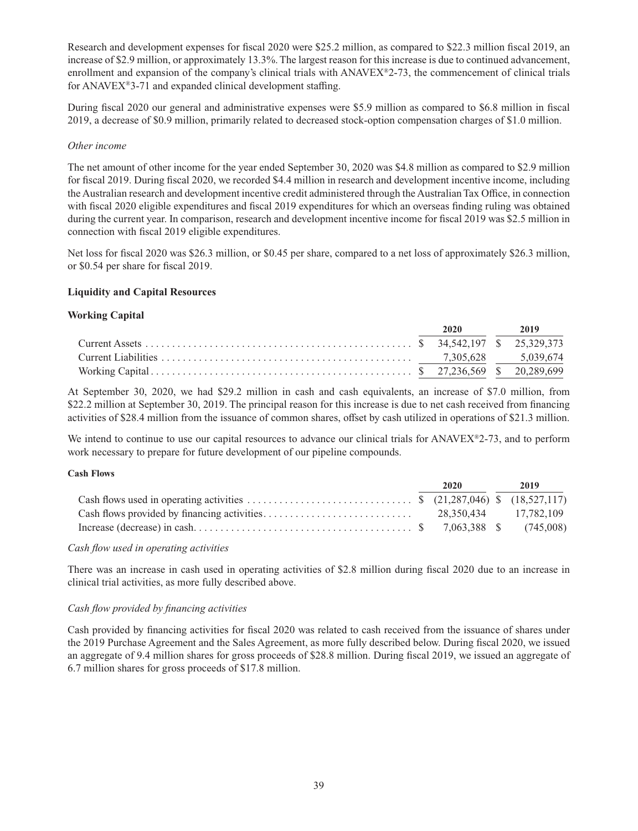Research and development expenses for fiscal 2020 were \$25.2 million, as compared to \$22.3 million fiscal 2019, an increase of \$2.9 million, or approximately 13.3%. The largest reason for this increase is due to continued advancement, enrollment and expansion of the company's clinical trials with ANAVEX<sup>®</sup>2-73, the commencement of clinical trials for ANAVEX<sup>®</sup>3-71 and expanded clinical development staffing.

During fiscal 2020 our general and administrative expenses were \$5.9 million as compared to \$6.8 million in fiscal 2019, a decrease of \$0.9 million, primarily related to decreased stock-option compensation charges of \$1.0 million.

#### *Other income*

The net amount of other income for the year ended September 30, 2020 was \$4.8 million as compared to \$2.9 million for fiscal 2019. During fiscal 2020, we recorded \$4.4 million in research and development incentive income, including the Australian research and development incentive credit administered through the Australian Tax Office, in connection with fiscal 2020 eligible expenditures and fiscal 2019 expenditures for which an overseas finding ruling was obtained during the current year. In comparison, research and development incentive income for fiscal 2019 was \$2.5 million in connection with fiscal 2019 eligible expenditures.

Net loss for fiscal 2020 was \$26.3 million, or \$0.45 per share, compared to a net loss of approximately \$26.3 million, or \$0.54 per share for fiscal 2019.

#### **Liquidity and Capital Resources**

#### **Working Capital**

|  | 2020 2019 |  |
|--|-----------|--|
|  |           |  |
|  |           |  |
|  |           |  |

At September 30, 2020, we had \$29.2 million in cash and cash equivalents, an increase of \$7.0 million, from \$22.2 million at September 30, 2019. The principal reason for this increase is due to net cash received from financing activities of \$28.4 million from the issuance of common shares, offset by cash utilized in operations of \$21.3 million.

We intend to continue to use our capital resources to advance our clinical trials for ANAVEX<sup>®</sup>2-73, and to perform work necessary to prepare for future development of our pipeline compounds.

#### **Cash Flows**

|  | 2020 | 2019                  |
|--|------|-----------------------|
|  |      |                       |
|  |      | 28.350.434 17.782.109 |
|  |      |                       |

#### *Cash flow used in operating activities*

There was an increase in cash used in operating activities of \$2.8 million during fiscal 2020 due to an increase in clinical trial activities, as more fully described above.

#### *Cash flow provided by financing activities*

Cash provided by financing activities for fiscal 2020 was related to cash received from the issuance of shares under the 2019 Purchase Agreement and the Sales Agreement, as more fully described below. During fiscal 2020, we issued an aggregate of 9.4 million shares for gross proceeds of \$28.8 million. During fiscal 2019, we issued an aggregate of 6.7 million shares for gross proceeds of \$17.8 million.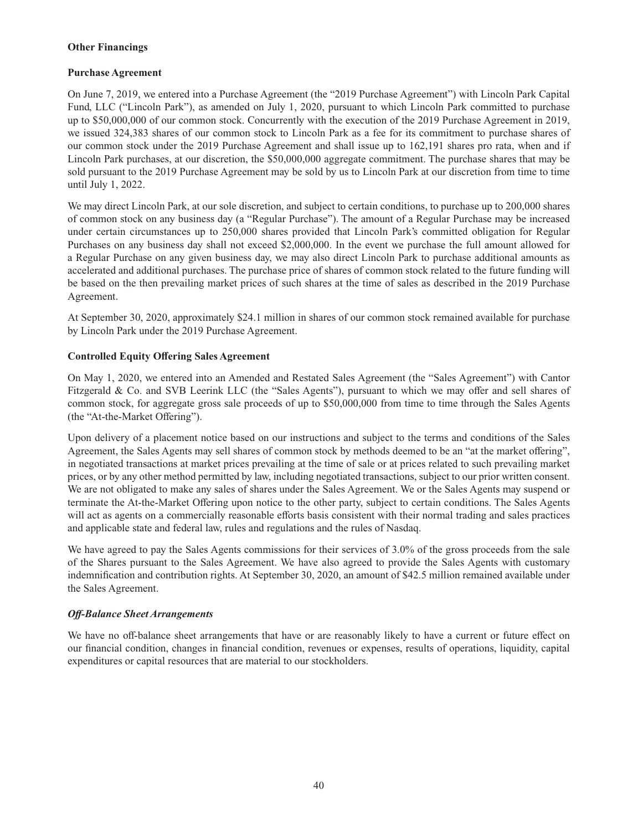#### **Other Financings**

## **Purchase Agreement**

On June 7, 2019, we entered into a Purchase Agreement (the "2019 Purchase Agreement") with Lincoln Park Capital Fund, LLC ("Lincoln Park"), as amended on July 1, 2020, pursuant to which Lincoln Park committed to purchase up to \$50,000,000 of our common stock. Concurrently with the execution of the 2019 Purchase Agreement in 2019, we issued 324,383 shares of our common stock to Lincoln Park as a fee for its commitment to purchase shares of our common stock under the 2019 Purchase Agreement and shall issue up to 162,191 shares pro rata, when and if Lincoln Park purchases, at our discretion, the \$50,000,000 aggregate commitment. The purchase shares that may be sold pursuant to the 2019 Purchase Agreement may be sold by us to Lincoln Park at our discretion from time to time until July 1, 2022.

We may direct Lincoln Park, at our sole discretion, and subject to certain conditions, to purchase up to 200,000 shares of common stock on any business day (a "Regular Purchase"). The amount of a Regular Purchase may be increased under certain circumstances up to 250,000 shares provided that Lincoln Park's committed obligation for Regular Purchases on any business day shall not exceed \$2,000,000. In the event we purchase the full amount allowed for a Regular Purchase on any given business day, we may also direct Lincoln Park to purchase additional amounts as accelerated and additional purchases. The purchase price of shares of common stock related to the future funding will be based on the then prevailing market prices of such shares at the time of sales as described in the 2019 Purchase Agreement.

At September 30, 2020, approximately \$24.1 million in shares of our common stock remained available for purchase by Lincoln Park under the 2019 Purchase Agreement.

## **Controlled Equity Offering Sales Agreement**

On May 1, 2020, we entered into an Amended and Restated Sales Agreement (the "Sales Agreement") with Cantor Fitzgerald & Co. and SVB Leerink LLC (the "Sales Agents"), pursuant to which we may offer and sell shares of common stock, for aggregate gross sale proceeds of up to \$50,000,000 from time to time through the Sales Agents (the "At-the-Market Offering").

Upon delivery of a placement notice based on our instructions and subject to the terms and conditions of the Sales Agreement, the Sales Agents may sell shares of common stock by methods deemed to be an "at the market offering", in negotiated transactions at market prices prevailing at the time of sale or at prices related to such prevailing market prices, or by any other method permitted by law, including negotiated transactions, subject to our prior written consent. We are not obligated to make any sales of shares under the Sales Agreement. We or the Sales Agents may suspend or terminate the At-the-Market Offering upon notice to the other party, subject to certain conditions. The Sales Agents will act as agents on a commercially reasonable efforts basis consistent with their normal trading and sales practices and applicable state and federal law, rules and regulations and the rules of Nasdaq.

We have agreed to pay the Sales Agents commissions for their services of 3.0% of the gross proceeds from the sale of the Shares pursuant to the Sales Agreement. We have also agreed to provide the Sales Agents with customary indemnification and contribution rights. At September 30, 2020, an amount of \$42.5 million remained available under the Sales Agreement.

#### *Off -Balance Sheet Arrangements*

We have no off-balance sheet arrangements that have or are reasonably likely to have a current or future effect on our financial condition, changes in financial condition, revenues or expenses, results of operations, liquidity, capital expenditures or capital resources that are material to our stockholders.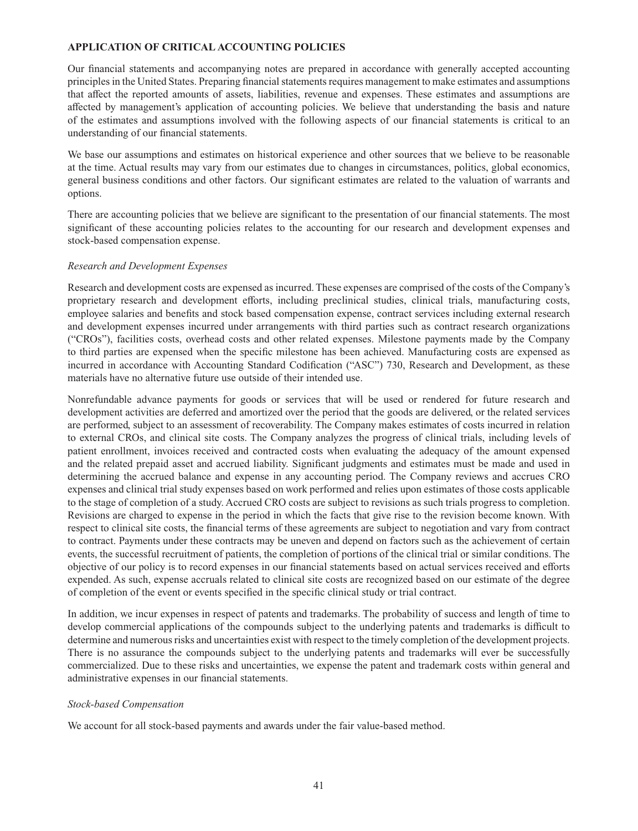## **APPLICATION OF CRITICAL ACCOUNTING POLICIES**

Our financial statements and accompanying notes are prepared in accordance with generally accepted accounting principles in the United States. Preparing financial statements requires management to make estimates and assumptions that affect the reported amounts of assets, liabilities, revenue and expenses. These estimates and assumptions are affected by management's application of accounting policies. We believe that understanding the basis and nature of the estimates and assumptions involved with the following aspects of our financial statements is critical to an understanding of our financial statements.

We base our assumptions and estimates on historical experience and other sources that we believe to be reasonable at the time. Actual results may vary from our estimates due to changes in circumstances, politics, global economics, general business conditions and other factors. Our significant estimates are related to the valuation of warrants and options.

There are accounting policies that we believe are significant to the presentation of our financial statements. The most significant of these accounting policies relates to the accounting for our research and development expenses and stock-based compensation expense.

#### *Research and Development Expenses*

Research and development costs are expensed as incurred. These expenses are comprised of the costs of the Company's proprietary research and development efforts, including preclinical studies, clinical trials, manufacturing costs, employee salaries and benefits and stock based compensation expense, contract services including external research and development expenses incurred under arrangements with third parties such as contract research organizations ("CROs"), facilities costs, overhead costs and other related expenses. Milestone payments made by the Company to third parties are expensed when the specific milestone has been achieved. Manufacturing costs are expensed as incurred in accordance with Accounting Standard Codification ("ASC") 730, Research and Development, as these materials have no alternative future use outside of their intended use.

Nonrefundable advance payments for goods or services that will be used or rendered for future research and development activities are deferred and amortized over the period that the goods are delivered, or the related services are performed, subject to an assessment of recoverability. The Company makes estimates of costs incurred in relation to external CROs, and clinical site costs. The Company analyzes the progress of clinical trials, including levels of patient enrollment, invoices received and contracted costs when evaluating the adequacy of the amount expensed and the related prepaid asset and accrued liability. Significant judgments and estimates must be made and used in determining the accrued balance and expense in any accounting period. The Company reviews and accrues CRO expenses and clinical trial study expenses based on work performed and relies upon estimates of those costs applicable to the stage of completion of a study. Accrued CRO costs are subject to revisions as such trials progress to completion. Revisions are charged to expense in the period in which the facts that give rise to the revision become known. With respect to clinical site costs, the financial terms of these agreements are subject to negotiation and vary from contract to contract. Payments under these contracts may be uneven and depend on factors such as the achievement of certain events, the successful recruitment of patients, the completion of portions of the clinical trial or similar conditions. The objective of our policy is to record expenses in our financial statements based on actual services received and efforts expended. As such, expense accruals related to clinical site costs are recognized based on our estimate of the degree of completion of the event or events specified in the specific clinical study or trial contract.

In addition, we incur expenses in respect of patents and trademarks. The probability of success and length of time to develop commercial applications of the compounds subject to the underlying patents and trademarks is difficult to determine and numerous risks and uncertainties exist with respect to the timely completion of the development projects. There is no assurance the compounds subject to the underlying patents and trademarks will ever be successfully commercialized. Due to these risks and uncertainties, we expense the patent and trademark costs within general and administrative expenses in our financial statements.

#### *Stock-based Compensation*

We account for all stock-based payments and awards under the fair value-based method.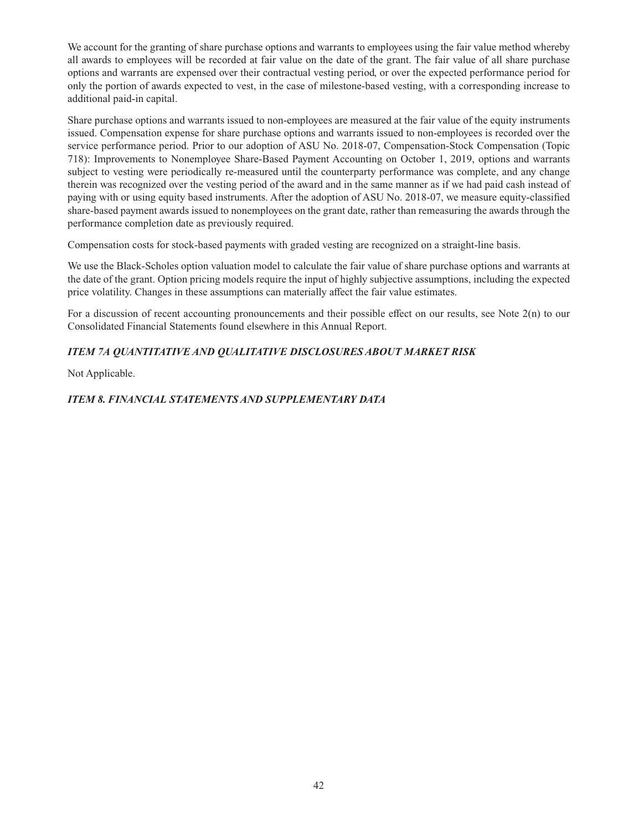We account for the granting of share purchase options and warrants to employees using the fair value method whereby all awards to employees will be recorded at fair value on the date of the grant. The fair value of all share purchase options and warrants are expensed over their contractual vesting period, or over the expected performance period for only the portion of awards expected to vest, in the case of milestone-based vesting, with a corresponding increase to additional paid-in capital.

Share purchase options and warrants issued to non-employees are measured at the fair value of the equity instruments issued. Compensation expense for share purchase options and warrants issued to non-employees is recorded over the service performance period. Prior to our adoption of ASU No. 2018-07, Compensation-Stock Compensation (Topic 718): Improvements to Nonemployee Share-Based Payment Accounting on October 1, 2019, options and warrants subject to vesting were periodically re-measured until the counterparty performance was complete, and any change therein was recognized over the vesting period of the award and in the same manner as if we had paid cash instead of paying with or using equity based instruments. After the adoption of ASU No. 2018-07, we measure equity-classified share-based payment awards issued to nonemployees on the grant date, rather than remeasuring the awards through the performance completion date as previously required.

Compensation costs for stock-based payments with graded vesting are recognized on a straight-line basis.

We use the Black-Scholes option valuation model to calculate the fair value of share purchase options and warrants at the date of the grant. Option pricing models require the input of highly subjective assumptions, including the expected price volatility. Changes in these assumptions can materially affect the fair value estimates.

For a discussion of recent accounting pronouncements and their possible effect on our results, see Note 2(n) to our Consolidated Financial Statements found elsewhere in this Annual Report.

# *ITEM 7A QUANTITATIVE AND QUALITATIVE DISCLOSURES ABOUT MARKET RISK*

Not Applicable.

# *ITEM 8. FINANCIAL STATEMENTS AND SUPPLEMENTARY DATA*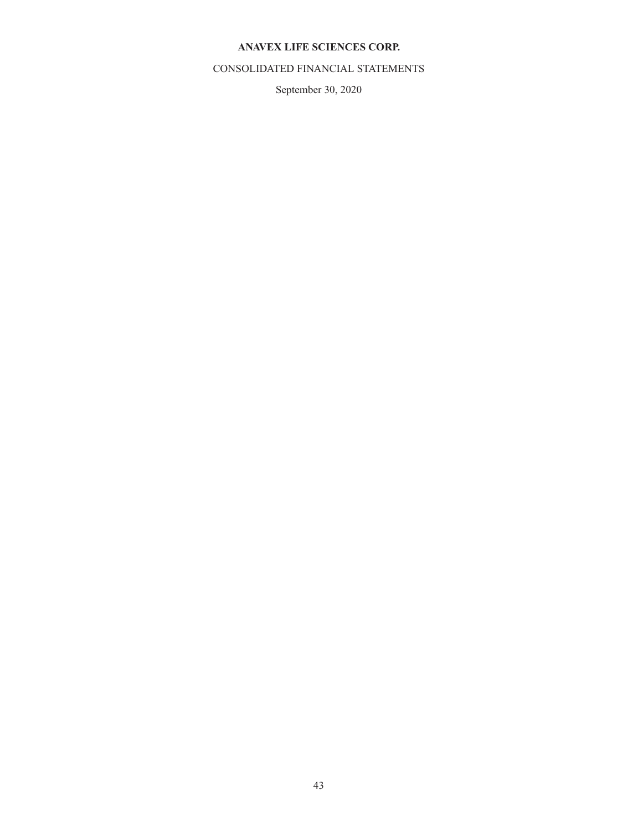# **ANAVEX LIFE SCIENCES CORP.**

# CONSOLIDATED FINANCIAL STATEMENTS

September 30, 2020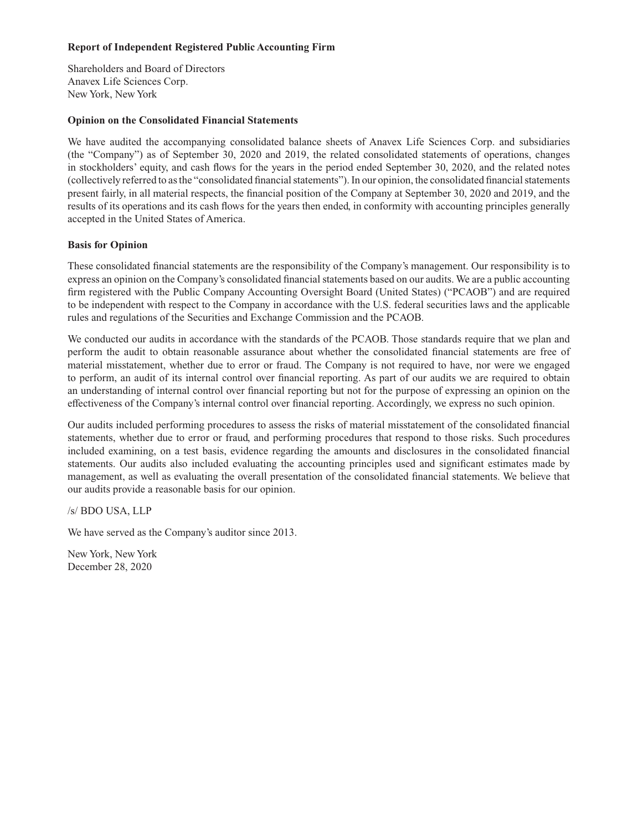## **Report of Independent Registered Public Accounting Firm**

Shareholders and Board of Directors Anavex Life Sciences Corp. New York, New York

#### **Opinion on the Consolidated Financial Statements**

We have audited the accompanying consolidated balance sheets of Anavex Life Sciences Corp. and subsidiaries (the "Company") as of September 30, 2020 and 2019, the related consolidated statements of operations, changes in stockholders' equity, and cash flows for the years in the period ended September 30, 2020, and the related notes (collectively referred to as the "consolidated financial statements"). In our opinion, the consolidated financial statements present fairly, in all material respects, the financial position of the Company at September 30, 2020 and 2019, and the results of its operations and its cash flows for the years then ended, in conformity with accounting principles generally accepted in the United States of America.

#### **Basis for Opinion**

These consolidated financial statements are the responsibility of the Company's management. Our responsibility is to express an opinion on the Company's consolidated financial statements based on our audits. We are a public accounting firm registered with the Public Company Accounting Oversight Board (United States) ("PCAOB") and are required to be independent with respect to the Company in accordance with the U.S. federal securities laws and the applicable rules and regulations of the Securities and Exchange Commission and the PCAOB.

We conducted our audits in accordance with the standards of the PCAOB. Those standards require that we plan and perform the audit to obtain reasonable assurance about whether the consolidated financial statements are free of material misstatement, whether due to error or fraud. The Company is not required to have, nor were we engaged to perform, an audit of its internal control over financial reporting. As part of our audits we are required to obtain an understanding of internal control over financial reporting but not for the purpose of expressing an opinion on the effectiveness of the Company's internal control over financial reporting. Accordingly, we express no such opinion.

Our audits included performing procedures to assess the risks of material misstatement of the consolidated financial statements, whether due to error or fraud, and performing procedures that respond to those risks. Such procedures included examining, on a test basis, evidence regarding the amounts and disclosures in the consolidated financial statements. Our audits also included evaluating the accounting principles used and significant estimates made by management, as well as evaluating the overall presentation of the consolidated financial statements. We believe that our audits provide a reasonable basis for our opinion.

/s/ BDO USA, LLP

We have served as the Company's auditor since 2013.

New York, New York December 28, 2020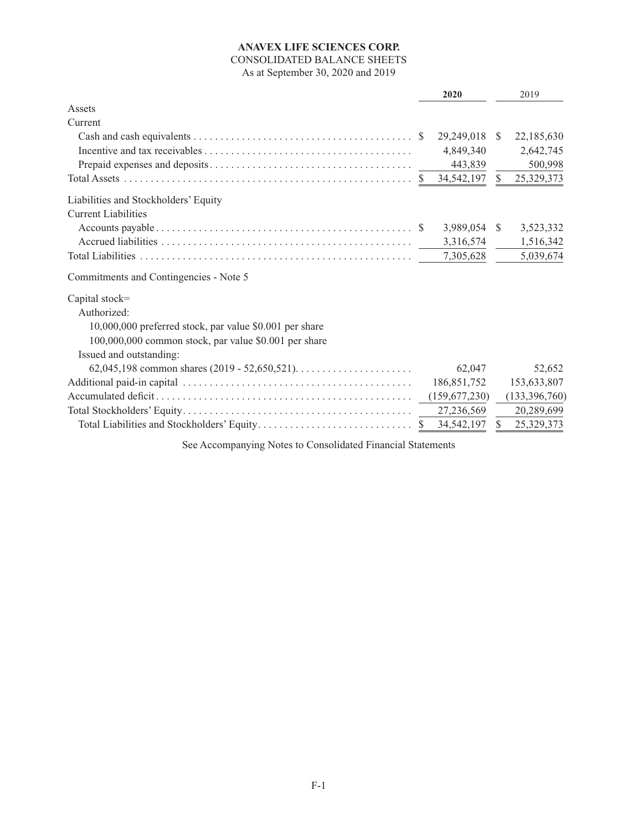# **ANAVEX LIFE SCIENCES CORP.** CONSOLIDATED BALANCE SHEETS As at September 30, 2020 and 2019

|                                                         | 2020          |               | 2019          |
|---------------------------------------------------------|---------------|---------------|---------------|
| Assets                                                  |               |               |               |
| Current                                                 |               |               |               |
|                                                         | 29,249,018    | S.            | 22,185,630    |
|                                                         | 4,849,340     |               | 2,642,745     |
|                                                         | 443,839       |               | 500,998       |
|                                                         | 34,542,197    | $\mathbb{S}$  | 25,329,373    |
| Liabilities and Stockholders' Equity                    |               |               |               |
| <b>Current Liabilities</b>                              |               |               |               |
|                                                         | 3,989,054     | <sup>S</sup>  | 3,523,332     |
|                                                         | 3,316,574     |               | 1,516,342     |
|                                                         | 7,305,628     |               | 5,039,674     |
| Commitments and Contingencies - Note 5                  |               |               |               |
| Capital stock=                                          |               |               |               |
| Authorized:                                             |               |               |               |
| 10,000,000 preferred stock, par value \$0.001 per share |               |               |               |
| 100,000,000 common stock, par value \$0.001 per share   |               |               |               |
| Issued and outstanding:                                 |               |               |               |
|                                                         | 62,047        |               | 52,652        |
|                                                         | 186, 851, 752 |               | 153,633,807   |
|                                                         | (159,677,230) |               | (133,396,760) |
|                                                         | 27,236,569    |               | 20,289,699    |
|                                                         | 34,542,197    | <sup>\$</sup> | 25,329,373    |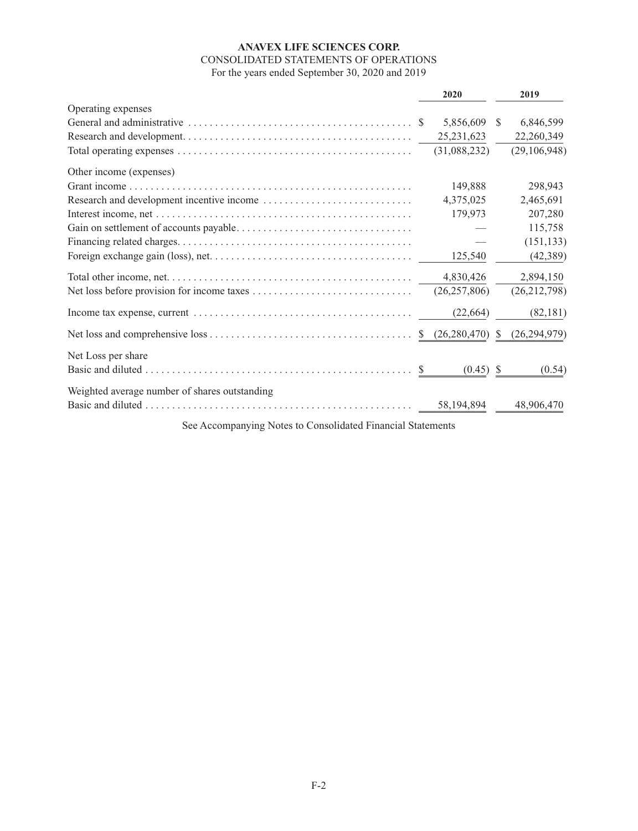# **ANAVEX LIFE SCIENCES CORP.** CONSOLIDATED STATEMENTS OF OPERATIONS For the years ended September 30, 2020 and 2019

|                                               |    | 2020                        |               | 2019           |
|-----------------------------------------------|----|-----------------------------|---------------|----------------|
| Operating expenses                            |    |                             |               |                |
|                                               |    | 5,856,609                   | <sup>\$</sup> | 6,846,599      |
|                                               |    | 25, 231, 623                |               | 22,260,349     |
|                                               |    | (31,088,232)                |               | (29, 106, 948) |
| Other income (expenses)                       |    |                             |               |                |
|                                               |    | 149,888                     |               | 298,943        |
|                                               |    | 4,375,025                   |               | 2,465,691      |
|                                               |    | 179,973                     |               | 207,280        |
|                                               |    |                             |               | 115,758        |
|                                               |    |                             |               | (151, 133)     |
|                                               |    | 125,540                     |               | (42, 389)      |
|                                               |    | 4,830,426                   |               | 2,894,150      |
|                                               |    | (26, 257, 806)              |               | (26, 212, 798) |
|                                               |    | (22, 664)                   |               | (82, 181)      |
|                                               | -S | (26, 280, 470)              | <sup>S</sup>  | (26, 294, 979) |
| Net Loss per share                            |    |                             |               |                |
|                                               |    | $(0.45)$ \$<br>$\mathbb{S}$ |               | (0.54)         |
| Weighted average number of shares outstanding |    |                             |               |                |
|                                               |    | 58, 194, 894                |               | 48,906,470     |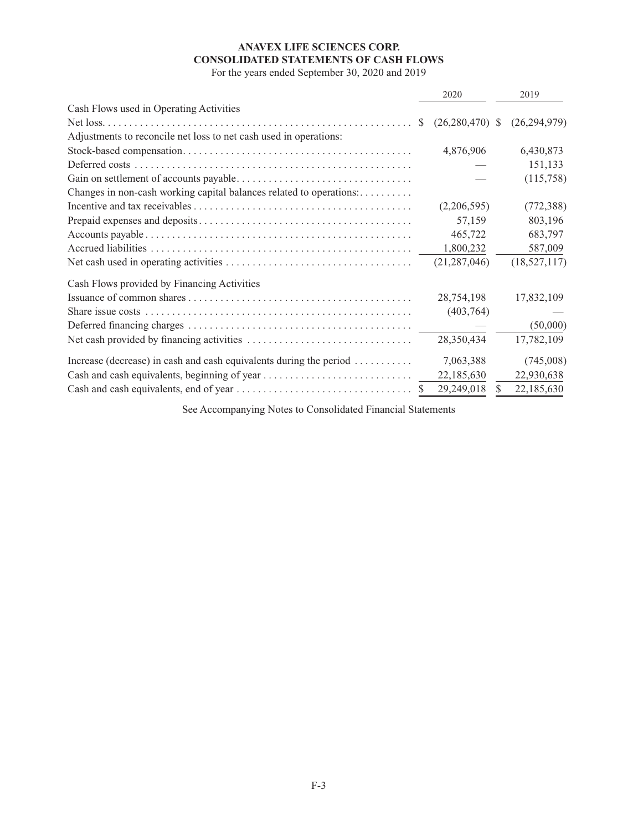# **ANAVEX LIFE SCIENCES CORP. CONSOLIDATED STATEMENTS OF CASH FLOWS**

For the years ended September 30, 2020 and 2019

|                                                                                           | 2020                              | 2019              |
|-------------------------------------------------------------------------------------------|-----------------------------------|-------------------|
| Cash Flows used in Operating Activities                                                   |                                   |                   |
|                                                                                           | $(26,280,470)$ \$<br><sup>S</sup> | (26, 294, 979)    |
| Adjustments to reconcile net loss to net cash used in operations:                         |                                   |                   |
|                                                                                           | 4,876,906                         | 6,430,873         |
|                                                                                           |                                   | 151,133           |
|                                                                                           |                                   | (115,758)         |
| Changes in non-cash working capital balances related to operations:                       |                                   |                   |
|                                                                                           | (2,206,595)                       | (772, 388)        |
|                                                                                           | 57,159                            | 803,196           |
|                                                                                           | 465,722                           | 683,797           |
|                                                                                           | 1,800,232                         | 587,009           |
|                                                                                           | (21, 287, 046)                    | (18, 527, 117)    |
| Cash Flows provided by Financing Activities                                               |                                   |                   |
|                                                                                           | 28,754,198                        | 17,832,109        |
|                                                                                           | (403,764)                         |                   |
|                                                                                           | $\overline{\phantom{a}}$          | (50,000)          |
|                                                                                           | 28,350,434                        | 17,782,109        |
| Increase (decrease) in cash and cash equivalents during the period $\dots\dots\dots\dots$ | 7,063,388                         | (745,008)         |
| Cash and cash equivalents, beginning of year                                              | 22,185,630                        | 22,930,638        |
|                                                                                           | 29,249,018                        | \$.<br>22,185,630 |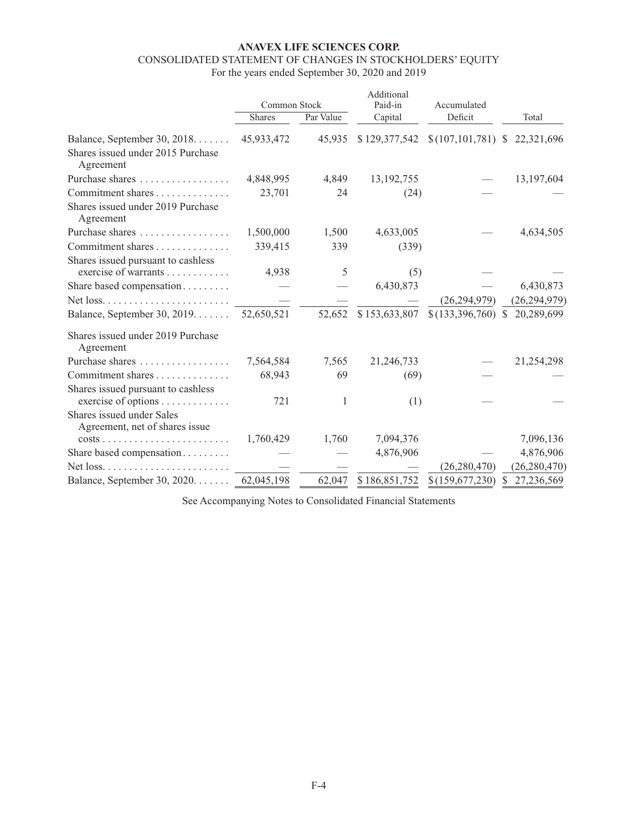# **ANAVEX LIFE SCIENCES CORP.**

# CONSOLIDATED STATEMENT OF CHANGES IN STOCKHOLDERS' EQUITY

For the years ended September 30, 2020 and 2019

|                                                                                | Common Stock |           | Additional<br>Paid-in | Accumulated                      |                            |
|--------------------------------------------------------------------------------|--------------|-----------|-----------------------|----------------------------------|----------------------------|
|                                                                                | Shares       | Par Value | Capital               | Deficit                          | Total                      |
| Balance, September 30, 2018.<br>Shares issued under 2015 Purchase<br>Agreement | 45,933,472   | 45,935    | \$129,377,542         | \$(107, 101, 781) \$22, 321, 696 |                            |
| Purchase shares                                                                | 4,848,995    | 4,849     | 13, 192, 755          |                                  | 13,197,604                 |
| Commitment shares                                                              | 23,701       | 24        | (24)                  |                                  |                            |
| Shares issued under 2019 Purchase<br>Agreement                                 |              |           |                       |                                  |                            |
| Purchase shares                                                                | 1,500,000    | 1,500     | 4,633,005             |                                  | 4,634,505                  |
| Commitment shares                                                              | 339,415      | 339       | (339)                 |                                  |                            |
| Shares issued pursuant to cashless<br>exercise of warrants                     | 4,938        | 5         | (5)                   |                                  |                            |
| Share based compensation                                                       |              |           | 6,430,873             |                                  | 6,430,873                  |
|                                                                                |              |           |                       | (26, 294, 979)                   | (26, 294, 979)             |
| Balance, September 30, 2019.                                                   | 52,650,521   | 52,652    | \$153,633,807         | \$(133,396,760)                  | \$20,289,699               |
| Shares issued under 2019 Purchase<br>Agreement                                 |              |           |                       |                                  |                            |
| Purchase shares                                                                | 7,564,584    | 7,565     | 21,246,733            |                                  | 21,254,298                 |
| Commitment shares                                                              | 68,943       | 69        | (69)                  |                                  |                            |
| Shares issued pursuant to cashless<br>exercise of options                      | 721          | 1         | (1)                   |                                  |                            |
| Shares issued under Sales<br>Agreement, net of shares issue                    |              |           |                       |                                  |                            |
| $costs \ldots \ldots \ldots \ldots \ldots \ldots \ldots$                       | 1,760,429    | 1,760     | 7,094,376             |                                  | 7,096,136                  |
| Share based compensation                                                       |              |           | 4,876,906             |                                  | 4,876,906                  |
|                                                                                |              |           |                       | (26, 280, 470)                   | (26, 280, 470)             |
| Balance, September 30, 2020.                                                   | 62,045,198   | 62,047    | \$186,851,752         | \$(159,677,230)                  | 27,236,569<br><sup>S</sup> |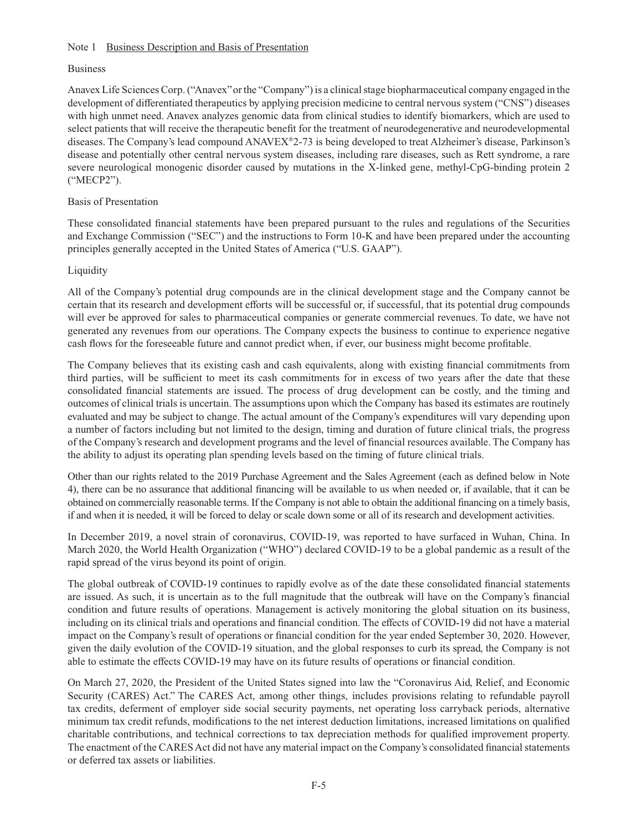### Note 1 Business Description and Basis of Presentation

## Business

Anavex Life Sciences Corp. ("Anavex" or the "Company") is a clinical stage biopharmaceutical company engaged in the development of differentiated therapeutics by applying precision medicine to central nervous system ("CNS") diseases with high unmet need. Anavex analyzes genomic data from clinical studies to identify biomarkers, which are used to select patients that will receive the therapeutic benefit for the treatment of neurodegenerative and neurodevelopmental diseases. The Company's lead compound ANAVEX®2-73 is being developed to treat Alzheimer's disease, Parkinson's disease and potentially other central nervous system diseases, including rare diseases, such as Rett syndrome, a rare severe neurological monogenic disorder caused by mutations in the X-linked gene, methyl-CpG-binding protein 2 ("MECP2").

## Basis of Presentation

These consolidated financial statements have been prepared pursuant to the rules and regulations of the Securities and Exchange Commission ("SEC") and the instructions to Form 10-K and have been prepared under the accounting principles generally accepted in the United States of America ("U.S. GAAP").

## Liquidity

All of the Company's potential drug compounds are in the clinical development stage and the Company cannot be certain that its research and development efforts will be successful or, if successful, that its potential drug compounds will ever be approved for sales to pharmaceutical companies or generate commercial revenues. To date, we have not generated any revenues from our operations. The Company expects the business to continue to experience negative cash flows for the foreseeable future and cannot predict when, if ever, our business might become profitable.

The Company believes that its existing cash and cash equivalents, along with existing financial commitments from third parties, will be sufficient to meet its cash commitments for in excess of two years after the date that these consolidated financial statements are issued. The process of drug development can be costly, and the timing and outcomes of clinical trials is uncertain. The assumptions upon which the Company has based its estimates are routinely evaluated and may be subject to change. The actual amount of the Company's expenditures will vary depending upon a number of factors including but not limited to the design, timing and duration of future clinical trials, the progress of the Company's research and development programs and the level of financial resources available. The Company has the ability to adjust its operating plan spending levels based on the timing of future clinical trials.

Other than our rights related to the 2019 Purchase Agreement and the Sales Agreement (each as defined below in Note 4), there can be no assurance that additional financing will be available to us when needed or, if available, that it can be obtained on commercially reasonable terms. If the Company is not able to obtain the additional financing on a timely basis, if and when it is needed, it will be forced to delay or scale down some or all of its research and development activities.

In December 2019, a novel strain of coronavirus, COVID-19, was reported to have surfaced in Wuhan, China. In March 2020, the World Health Organization ("WHO") declared COVID-19 to be a global pandemic as a result of the rapid spread of the virus beyond its point of origin.

The global outbreak of COVID-19 continues to rapidly evolve as of the date these consolidated financial statements are issued. As such, it is uncertain as to the full magnitude that the outbreak will have on the Company's financial condition and future results of operations. Management is actively monitoring the global situation on its business, including on its clinical trials and operations and financial condition. The effects of COVID-19 did not have a material impact on the Company's result of operations or financial condition for the year ended September 30, 2020. However, given the daily evolution of the COVID-19 situation, and the global responses to curb its spread, the Company is not able to estimate the effects COVID-19 may have on its future results of operations or financial condition.

On March 27, 2020, the President of the United States signed into law the "Coronavirus Aid, Relief, and Economic Security (CARES) Act." The CARES Act, among other things, includes provisions relating to refundable payroll tax credits, deferment of employer side social security payments, net operating loss carryback periods, alternative minimum tax credit refunds, modifications to the net interest deduction limitations, increased limitations on qualified charitable contributions, and technical corrections to tax depreciation methods for qualified improvement property. The enactment of the CARES Act did not have any material impact on the Company's consolidated financial statements or deferred tax assets or liabilities.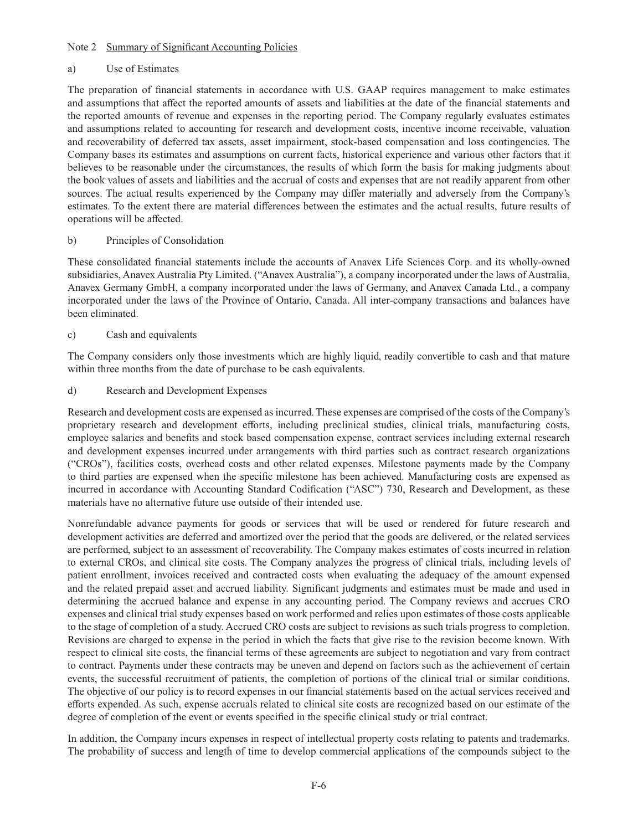#### Note 2 Summary of Significant Accounting Policies

### a) Use of Estimates

The preparation of financial statements in accordance with U.S. GAAP requires management to make estimates and assumptions that affect the reported amounts of assets and liabilities at the date of the financial statements and the reported amounts of revenue and expenses in the reporting period. The Company regularly evaluates estimates and assumptions related to accounting for research and development costs, incentive income receivable, valuation and recoverability of deferred tax assets, asset impairment, stock-based compensation and loss contingencies. The Company bases its estimates and assumptions on current facts, historical experience and various other factors that it believes to be reasonable under the circumstances, the results of which form the basis for making judgments about the book values of assets and liabilities and the accrual of costs and expenses that are not readily apparent from other sources. The actual results experienced by the Company may differ materially and adversely from the Company's estimates. To the extent there are material differences between the estimates and the actual results, future results of operations will be affected.

## b) Principles of Consolidation

These consolidated financial statements include the accounts of Anavex Life Sciences Corp. and its wholly-owned subsidiaries, Anavex Australia Pty Limited. ("Anavex Australia"), a company incorporated under the laws of Australia, Anavex Germany GmbH, a company incorporated under the laws of Germany, and Anavex Canada Ltd., a company incorporated under the laws of the Province of Ontario, Canada. All inter-company transactions and balances have been eliminated.

## c) Cash and equivalents

The Company considers only those investments which are highly liquid, readily convertible to cash and that mature within three months from the date of purchase to be cash equivalents.

d) Research and Development Expenses

Research and development costs are expensed as incurred. These expenses are comprised of the costs of the Company's proprietary research and development efforts, including preclinical studies, clinical trials, manufacturing costs, employee salaries and benefits and stock based compensation expense, contract services including external research and development expenses incurred under arrangements with third parties such as contract research organizations ("CROs"), facilities costs, overhead costs and other related expenses. Milestone payments made by the Company to third parties are expensed when the specific milestone has been achieved. Manufacturing costs are expensed as incurred in accordance with Accounting Standard Codification ("ASC") 730, Research and Development, as these materials have no alternative future use outside of their intended use.

Nonrefundable advance payments for goods or services that will be used or rendered for future research and development activities are deferred and amortized over the period that the goods are delivered, or the related services are performed, subject to an assessment of recoverability. The Company makes estimates of costs incurred in relation to external CROs, and clinical site costs. The Company analyzes the progress of clinical trials, including levels of patient enrollment, invoices received and contracted costs when evaluating the adequacy of the amount expensed and the related prepaid asset and accrued liability. Significant judgments and estimates must be made and used in determining the accrued balance and expense in any accounting period. The Company reviews and accrues CRO expenses and clinical trial study expenses based on work performed and relies upon estimates of those costs applicable to the stage of completion of a study. Accrued CRO costs are subject to revisions as such trials progress to completion. Revisions are charged to expense in the period in which the facts that give rise to the revision become known. With respect to clinical site costs, the financial terms of these agreements are subject to negotiation and vary from contract to contract. Payments under these contracts may be uneven and depend on factors such as the achievement of certain events, the successful recruitment of patients, the completion of portions of the clinical trial or similar conditions. The objective of our policy is to record expenses in our financial statements based on the actual services received and efforts expended. As such, expense accruals related to clinical site costs are recognized based on our estimate of the degree of completion of the event or events specified in the specific clinical study or trial contract.

In addition, the Company incurs expenses in respect of intellectual property costs relating to patents and trademarks. The probability of success and length of time to develop commercial applications of the compounds subject to the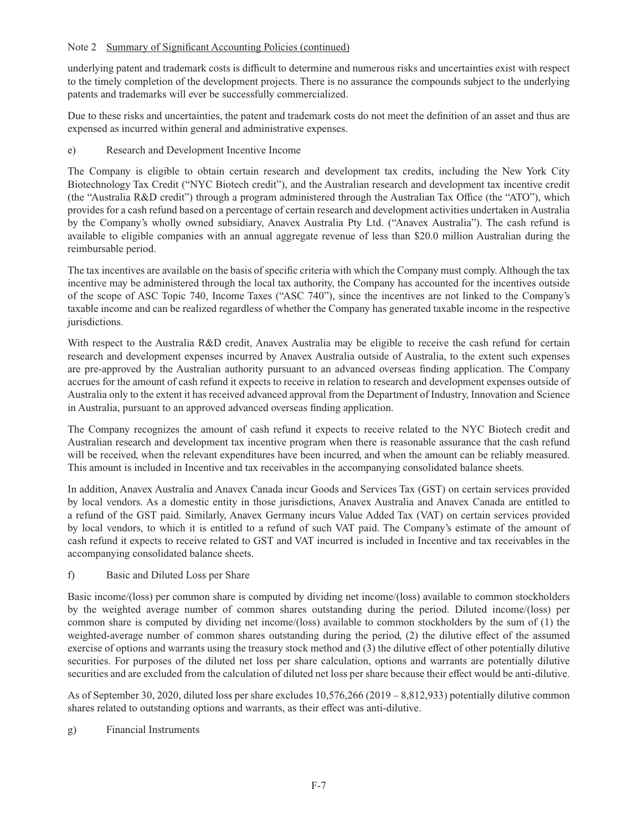underlying patent and trademark costs is difficult to determine and numerous risks and uncertainties exist with respect to the timely completion of the development projects. There is no assurance the compounds subject to the underlying patents and trademarks will ever be successfully commercialized.

Due to these risks and uncertainties, the patent and trademark costs do not meet the definition of an asset and thus are expensed as incurred within general and administrative expenses.

e) Research and Development Incentive Income

The Company is eligible to obtain certain research and development tax credits, including the New York City Biotechnology Tax Credit ("NYC Biotech credit"), and the Australian research and development tax incentive credit (the "Australia R&D credit") through a program administered through the Australian Tax Office (the "ATO"), which provides for a cash refund based on a percentage of certain research and development activities undertaken in Australia by the Company's wholly owned subsidiary, Anavex Australia Pty Ltd. ("Anavex Australia"). The cash refund is available to eligible companies with an annual aggregate revenue of less than \$20.0 million Australian during the reimbursable period.

The tax incentives are available on the basis of specific criteria with which the Company must comply. Although the tax incentive may be administered through the local tax authority, the Company has accounted for the incentives outside of the scope of ASC Topic 740, Income Taxes ("ASC 740"), since the incentives are not linked to the Company's taxable income and can be realized regardless of whether the Company has generated taxable income in the respective jurisdictions.

With respect to the Australia R&D credit, Anavex Australia may be eligible to receive the cash refund for certain research and development expenses incurred by Anavex Australia outside of Australia, to the extent such expenses are pre-approved by the Australian authority pursuant to an advanced overseas finding application. The Company accrues for the amount of cash refund it expects to receive in relation to research and development expenses outside of Australia only to the extent it has received advanced approval from the Department of Industry, Innovation and Science in Australia, pursuant to an approved advanced overseas finding application.

The Company recognizes the amount of cash refund it expects to receive related to the NYC Biotech credit and Australian research and development tax incentive program when there is reasonable assurance that the cash refund will be received, when the relevant expenditures have been incurred, and when the amount can be reliably measured. This amount is included in Incentive and tax receivables in the accompanying consolidated balance sheets.

In addition, Anavex Australia and Anavex Canada incur Goods and Services Tax (GST) on certain services provided by local vendors. As a domestic entity in those jurisdictions, Anavex Australia and Anavex Canada are entitled to a refund of the GST paid. Similarly, Anavex Germany incurs Value Added Tax (VAT) on certain services provided by local vendors, to which it is entitled to a refund of such VAT paid. The Company's estimate of the amount of cash refund it expects to receive related to GST and VAT incurred is included in Incentive and tax receivables in the accompanying consolidated balance sheets.

f) Basic and Diluted Loss per Share

Basic income/(loss) per common share is computed by dividing net income/(loss) available to common stockholders by the weighted average number of common shares outstanding during the period. Diluted income/(loss) per common share is computed by dividing net income/(loss) available to common stockholders by the sum of (1) the weighted-average number of common shares outstanding during the period, (2) the dilutive effect of the assumed exercise of options and warrants using the treasury stock method and (3) the dilutive effect of other potentially dilutive securities. For purposes of the diluted net loss per share calculation, options and warrants are potentially dilutive securities and are excluded from the calculation of diluted net loss per share because their effect would be anti-dilutive.

As of September 30, 2020, diluted loss per share excludes 10,576,266 (2019 – 8,812,933) potentially dilutive common shares related to outstanding options and warrants, as their effect was anti-dilutive.

g) Financial Instruments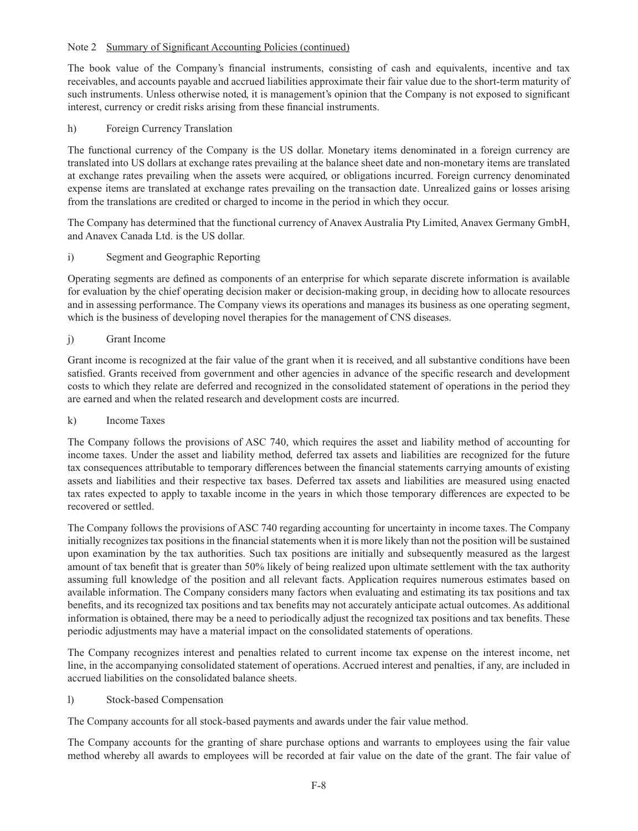The book value of the Company's financial instruments, consisting of cash and equivalents, incentive and tax receivables, and accounts payable and accrued liabilities approximate their fair value due to the short-term maturity of such instruments. Unless otherwise noted, it is management's opinion that the Company is not exposed to significant interest, currency or credit risks arising from these financial instruments.

h) Foreign Currency Translation

The functional currency of the Company is the US dollar. Monetary items denominated in a foreign currency are translated into US dollars at exchange rates prevailing at the balance sheet date and non-monetary items are translated at exchange rates prevailing when the assets were acquired, or obligations incurred. Foreign currency denominated expense items are translated at exchange rates prevailing on the transaction date. Unrealized gains or losses arising from the translations are credited or charged to income in the period in which they occur.

The Company has determined that the functional currency of Anavex Australia Pty Limited, Anavex Germany GmbH, and Anavex Canada Ltd. is the US dollar.

i) Segment and Geographic Reporting

Operating segments are defined as components of an enterprise for which separate discrete information is available for evaluation by the chief operating decision maker or decision-making group, in deciding how to allocate resources and in assessing performance. The Company views its operations and manages its business as one operating segment, which is the business of developing novel therapies for the management of CNS diseases.

## j) Grant Income

Grant income is recognized at the fair value of the grant when it is received, and all substantive conditions have been satisfied. Grants received from government and other agencies in advance of the specific research and development costs to which they relate are deferred and recognized in the consolidated statement of operations in the period they are earned and when the related research and development costs are incurred.

#### k) Income Taxes

The Company follows the provisions of ASC 740, which requires the asset and liability method of accounting for income taxes. Under the asset and liability method, deferred tax assets and liabilities are recognized for the future tax consequences attributable to temporary differences between the financial statements carrying amounts of existing assets and liabilities and their respective tax bases. Deferred tax assets and liabilities are measured using enacted tax rates expected to apply to taxable income in the years in which those temporary differences are expected to be recovered or settled.

The Company follows the provisions of ASC 740 regarding accounting for uncertainty in income taxes. The Company initially recognizes tax positions in the financial statements when it is more likely than not the position will be sustained upon examination by the tax authorities. Such tax positions are initially and subsequently measured as the largest amount of tax benefi t that is greater than 50% likely of being realized upon ultimate settlement with the tax authority assuming full knowledge of the position and all relevant facts. Application requires numerous estimates based on available information. The Company considers many factors when evaluating and estimating its tax positions and tax benefits, and its recognized tax positions and tax benefits may not accurately anticipate actual outcomes. As additional information is obtained, there may be a need to periodically adjust the recognized tax positions and tax benefits. These periodic adjustments may have a material impact on the consolidated statements of operations.

The Company recognizes interest and penalties related to current income tax expense on the interest income, net line, in the accompanying consolidated statement of operations. Accrued interest and penalties, if any, are included in accrued liabilities on the consolidated balance sheets.

#### l) Stock-based Compensation

The Company accounts for all stock-based payments and awards under the fair value method.

The Company accounts for the granting of share purchase options and warrants to employees using the fair value method whereby all awards to employees will be recorded at fair value on the date of the grant. The fair value of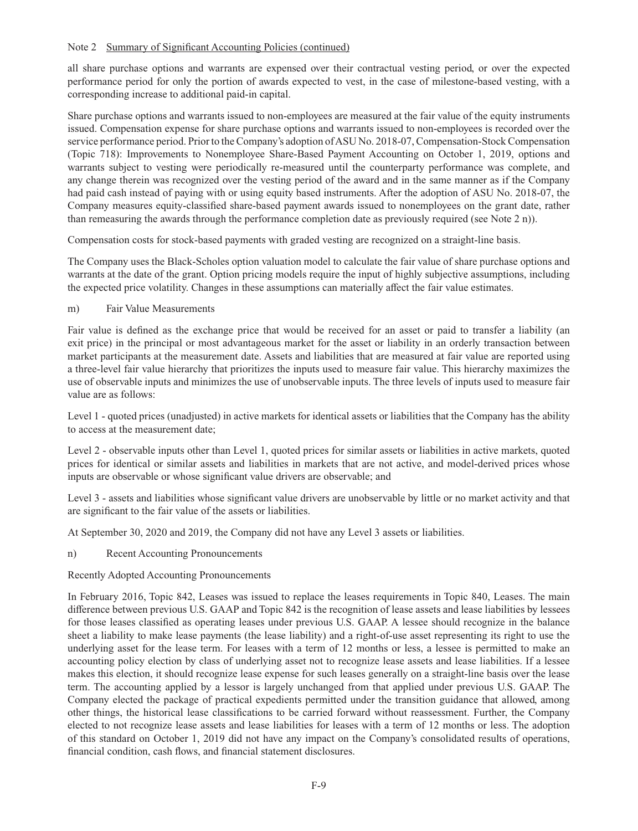all share purchase options and warrants are expensed over their contractual vesting period, or over the expected performance period for only the portion of awards expected to vest, in the case of milestone-based vesting, with a corresponding increase to additional paid-in capital.

Share purchase options and warrants issued to non-employees are measured at the fair value of the equity instruments issued. Compensation expense for share purchase options and warrants issued to non-employees is recorded over the service performance period. Prior to the Company's adoption of ASU No. 2018-07, Compensation-Stock Compensation (Topic 718): Improvements to Nonemployee Share-Based Payment Accounting on October 1, 2019, options and warrants subject to vesting were periodically re-measured until the counterparty performance was complete, and any change therein was recognized over the vesting period of the award and in the same manner as if the Company had paid cash instead of paying with or using equity based instruments. After the adoption of ASU No. 2018-07, the Company measures equity-classified share-based payment awards issued to nonemployees on the grant date, rather than remeasuring the awards through the performance completion date as previously required (see Note 2 n)).

Compensation costs for stock-based payments with graded vesting are recognized on a straight-line basis.

The Company uses the Black-Scholes option valuation model to calculate the fair value of share purchase options and warrants at the date of the grant. Option pricing models require the input of highly subjective assumptions, including the expected price volatility. Changes in these assumptions can materially affect the fair value estimates.

m) Fair Value Measurements

Fair value is defined as the exchange price that would be received for an asset or paid to transfer a liability (an exit price) in the principal or most advantageous market for the asset or liability in an orderly transaction between market participants at the measurement date. Assets and liabilities that are measured at fair value are reported using a three-level fair value hierarchy that prioritizes the inputs used to measure fair value. This hierarchy maximizes the use of observable inputs and minimizes the use of unobservable inputs. The three levels of inputs used to measure fair value are as follows:

Level 1 - quoted prices (unadjusted) in active markets for identical assets or liabilities that the Company has the ability to access at the measurement date;

Level 2 - observable inputs other than Level 1, quoted prices for similar assets or liabilities in active markets, quoted prices for identical or similar assets and liabilities in markets that are not active, and model-derived prices whose inputs are observable or whose significant value drivers are observable; and

Level 3 - assets and liabilities whose significant value drivers are unobservable by little or no market activity and that are significant to the fair value of the assets or liabilities.

At September 30, 2020 and 2019, the Company did not have any Level 3 assets or liabilities.

n) Recent Accounting Pronouncements

Recently Adopted Accounting Pronouncements

In February 2016, Topic 842, Leases was issued to replace the leases requirements in Topic 840, Leases. The main difference between previous U.S. GAAP and Topic 842 is the recognition of lease assets and lease liabilities by lessees for those leases classified as operating leases under previous U.S. GAAP. A lessee should recognize in the balance sheet a liability to make lease payments (the lease liability) and a right-of-use asset representing its right to use the underlying asset for the lease term. For leases with a term of 12 months or less, a lessee is permitted to make an accounting policy election by class of underlying asset not to recognize lease assets and lease liabilities. If a lessee makes this election, it should recognize lease expense for such leases generally on a straight-line basis over the lease term. The accounting applied by a lessor is largely unchanged from that applied under previous U.S. GAAP. The Company elected the package of practical expedients permitted under the transition guidance that allowed, among other things, the historical lease classifications to be carried forward without reassessment. Further, the Company elected to not recognize lease assets and lease liabilities for leases with a term of 12 months or less. The adoption of this standard on October 1, 2019 did not have any impact on the Company's consolidated results of operations, financial condition, cash flows, and financial statement disclosures.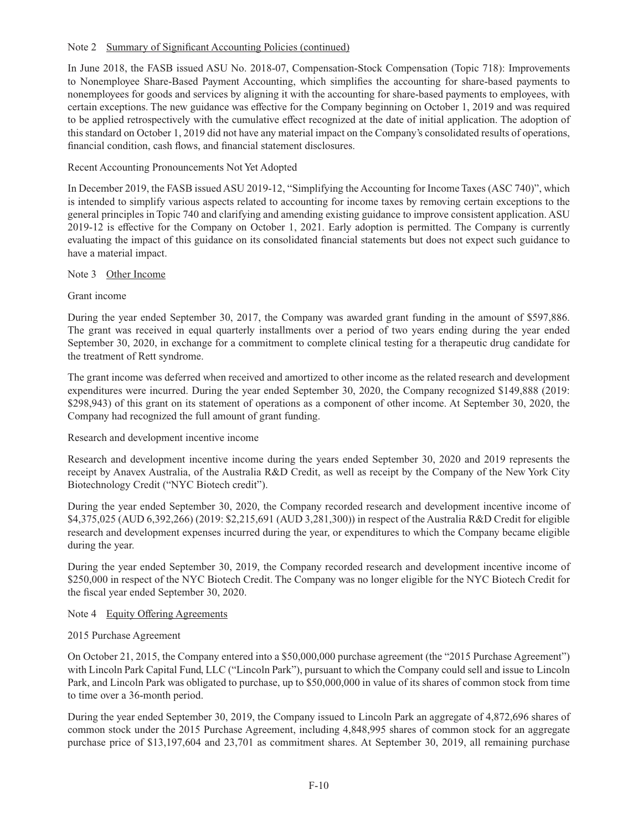In June 2018, the FASB issued ASU No. 2018-07, Compensation-Stock Compensation (Topic 718): Improvements to Nonemployee Share-Based Payment Accounting, which simplifies the accounting for share-based payments to nonemployees for goods and services by aligning it with the accounting for share-based payments to employees, with certain exceptions. The new guidance was effective for the Company beginning on October 1, 2019 and was required to be applied retrospectively with the cumulative effect recognized at the date of initial application. The adoption of this standard on October 1, 2019 did not have any material impact on the Company's consolidated results of operations, financial condition, cash flows, and financial statement disclosures.

## Recent Accounting Pronouncements Not Yet Adopted

In December 2019, the FASB issued ASU 2019-12, "Simplifying the Accounting for Income Taxes (ASC 740)", which is intended to simplify various aspects related to accounting for income taxes by removing certain exceptions to the general principles in Topic 740 and clarifying and amending existing guidance to improve consistent application. ASU 2019-12 is effective for the Company on October 1, 2021. Early adoption is permitted. The Company is currently evaluating the impact of this guidance on its consolidated financial statements but does not expect such guidance to have a material impact.

## Note 3 Other Income

## Grant income

During the year ended September 30, 2017, the Company was awarded grant funding in the amount of \$597,886. The grant was received in equal quarterly installments over a period of two years ending during the year ended September 30, 2020, in exchange for a commitment to complete clinical testing for a therapeutic drug candidate for the treatment of Rett syndrome.

The grant income was deferred when received and amortized to other income as the related research and development expenditures were incurred. During the year ended September 30, 2020, the Company recognized \$149,888 (2019: \$298,943) of this grant on its statement of operations as a component of other income. At September 30, 2020, the Company had recognized the full amount of grant funding.

#### Research and development incentive income

Research and development incentive income during the years ended September 30, 2020 and 2019 represents the receipt by Anavex Australia, of the Australia R&D Credit, as well as receipt by the Company of the New York City Biotechnology Credit ("NYC Biotech credit").

During the year ended September 30, 2020, the Company recorded research and development incentive income of \$4,375,025 (AUD 6,392,266) (2019: \$2,215,691 (AUD 3,281,300)) in respect of the Australia R&D Credit for eligible research and development expenses incurred during the year, or expenditures to which the Company became eligible during the year.

During the year ended September 30, 2019, the Company recorded research and development incentive income of \$250,000 in respect of the NYC Biotech Credit. The Company was no longer eligible for the NYC Biotech Credit for the fiscal year ended September 30, 2020.

#### Note 4 Equity Offering Agreements

#### 2015 Purchase Agreement

On October 21, 2015, the Company entered into a \$50,000,000 purchase agreement (the "2015 Purchase Agreement") with Lincoln Park Capital Fund, LLC ("Lincoln Park"), pursuant to which the Company could sell and issue to Lincoln Park, and Lincoln Park was obligated to purchase, up to \$50,000,000 in value of its shares of common stock from time to time over a 36-month period.

During the year ended September 30, 2019, the Company issued to Lincoln Park an aggregate of 4,872,696 shares of common stock under the 2015 Purchase Agreement, including 4,848,995 shares of common stock for an aggregate purchase price of \$13,197,604 and 23,701 as commitment shares. At September 30, 2019, all remaining purchase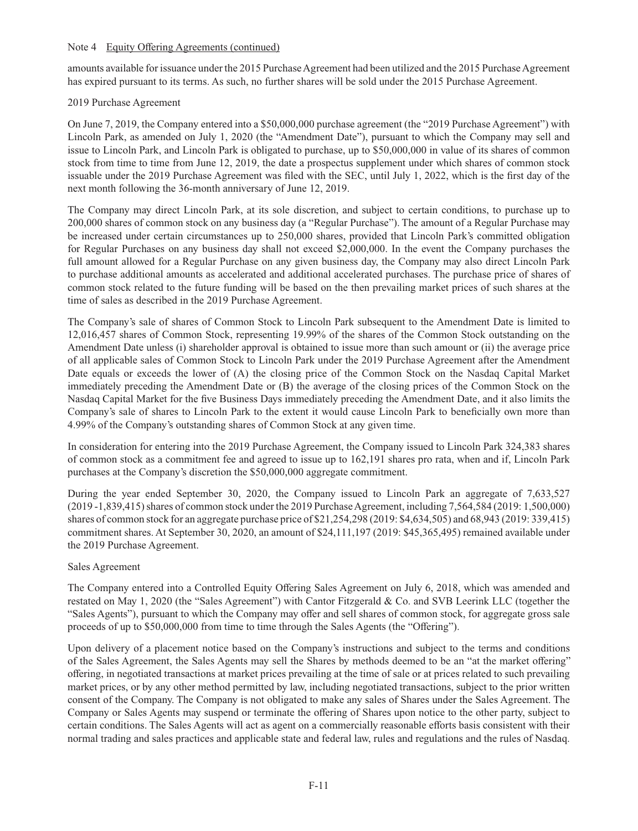#### Note 4 Equity Offering Agreements (continued)

amounts available for issuance under the 2015 Purchase Agreement had been utilized and the 2015 Purchase Agreement has expired pursuant to its terms. As such, no further shares will be sold under the 2015 Purchase Agreement.

## 2019 Purchase Agreement

On June 7, 2019, the Company entered into a \$50,000,000 purchase agreement (the "2019 Purchase Agreement") with Lincoln Park, as amended on July 1, 2020 (the "Amendment Date"), pursuant to which the Company may sell and issue to Lincoln Park, and Lincoln Park is obligated to purchase, up to \$50,000,000 in value of its shares of common stock from time to time from June 12, 2019, the date a prospectus supplement under which shares of common stock issuable under the 2019 Purchase Agreement was filed with the SEC, until July 1, 2022, which is the first day of the next month following the 36-month anniversary of June 12, 2019.

The Company may direct Lincoln Park, at its sole discretion, and subject to certain conditions, to purchase up to 200,000 shares of common stock on any business day (a "Regular Purchase"). The amount of a Regular Purchase may be increased under certain circumstances up to 250,000 shares, provided that Lincoln Park's committed obligation for Regular Purchases on any business day shall not exceed \$2,000,000. In the event the Company purchases the full amount allowed for a Regular Purchase on any given business day, the Company may also direct Lincoln Park to purchase additional amounts as accelerated and additional accelerated purchases. The purchase price of shares of common stock related to the future funding will be based on the then prevailing market prices of such shares at the time of sales as described in the 2019 Purchase Agreement.

The Company's sale of shares of Common Stock to Lincoln Park subsequent to the Amendment Date is limited to 12,016,457 shares of Common Stock, representing 19.99% of the shares of the Common Stock outstanding on the Amendment Date unless (i) shareholder approval is obtained to issue more than such amount or (ii) the average price of all applicable sales of Common Stock to Lincoln Park under the 2019 Purchase Agreement after the Amendment Date equals or exceeds the lower of (A) the closing price of the Common Stock on the Nasdaq Capital Market immediately preceding the Amendment Date or (B) the average of the closing prices of the Common Stock on the Nasdaq Capital Market for the five Business Days immediately preceding the Amendment Date, and it also limits the Company's sale of shares to Lincoln Park to the extent it would cause Lincoln Park to beneficially own more than 4.99% of the Company's outstanding shares of Common Stock at any given time.

In consideration for entering into the 2019 Purchase Agreement, the Company issued to Lincoln Park 324,383 shares of common stock as a commitment fee and agreed to issue up to 162,191 shares pro rata, when and if, Lincoln Park purchases at the Company's discretion the \$50,000,000 aggregate commitment.

During the year ended September 30, 2020, the Company issued to Lincoln Park an aggregate of 7,633,527 (2019 -1,839,415) shares of common stock under the 2019 Purchase Agreement, including 7,564,584 (2019: 1,500,000) shares of common stock for an aggregate purchase price of \$21,254,298 (2019: \$4,634,505) and 68,943 (2019: 339,415) commitment shares. At September 30, 2020, an amount of \$24,111,197 (2019: \$45,365,495) remained available under the 2019 Purchase Agreement.

# Sales Agreement

The Company entered into a Controlled Equity Offering Sales Agreement on July 6, 2018, which was amended and restated on May 1, 2020 (the "Sales Agreement") with Cantor Fitzgerald & Co. and SVB Leerink LLC (together the "Sales Agents"), pursuant to which the Company may offer and sell shares of common stock, for aggregate gross sale proceeds of up to \$50,000,000 from time to time through the Sales Agents (the "Offering").

Upon delivery of a placement notice based on the Company's instructions and subject to the terms and conditions of the Sales Agreement, the Sales Agents may sell the Shares by methods deemed to be an "at the market offering" offering, in negotiated transactions at market prices prevailing at the time of sale or at prices related to such prevailing market prices, or by any other method permitted by law, including negotiated transactions, subject to the prior written consent of the Company. The Company is not obligated to make any sales of Shares under the Sales Agreement. The Company or Sales Agents may suspend or terminate the offering of Shares upon notice to the other party, subject to certain conditions. The Sales Agents will act as agent on a commercially reasonable efforts basis consistent with their normal trading and sales practices and applicable state and federal law, rules and regulations and the rules of Nasdaq.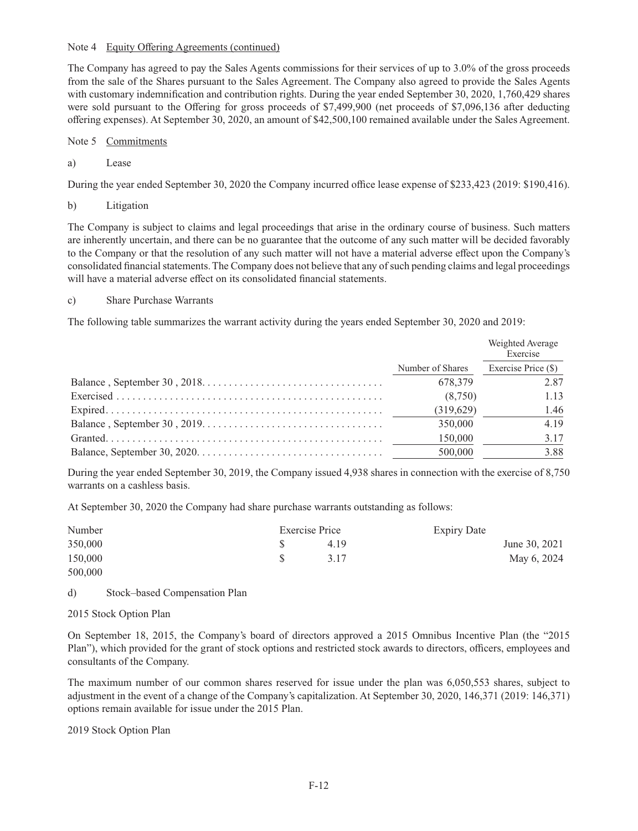#### Note 4 Equity Offering Agreements (continued)

The Company has agreed to pay the Sales Agents commissions for their services of up to 3.0% of the gross proceeds from the sale of the Shares pursuant to the Sales Agreement. The Company also agreed to provide the Sales Agents with customary indemnification and contribution rights. During the year ended September 30, 2020, 1,760,429 shares were sold pursuant to the Offering for gross proceeds of \$7,499,900 (net proceeds of \$7,096,136 after deducting offering expenses). At September 30, 2020, an amount of \$42,500,100 remained available under the Sales Agreement.

- Note 5 Commitments
- a) Lease

During the year ended September 30, 2020 the Company incurred office lease expense of \$233,423 (2019: \$190,416).

b) Litigation

The Company is subject to claims and legal proceedings that arise in the ordinary course of business. Such matters are inherently uncertain, and there can be no guarantee that the outcome of any such matter will be decided favorably to the Company or that the resolution of any such matter will not have a material adverse effect upon the Company's consolidated financial statements. The Company does not believe that any of such pending claims and legal proceedings will have a material adverse effect on its consolidated financial statements.

#### c) Share Purchase Warrants

The following table summarizes the warrant activity during the years ended September 30, 2020 and 2019:

|                  | Weighted Average<br>Exercise |
|------------------|------------------------------|
| Number of Shares | Exercise Price (\$)          |
| 678.379          | 2.87                         |
| (8,750)          | 1.13                         |
| (319,629)        | 1.46                         |
| 350,000          | 4.19                         |
| 150,000          | 3.17                         |
| 500,000          | 3.88                         |

During the year ended September 30, 2019, the Company issued 4,938 shares in connection with the exercise of 8,750 warrants on a cashless basis.

At September 30, 2020 the Company had share purchase warrants outstanding as follows:

| Number  | Exercise Price | <b>Expiry Date</b> |               |
|---------|----------------|--------------------|---------------|
| 350,000 | 4.19           |                    | June 30, 2021 |
| 150,000 | 3.17           |                    | May 6, 2024   |
| 500,000 |                |                    |               |

d) Stock–based Compensation Plan

#### 2015 Stock Option Plan

On September 18, 2015, the Company's board of directors approved a 2015 Omnibus Incentive Plan (the "2015 Plan"), which provided for the grant of stock options and restricted stock awards to directors, officers, employees and consultants of the Company.

The maximum number of our common shares reserved for issue under the plan was 6,050,553 shares, subject to adjustment in the event of a change of the Company's capitalization. At September 30, 2020, 146,371 (2019: 146,371) options remain available for issue under the 2015 Plan.

2019 Stock Option Plan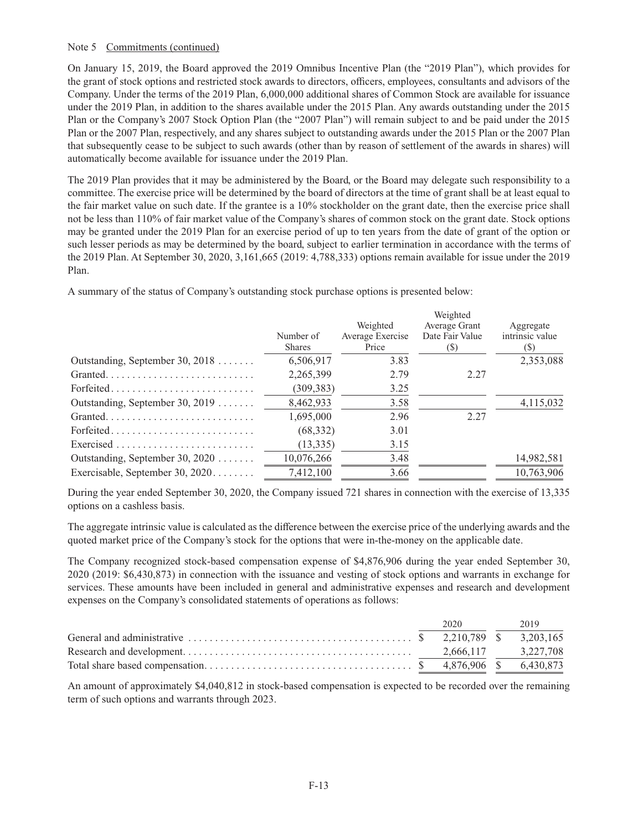#### Note 5 Commitments (continued)

On January 15, 2019, the Board approved the 2019 Omnibus Incentive Plan (the "2019 Plan"), which provides for the grant of stock options and restricted stock awards to directors, officers, employees, consultants and advisors of the Company. Under the terms of the 2019 Plan, 6,000,000 additional shares of Common Stock are available for issuance under the 2019 Plan, in addition to the shares available under the 2015 Plan. Any awards outstanding under the 2015 Plan or the Company's 2007 Stock Option Plan (the "2007 Plan") will remain subject to and be paid under the 2015 Plan or the 2007 Plan, respectively, and any shares subject to outstanding awards under the 2015 Plan or the 2007 Plan that subsequently cease to be subject to such awards (other than by reason of settlement of the awards in shares) will automatically become available for issuance under the 2019 Plan.

The 2019 Plan provides that it may be administered by the Board, or the Board may delegate such responsibility to a committee. The exercise price will be determined by the board of directors at the time of grant shall be at least equal to the fair market value on such date. If the grantee is a 10% stockholder on the grant date, then the exercise price shall not be less than 110% of fair market value of the Company's shares of common stock on the grant date. Stock options may be granted under the 2019 Plan for an exercise period of up to ten years from the date of grant of the option or such lesser periods as may be determined by the board, subject to earlier termination in accordance with the terms of the 2019 Plan. At September 30, 2020, 3,161,665 (2019: 4,788,333) options remain available for issue under the 2019 Plan.

A summary of the status of Company's outstanding stock purchase options is presented below:

|                                   |                            | Weighted                  | Weighted<br>Average Grant | Aggregate              |
|-----------------------------------|----------------------------|---------------------------|---------------------------|------------------------|
|                                   | Number of<br><b>Shares</b> | Average Exercise<br>Price | Date Fair Value<br>(S)    | intrinsic value<br>(S) |
| Outstanding, September 30, $2018$ | 6,506,917                  | 3.83                      |                           | 2,353,088              |
|                                   | 2,265,399                  | 2.79                      | 2.27                      |                        |
| Forfeited                         | (309, 383)                 | 3.25                      |                           |                        |
| Outstanding, September 30, 2019   | 8,462,933                  | 3.58                      |                           | 4,115,032              |
|                                   | 1,695,000                  | 2.96                      | 2.27                      |                        |
| Forfeited                         | (68, 332)                  | 3.01                      |                           |                        |
|                                   | (13, 335)                  | 3.15                      |                           |                        |
| Outstanding, September 30, $2020$ | 10,076,266                 | 3.48                      |                           | 14,982,581             |
| Exercisable, September 30, 2020   | 7,412,100                  | 3.66                      |                           | 10,763,906             |

During the year ended September 30, 2020, the Company issued 721 shares in connection with the exercise of 13,335 options on a cashless basis.

The aggregate intrinsic value is calculated as the difference between the exercise price of the underlying awards and the quoted market price of the Company's stock for the options that were in-the-money on the applicable date.

The Company recognized stock-based compensation expense of \$4,876,906 during the year ended September 30, 2020 (2019: \$6,430,873) in connection with the issuance and vesting of stock options and warrants in exchange for services. These amounts have been included in general and administrative expenses and research and development expenses on the Company's consolidated statements of operations as follows:

|  | 2020 2019 |  |
|--|-----------|--|
|  |           |  |
|  |           |  |
|  |           |  |

An amount of approximately \$4,040,812 in stock-based compensation is expected to be recorded over the remaining term of such options and warrants through 2023.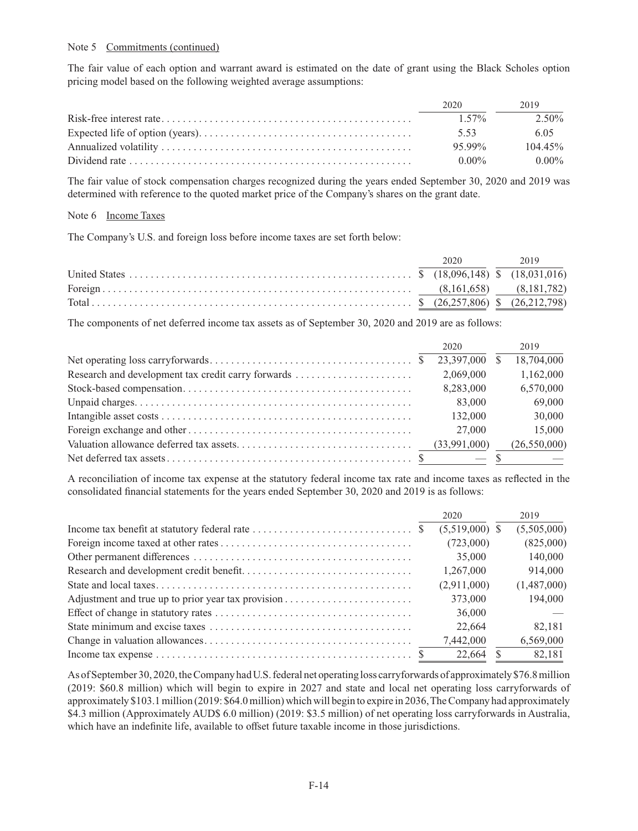#### Note 5 Commitments (continued)

The fair value of each option and warrant award is estimated on the date of grant using the Black Scholes option pricing model based on the following weighted average assumptions:

| 2020     | 2019       |
|----------|------------|
| $1.57\%$ | 2.50%      |
| 5.53     | 6.05       |
| 95.99%   | $104.45\%$ |
| $0.00\%$ | $0.00\%$   |

The fair value of stock compensation charges recognized during the years ended September 30, 2020 and 2019 was determined with reference to the quoted market price of the Company's shares on the grant date.

#### Note 6 Income Taxes

The Company's U.S. and foreign loss before income taxes are set forth below:

|  | 2020 2019 |  |
|--|-----------|--|
|  |           |  |
|  |           |  |
|  |           |  |

The components of net deferred income tax assets as of September 30, 2020 and 2019 are as follows:

|                                                    | 2020          | 2019           |
|----------------------------------------------------|---------------|----------------|
|                                                    | 23,397,000 \$ | 18,704,000     |
| Research and development tax credit carry forwards | 2,069,000     | 1,162,000      |
|                                                    | 8,283,000     | 6,570,000      |
|                                                    | 83,000        | 69,000         |
|                                                    | 132,000       | 30,000         |
|                                                    | 27,000        | 15,000         |
|                                                    |               | (26, 550, 000) |
|                                                    |               |                |

A reconciliation of income tax expense at the statutory federal income tax rate and income taxes as reflected in the consolidated financial statements for the years ended September 30, 2020 and 2019 is as follows:

|                                                                                                    | 2020             | 2019        |
|----------------------------------------------------------------------------------------------------|------------------|-------------|
|                                                                                                    | $(5,519,000)$ \$ | (5,505,000) |
|                                                                                                    | (723,000)        | (825,000)   |
|                                                                                                    | 35,000           | 140,000     |
|                                                                                                    | 1,267,000        | 914,000     |
|                                                                                                    | (2,911,000)      | (1,487,000) |
|                                                                                                    | 373,000          | 194,000     |
|                                                                                                    | 36,000           |             |
|                                                                                                    | 22,664           | 82.181      |
|                                                                                                    | 7,442,000        | 6,569,000   |
| Income tax expense $\dots \dots \dots \dots \dots \dots \dots \dots \dots \dots \dots \dots \dots$ | 22.664           | 82.181      |

As of September 30, 2020, the Company had U.S. federal net operating loss carryforwards of approximately \$76.8 million (2019: \$60.8 million) which will begin to expire in 2027 and state and local net operating loss carryforwards of approximately \$103.1 million (2019: \$64.0 million) which will begin to expire in 2036, The Company had approximately \$4.3 million (Approximately AUD\$ 6.0 million) (2019: \$3.5 million) of net operating loss carryforwards in Australia, which have an indefinite life, available to offset future taxable income in those jurisdictions.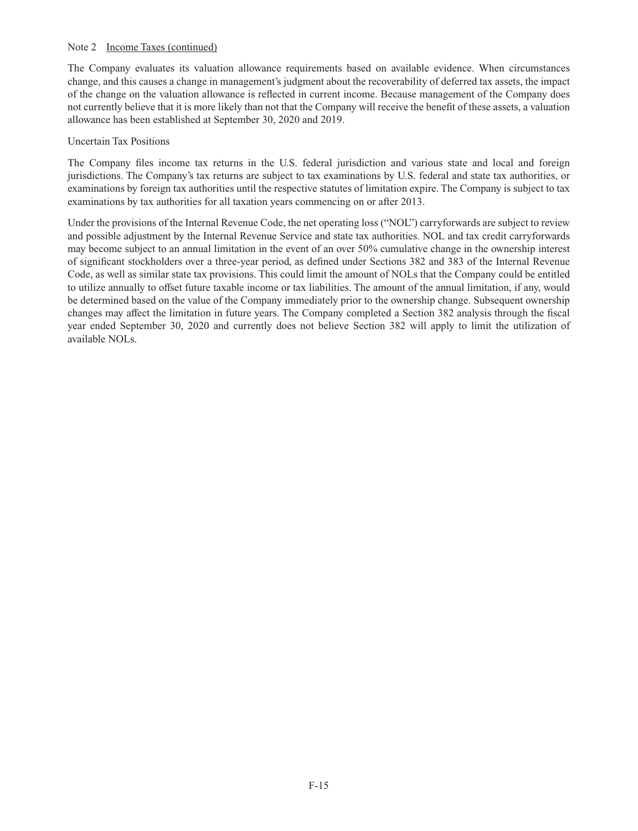#### Note 2 Income Taxes (continued)

The Company evaluates its valuation allowance requirements based on available evidence. When circumstances change, and this causes a change in management's judgment about the recoverability of deferred tax assets, the impact of the change on the valuation allowance is reflected in current income. Because management of the Company does not currently believe that it is more likely than not that the Company will receive the benefi t of these assets, a valuation allowance has been established at September 30, 2020 and 2019.

#### Uncertain Tax Positions

The Company files income tax returns in the U.S. federal jurisdiction and various state and local and foreign jurisdictions. The Company's tax returns are subject to tax examinations by U.S. federal and state tax authorities, or examinations by foreign tax authorities until the respective statutes of limitation expire. The Company is subject to tax examinations by tax authorities for all taxation years commencing on or after 2013.

Under the provisions of the Internal Revenue Code, the net operating loss ("NOL") carryforwards are subject to review and possible adjustment by the Internal Revenue Service and state tax authorities. NOL and tax credit carryforwards may become subject to an annual limitation in the event of an over 50% cumulative change in the ownership interest of significant stockholders over a three-year period, as defined under Sections 382 and 383 of the Internal Revenue Code, as well as similar state tax provisions. This could limit the amount of NOLs that the Company could be entitled to utilize annually to offset future taxable income or tax liabilities. The amount of the annual limitation, if any, would be determined based on the value of the Company immediately prior to the ownership change. Subsequent ownership changes may affect the limitation in future years. The Company completed a Section 382 analysis through the fiscal year ended September 30, 2020 and currently does not believe Section 382 will apply to limit the utilization of available NOLs.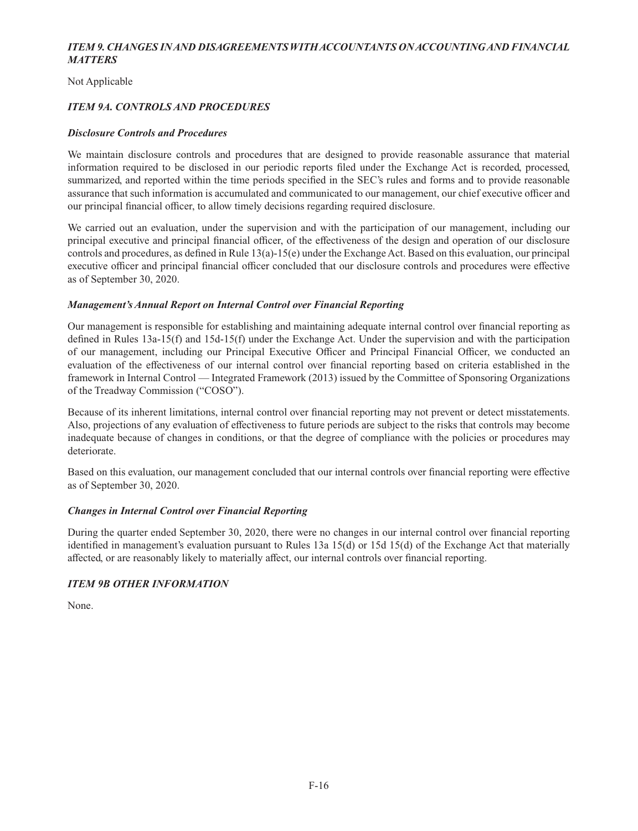# *ITEM 9. CHANGES IN AND DISAGREEMENTS WITH ACCOUNTANTS ON ACCOUNTING AND FINANCIAL MATTERS*

Not Applicable

# *ITEM 9A. CONTROLS AND PROCEDURES*

### *Disclosure Controls and Procedures*

We maintain disclosure controls and procedures that are designed to provide reasonable assurance that material information required to be disclosed in our periodic reports filed under the Exchange Act is recorded, processed, summarized, and reported within the time periods specified in the SEC's rules and forms and to provide reasonable assurance that such information is accumulated and communicated to our management, our chief executive officer and our principal financial officer, to allow timely decisions regarding required disclosure.

We carried out an evaluation, under the supervision and with the participation of our management, including our principal executive and principal financial officer, of the effectiveness of the design and operation of our disclosure controls and procedures, as defined in Rule  $13(a)$ -15(e) under the Exchange Act. Based on this evaluation, our principal executive officer and principal financial officer concluded that our disclosure controls and procedures were effective as of September 30, 2020.

## *Management's Annual Report on Internal Control over Financial Reporting*

Our management is responsible for establishing and maintaining adequate internal control over financial reporting as defined in Rules  $13a-15(f)$  and  $15d-15(f)$  under the Exchange Act. Under the supervision and with the participation of our management, including our Principal Executive Officer and Principal Financial Officer, we conducted an evaluation of the effectiveness of our internal control over financial reporting based on criteria established in the framework in Internal Control — Integrated Framework (2013) issued by the Committee of Sponsoring Organizations of the Treadway Commission ("COSO").

Because of its inherent limitations, internal control over financial reporting may not prevent or detect misstatements. Also, projections of any evaluation of effectiveness to future periods are subject to the risks that controls may become inadequate because of changes in conditions, or that the degree of compliance with the policies or procedures may deteriorate.

Based on this evaluation, our management concluded that our internal controls over financial reporting were effective as of September 30, 2020.

#### *Changes in Internal Control over Financial Reporting*

During the quarter ended September 30, 2020, there were no changes in our internal control over financial reporting identified in management's evaluation pursuant to Rules 13a 15(d) or 15d 15(d) of the Exchange Act that materially affected, or are reasonably likely to materially affect, our internal controls over financial reporting.

# *ITEM 9B OTHER INFORMATION*

None.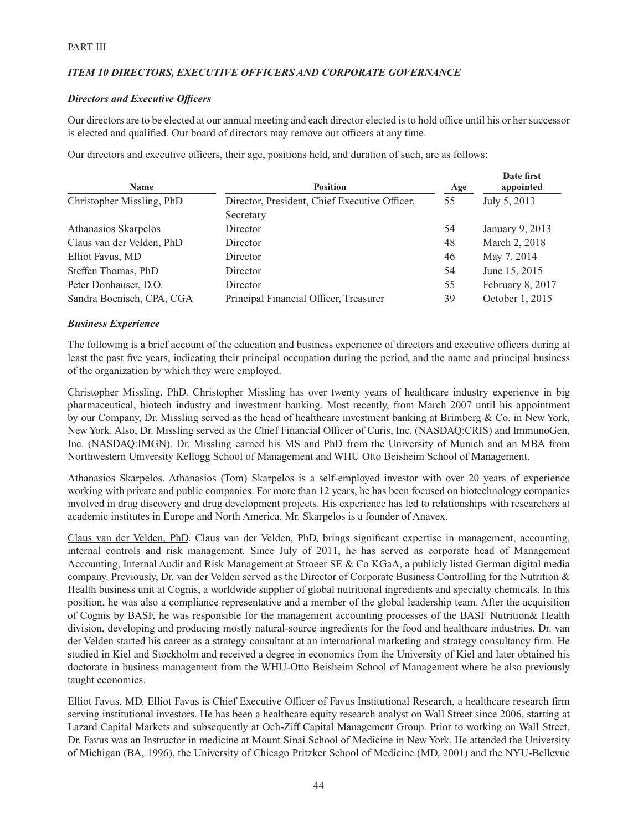# *ITEM 10 DIRECTORS, EXECUTIVE OFFICERS AND CORPORATE GOVERNANCE*

#### **Directors and Executive Officers**

Our directors are to be elected at our annual meeting and each director elected is to hold office until his or her successor is elected and qualified. Our board of directors may remove our officers at any time.

Our directors and executive officers, their age, positions held, and duration of such, are as follows:

| Name                      | <b>Position</b>                               | Age | Date first<br>appointed |
|---------------------------|-----------------------------------------------|-----|-------------------------|
| Christopher Missling, PhD | Director, President, Chief Executive Officer, | 55  | July 5, 2013            |
|                           | Secretary                                     |     |                         |
| Athanasios Skarpelos      | Director                                      | 54  | January 9, 2013         |
| Claus van der Velden, PhD | Director                                      | 48  | March 2, 2018           |
| Elliot Favus, MD          | Director                                      | 46  | May 7, 2014             |
| Steffen Thomas, PhD       | Director                                      | 54  | June 15, 2015           |
| Peter Donhauser, D.O.     | Director                                      | 55  | February 8, 2017        |
| Sandra Boenisch, CPA, CGA | Principal Financial Officer, Treasurer        | 39  | October 1, 2015         |

#### *Business Experience*

The following is a brief account of the education and business experience of directors and executive officers during at least the past five years, indicating their principal occupation during the period, and the name and principal business of the organization by which they were employed.

Christopher Missling, PhD. Christopher Missling has over twenty years of healthcare industry experience in big pharmaceutical, biotech industry and investment banking. Most recently, from March 2007 until his appointment by our Company, Dr. Missling served as the head of healthcare investment banking at Brimberg & Co. in New York, New York. Also, Dr. Missling served as the Chief Financial Officer of Curis, Inc. (NASDAQ:CRIS) and ImmunoGen, Inc. (NASDAQ:IMGN). Dr. Missling earned his MS and PhD from the University of Munich and an MBA from Northwestern University Kellogg School of Management and WHU Otto Beisheim School of Management.

Athanasios Skarpelos. Athanasios (Tom) Skarpelos is a self-employed investor with over 20 years of experience working with private and public companies. For more than 12 years, he has been focused on biotechnology companies involved in drug discovery and drug development projects. His experience has led to relationships with researchers at academic institutes in Europe and North America. Mr. Skarpelos is a founder of Anavex.

Claus van der Velden, PhD. Claus van der Velden, PhD, brings significant expertise in management, accounting, internal controls and risk management. Since July of 2011, he has served as corporate head of Management Accounting, Internal Audit and Risk Management at Stroeer SE & Co KGaA, a publicly listed German digital media company. Previously, Dr. van der Velden served as the Director of Corporate Business Controlling for the Nutrition & Health business unit at Cognis, a worldwide supplier of global nutritional ingredients and specialty chemicals. In this position, he was also a compliance representative and a member of the global leadership team. After the acquisition of Cognis by BASF, he was responsible for the management accounting processes of the BASF Nutrition& Health division, developing and producing mostly natural-source ingredients for the food and healthcare industries. Dr. van der Velden started his career as a strategy consultant at an international marketing and strategy consultancy firm. He studied in Kiel and Stockholm and received a degree in economics from the University of Kiel and later obtained his doctorate in business management from the WHU-Otto Beisheim School of Management where he also previously taught economics.

Elliot Favus, MD. Elliot Favus is Chief Executive Officer of Favus Institutional Research, a healthcare research firm serving institutional investors. He has been a healthcare equity research analyst on Wall Street since 2006, starting at Lazard Capital Markets and subsequently at Och-Ziff Capital Management Group. Prior to working on Wall Street, Dr. Favus was an Instructor in medicine at Mount Sinai School of Medicine in New York. He attended the University of Michigan (BA, 1996), the University of Chicago Pritzker School of Medicine (MD, 2001) and the NYU-Bellevue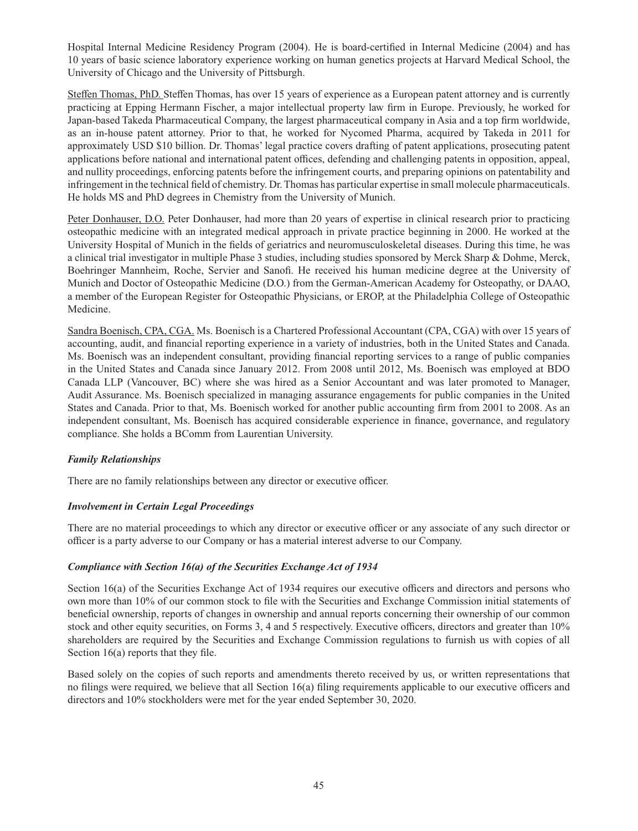Hospital Internal Medicine Residency Program (2004). He is board-certified in Internal Medicine (2004) and has 10 years of basic science laboratory experience working on human genetics projects at Harvard Medical School, the University of Chicago and the University of Pittsburgh.

Steffen Thomas, PhD. Steffen Thomas, has over 15 years of experience as a European patent attorney and is currently practicing at Epping Hermann Fischer, a major intellectual property law firm in Europe. Previously, he worked for Japan-based Takeda Pharmaceutical Company, the largest pharmaceutical company in Asia and a top firm worldwide, as an in-house patent attorney. Prior to that, he worked for Nycomed Pharma, acquired by Takeda in 2011 for approximately USD \$10 billion. Dr. Thomas' legal practice covers drafting of patent applications, prosecuting patent applications before national and international patent offices, defending and challenging patents in opposition, appeal, and nullity proceedings, enforcing patents before the infringement courts, and preparing opinions on patentability and infringement in the technical field of chemistry. Dr. Thomas has particular expertise in small molecule pharmaceuticals. He holds MS and PhD degrees in Chemistry from the University of Munich.

Peter Donhauser, D.O. Peter Donhauser, had more than 20 years of expertise in clinical research prior to practicing osteopathic medicine with an integrated medical approach in private practice beginning in 2000. He worked at the University Hospital of Munich in the fields of geriatrics and neuromusculoskeletal diseases. During this time, he was a clinical trial investigator in multiple Phase 3 studies, including studies sponsored by Merck Sharp & Dohme, Merck, Boehringer Mannheim, Roche, Servier and Sanofi . He received his human medicine degree at the University of Munich and Doctor of Osteopathic Medicine (D.O.) from the German-American Academy for Osteopathy, or DAAO, a member of the European Register for Osteopathic Physicians, or EROP, at the Philadelphia College of Osteopathic Medicine.

Sandra Boenisch, CPA, CGA. Ms. Boenisch is a Chartered Professional Accountant (CPA, CGA) with over 15 years of accounting, audit, and financial reporting experience in a variety of industries, both in the United States and Canada. Ms. Boenisch was an independent consultant, providing financial reporting services to a range of public companies in the United States and Canada since January 2012. From 2008 until 2012, Ms. Boenisch was employed at BDO Canada LLP (Vancouver, BC) where she was hired as a Senior Accountant and was later promoted to Manager, Audit Assurance. Ms. Boenisch specialized in managing assurance engagements for public companies in the United States and Canada. Prior to that, Ms. Boenisch worked for another public accounting firm from 2001 to 2008. As an independent consultant, Ms. Boenisch has acquired considerable experience in finance, governance, and regulatory compliance. She holds a BComm from Laurentian University.

# *Family Relationships*

There are no family relationships between any director or executive officer.

# *Involvement in Certain Legal Proceedings*

There are no material proceedings to which any director or executive officer or any associate of any such director or officer is a party adverse to our Company or has a material interest adverse to our Company.

#### *Compliance with Section 16(a) of the Securities Exchange Act of 1934*

Section 16(a) of the Securities Exchange Act of 1934 requires our executive officers and directors and persons who own more than 10% of our common stock to file with the Securities and Exchange Commission initial statements of beneficial ownership, reports of changes in ownership and annual reports concerning their ownership of our common stock and other equity securities, on Forms 3, 4 and 5 respectively. Executive officers, directors and greater than 10% shareholders are required by the Securities and Exchange Commission regulations to furnish us with copies of all Section  $16(a)$  reports that they file.

Based solely on the copies of such reports and amendments thereto received by us, or written representations that no filings were required, we believe that all Section 16(a) filing requirements applicable to our executive officers and directors and 10% stockholders were met for the year ended September 30, 2020.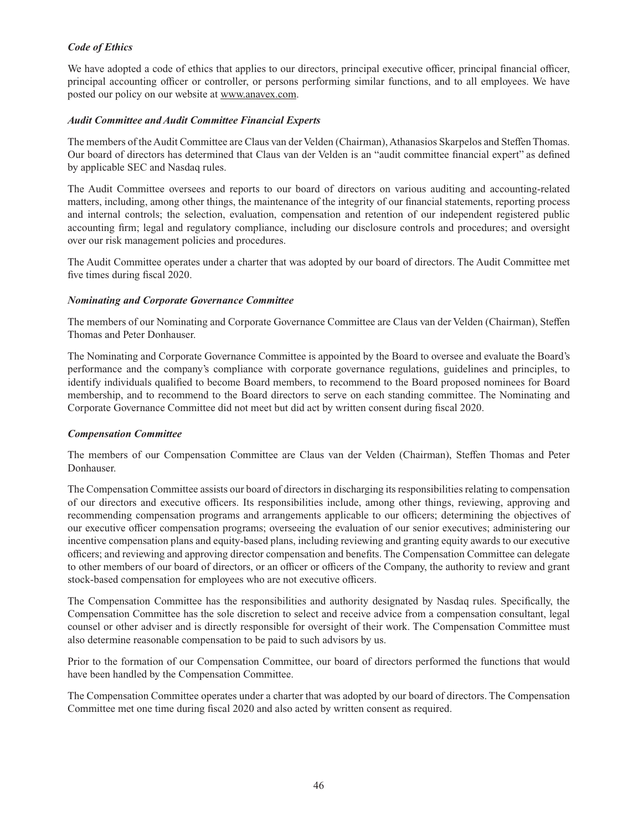## *Code of Ethics*

We have adopted a code of ethics that applies to our directors, principal executive officer, principal financial officer, principal accounting officer or controller, or persons performing similar functions, and to all employees. We have posted our policy on our website at www.anavex.com.

#### *Audit Committee and Audit Committee Financial Experts*

The members of the Audit Committee are Claus van der Velden (Chairman), Athanasios Skarpelos and Steffen Thomas. Our board of directors has determined that Claus van der Velden is an "audit committee financial expert" as defined by applicable SEC and Nasdaq rules.

The Audit Committee oversees and reports to our board of directors on various auditing and accounting-related matters, including, among other things, the maintenance of the integrity of our financial statements, reporting process and internal controls; the selection, evaluation, compensation and retention of our independent registered public accounting firm; legal and regulatory compliance, including our disclosure controls and procedures; and oversight over our risk management policies and procedures.

The Audit Committee operates under a charter that was adopted by our board of directors. The Audit Committee met five times during fiscal 2020.

#### *Nominating and Corporate Governance Committee*

The members of our Nominating and Corporate Governance Committee are Claus van der Velden (Chairman), Steffen Thomas and Peter Donhauser.

The Nominating and Corporate Governance Committee is appointed by the Board to oversee and evaluate the Board's performance and the company's compliance with corporate governance regulations, guidelines and principles, to identify individuals qualified to become Board members, to recommend to the Board proposed nominees for Board membership, and to recommend to the Board directors to serve on each standing committee. The Nominating and Corporate Governance Committee did not meet but did act by written consent during fiscal 2020.

#### *Compensation Committee*

The members of our Compensation Committee are Claus van der Velden (Chairman), Steffen Thomas and Peter Donhauser.

The Compensation Committee assists our board of directors in discharging its responsibilities relating to compensation of our directors and executive officers. Its responsibilities include, among other things, reviewing, approving and recommending compensation programs and arrangements applicable to our officers; determining the objectives of our executive officer compensation programs; overseeing the evaluation of our senior executives; administering our incentive compensation plans and equity-based plans, including reviewing and granting equity awards to our executive officers; and reviewing and approving director compensation and benefits. The Compensation Committee can delegate to other members of our board of directors, or an officer or officers of the Company, the authority to review and grant stock-based compensation for employees who are not executive officers.

The Compensation Committee has the responsibilities and authority designated by Nasdaq rules. Specifically, the Compensation Committee has the sole discretion to select and receive advice from a compensation consultant, legal counsel or other adviser and is directly responsible for oversight of their work. The Compensation Committee must also determine reasonable compensation to be paid to such advisors by us.

Prior to the formation of our Compensation Committee, our board of directors performed the functions that would have been handled by the Compensation Committee.

The Compensation Committee operates under a charter that was adopted by our board of directors. The Compensation Committee met one time during fiscal 2020 and also acted by written consent as required.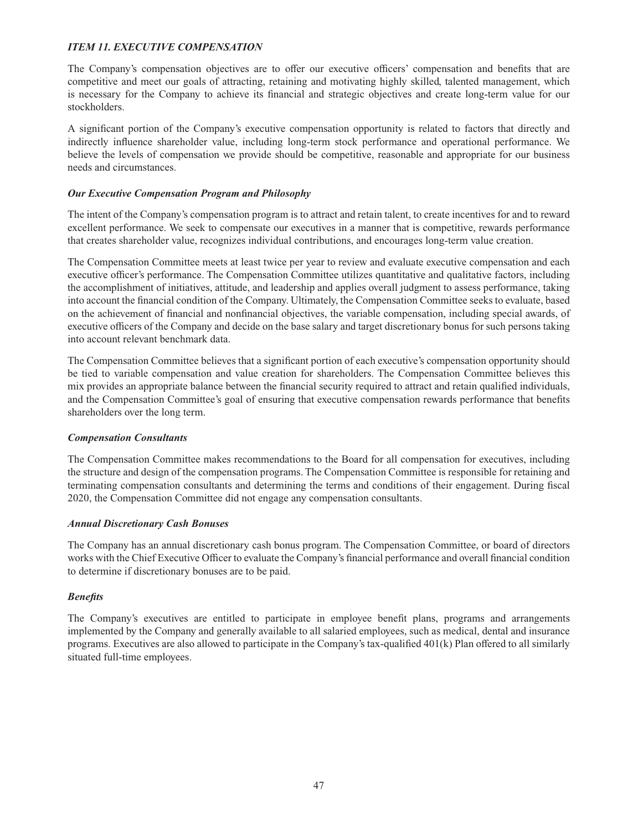# *ITEM 11. EXECUTIVE COMPENSATION*

The Company's compensation objectives are to offer our executive officers' compensation and benefits that are competitive and meet our goals of attracting, retaining and motivating highly skilled, talented management, which is necessary for the Company to achieve its financial and strategic objectives and create long-term value for our stockholders.

A significant portion of the Company's executive compensation opportunity is related to factors that directly and indirectly influence shareholder value, including long-term stock performance and operational performance. We believe the levels of compensation we provide should be competitive, reasonable and appropriate for our business needs and circumstances.

## *Our Executive Compensation Program and Philosophy*

The intent of the Company's compensation program is to attract and retain talent, to create incentives for and to reward excellent performance. We seek to compensate our executives in a manner that is competitive, rewards performance that creates shareholder value, recognizes individual contributions, and encourages long-term value creation.

The Compensation Committee meets at least twice per year to review and evaluate executive compensation and each executive officer's performance. The Compensation Committee utilizes quantitative and qualitative factors, including the accomplishment of initiatives, attitude, and leadership and applies overall judgment to assess performance, taking into account the financial condition of the Company. Ultimately, the Compensation Committee seeks to evaluate, based on the achievement of financial and nonfinancial objectives, the variable compensation, including special awards, of executive officers of the Company and decide on the base salary and target discretionary bonus for such persons taking into account relevant benchmark data.

The Compensation Committee believes that a significant portion of each executive's compensation opportunity should be tied to variable compensation and value creation for shareholders. The Compensation Committee believes this mix provides an appropriate balance between the financial security required to attract and retain qualified individuals, and the Compensation Committee's goal of ensuring that executive compensation rewards performance that benefits shareholders over the long term.

#### *Compensation Consultants*

The Compensation Committee makes recommendations to the Board for all compensation for executives, including the structure and design of the compensation programs. The Compensation Committee is responsible for retaining and terminating compensation consultants and determining the terms and conditions of their engagement. During fiscal 2020, the Compensation Committee did not engage any compensation consultants.

#### *Annual Discretionary Cash Bonuses*

The Company has an annual discretionary cash bonus program. The Compensation Committee, or board of directors works with the Chief Executive Officer to evaluate the Company's financial performance and overall financial condition to determine if discretionary bonuses are to be paid.

#### *Benefi ts*

The Company's executives are entitled to participate in employee benefi t plans, programs and arrangements implemented by the Company and generally available to all salaried employees, such as medical, dental and insurance programs. Executives are also allowed to participate in the Company's tax-qualified  $401(k)$  Plan offered to all similarly situated full-time employees.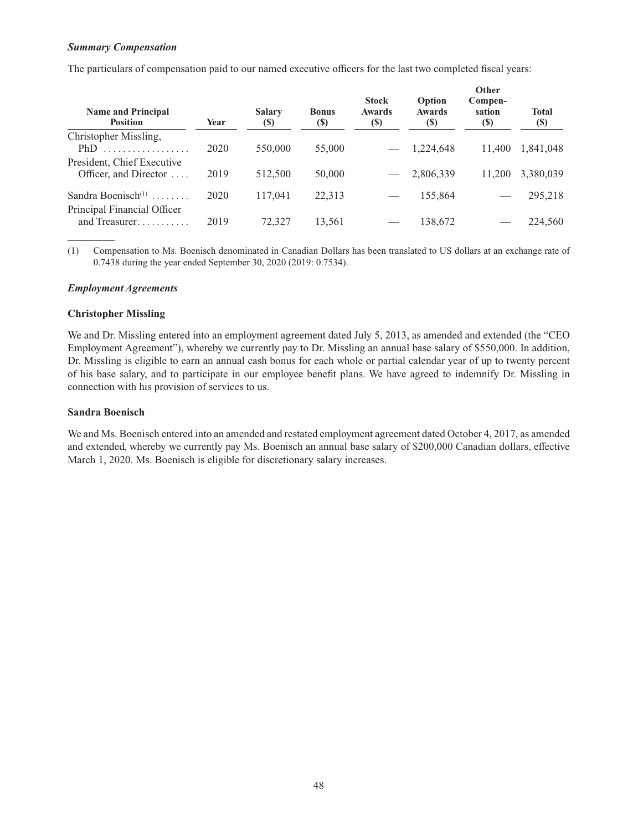#### *Summary Compensation*

The particulars of compensation paid to our named executive officers for the last two completed fiscal years:

| <b>Name and Principal</b><br><b>Position</b>                          | Year | <b>Salary</b><br><b>(S)</b> | <b>Bonus</b><br>(S) | <b>Stock</b><br><b>Awards</b><br>(S) | Option<br><b>Awards</b><br><b>(S)</b> | vuier<br>Compen-<br>sation<br><b>(S)</b> | <b>Total</b><br><b>(\$)</b> |
|-----------------------------------------------------------------------|------|-----------------------------|---------------------|--------------------------------------|---------------------------------------|------------------------------------------|-----------------------------|
| Christopher Missling,<br>PhD                                          | 2020 | 550,000                     | 55,000              |                                      | 1,224,648                             | 11.400                                   | 1,841,048                   |
| President, Chief Executive<br>Officer, and Director                   | 2019 | 512,500                     | 50,000              |                                      | 2,806,339                             | 11.200                                   | 3,380,039                   |
| Sandra Boenisch $(1)$<br>1.1.1.1.1.1.1<br>Principal Financial Officer | 2020 | 117,041                     | 22,313              |                                      | 155,864                               |                                          | 295,218                     |
| and Treasurer                                                         | 2019 | 72,327                      | 13,561              |                                      | 138,672                               |                                          | 224,560                     |

**Other** 

(1) Compensation to Ms. Boenisch denominated in Canadian Dollars has been translated to US dollars at an exchange rate of 0.7438 during the year ended September 30, 2020 (2019: 0.7534).

#### *Employment Agreements*

#### **Christopher Missling**

We and Dr. Missling entered into an employment agreement dated July 5, 2013, as amended and extended (the "CEO Employment Agreement"), whereby we currently pay to Dr. Missling an annual base salary of \$550,000. In addition, Dr. Missling is eligible to earn an annual cash bonus for each whole or partial calendar year of up to twenty percent of his base salary, and to participate in our employee benefi t plans. We have agreed to indemnify Dr. Missling in connection with his provision of services to us.

#### **Sandra Boenisch**

We and Ms. Boenisch entered into an amended and restated employment agreement dated October 4, 2017, as amended and extended, whereby we currently pay Ms. Boenisch an annual base salary of \$200,000 Canadian dollars, effective March 1, 2020. Ms. Boenisch is eligible for discretionary salary increases.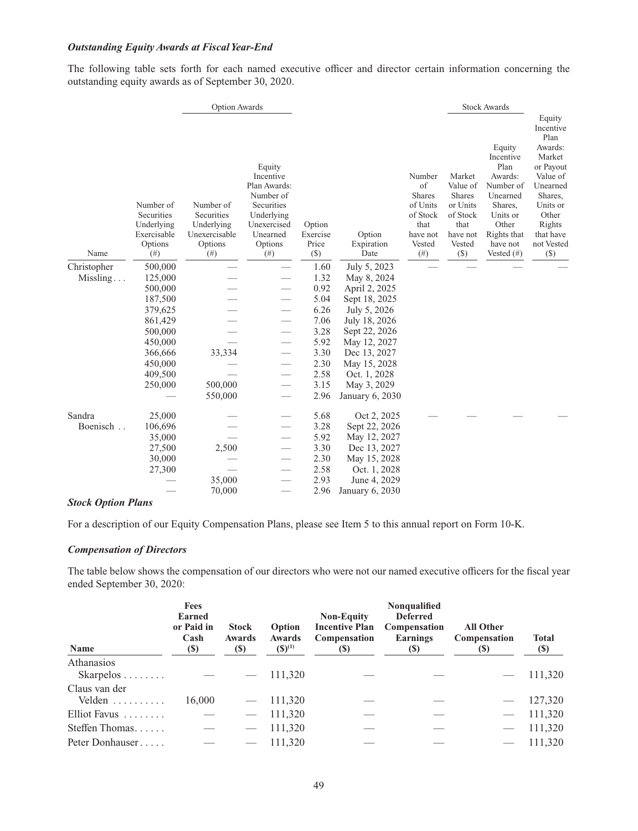#### *Outstanding Equity Awards at Fiscal Year-End*

The following table sets forth for each named executive officer and director certain information concerning the outstanding equity awards as of September 30, 2020.

|             |                                                                           |                                                                           | <b>Option Awards</b>                                                                                                         |                                       |                              |                                                                                               |                                                                                                     | <b>Stock Awards</b>                                                                                                                         |                                                                                                                                                                      |
|-------------|---------------------------------------------------------------------------|---------------------------------------------------------------------------|------------------------------------------------------------------------------------------------------------------------------|---------------------------------------|------------------------------|-----------------------------------------------------------------------------------------------|-----------------------------------------------------------------------------------------------------|---------------------------------------------------------------------------------------------------------------------------------------------|----------------------------------------------------------------------------------------------------------------------------------------------------------------------|
| Name        | Number of<br>Securities<br>Underlying<br>Exercisable<br>Options<br>$(\#)$ | Number of<br>Securities<br>Underlying<br>Unexercisable<br>Options<br>(# ) | Equity<br>Incentive<br>Plan Awards:<br>Number of<br>Securities<br>Underlying<br>Unexercised<br>Unearned<br>Options<br>$(\#)$ | Option<br>Exercise<br>Price<br>$(\$)$ | Option<br>Expiration<br>Date | Number<br>of<br><b>Shares</b><br>of Units<br>of Stock<br>that<br>have not<br>Vested<br>$(\#)$ | Market<br>Value of<br><b>Shares</b><br>or Units<br>of Stock<br>that<br>have not<br>Vested<br>$(\$)$ | Equity<br>Incentive<br>Plan<br>Awards:<br>Number of<br>Unearned<br>Shares,<br>Units or<br>Other<br>Rights that<br>have not<br>Vested $(\#)$ | Equity<br>Incentive<br>Plan<br>Awards:<br>Market<br>or Payout<br>Value of<br>Unearned<br>Shares,<br>Units or<br>Other<br>Rights<br>that have<br>not Vested<br>$(\$)$ |
| Christopher | 500,000                                                                   |                                                                           |                                                                                                                              | 1.60                                  | July 5, 2023                 |                                                                                               |                                                                                                     |                                                                                                                                             |                                                                                                                                                                      |
| Missling    | 125,000                                                                   |                                                                           |                                                                                                                              | 1.32                                  | May 8, 2024                  |                                                                                               |                                                                                                     |                                                                                                                                             |                                                                                                                                                                      |
|             | 500,000                                                                   |                                                                           |                                                                                                                              | 0.92                                  | April 2, 2025                |                                                                                               |                                                                                                     |                                                                                                                                             |                                                                                                                                                                      |
|             | 187,500                                                                   |                                                                           |                                                                                                                              | 5.04                                  | Sept 18, 2025                |                                                                                               |                                                                                                     |                                                                                                                                             |                                                                                                                                                                      |
|             | 379,625                                                                   |                                                                           |                                                                                                                              | 6.26                                  | July 5, 2026                 |                                                                                               |                                                                                                     |                                                                                                                                             |                                                                                                                                                                      |
|             | 861,429                                                                   |                                                                           |                                                                                                                              | 7.06                                  | July 18, 2026                |                                                                                               |                                                                                                     |                                                                                                                                             |                                                                                                                                                                      |
|             | 500,000                                                                   |                                                                           |                                                                                                                              | 3.28                                  | Sept 22, 2026                |                                                                                               |                                                                                                     |                                                                                                                                             |                                                                                                                                                                      |
|             | 450,000                                                                   |                                                                           |                                                                                                                              | 5.92                                  | May 12, 2027                 |                                                                                               |                                                                                                     |                                                                                                                                             |                                                                                                                                                                      |
|             | 366,666                                                                   | 33,334                                                                    |                                                                                                                              | 3.30                                  | Dec 13, 2027                 |                                                                                               |                                                                                                     |                                                                                                                                             |                                                                                                                                                                      |
|             | 450,000                                                                   |                                                                           |                                                                                                                              | 2.30                                  | May 15, 2028                 |                                                                                               |                                                                                                     |                                                                                                                                             |                                                                                                                                                                      |
|             | 409,500                                                                   |                                                                           |                                                                                                                              | 2.58                                  | Oct. 1, 2028                 |                                                                                               |                                                                                                     |                                                                                                                                             |                                                                                                                                                                      |
|             | 250,000                                                                   | 500,000                                                                   |                                                                                                                              | 3.15                                  | May 3, 2029                  |                                                                                               |                                                                                                     |                                                                                                                                             |                                                                                                                                                                      |
|             |                                                                           | 550,000                                                                   |                                                                                                                              | 2.96                                  | January 6, 2030              |                                                                                               |                                                                                                     |                                                                                                                                             |                                                                                                                                                                      |
| Sandra      | 25,000                                                                    |                                                                           |                                                                                                                              | 5.68                                  | Oct 2, 2025                  |                                                                                               |                                                                                                     |                                                                                                                                             |                                                                                                                                                                      |
| Boenisch.   | 106,696                                                                   |                                                                           |                                                                                                                              | 3.28                                  | Sept 22, 2026                |                                                                                               |                                                                                                     |                                                                                                                                             |                                                                                                                                                                      |
|             | 35,000                                                                    |                                                                           |                                                                                                                              | 5.92                                  | May 12, 2027                 |                                                                                               |                                                                                                     |                                                                                                                                             |                                                                                                                                                                      |
|             | 27,500                                                                    | 2,500                                                                     |                                                                                                                              | 3.30                                  | Dec 13, 2027                 |                                                                                               |                                                                                                     |                                                                                                                                             |                                                                                                                                                                      |
|             | 30,000                                                                    |                                                                           |                                                                                                                              | 2.30                                  | May 15, 2028                 |                                                                                               |                                                                                                     |                                                                                                                                             |                                                                                                                                                                      |
|             | 27,300                                                                    |                                                                           |                                                                                                                              | 2.58                                  | Oct. 1, 2028                 |                                                                                               |                                                                                                     |                                                                                                                                             |                                                                                                                                                                      |
|             |                                                                           | 35,000                                                                    |                                                                                                                              | 2.93                                  | June 4, 2029                 |                                                                                               |                                                                                                     |                                                                                                                                             |                                                                                                                                                                      |
|             |                                                                           | 70,000                                                                    |                                                                                                                              | 2.96                                  | January 6, 2030              |                                                                                               |                                                                                                     |                                                                                                                                             |                                                                                                                                                                      |

#### *Stock Option Plans*

For a description of our Equity Compensation Plans, please see Item 5 to this annual report on Form 10-K.

#### *Compensation of Directors*

The table below shows the compensation of our directors who were not our named executive officers for the fiscal year ended September 30, 2020:

| Name                                      | <b>Fees</b><br><b>Earned</b><br>or Paid in<br>Cash<br>(S) | <b>Stock</b><br>Awards<br><b>(\$)</b> | Option<br>Awards<br>$(S)^{(1)}$ | <b>Non-Equity</b><br><b>Incentive Plan</b><br>Compensation<br>(S) | <b>Nonqualified</b><br><b>Deferred</b><br>Compensation<br><b>Earnings</b><br>(S) | <b>All Other</b><br>Compensation<br>$\left( \mathbb{S}\right)$ | <b>Total</b><br>$\left( \mathbb{S}\right)$ |
|-------------------------------------------|-----------------------------------------------------------|---------------------------------------|---------------------------------|-------------------------------------------------------------------|----------------------------------------------------------------------------------|----------------------------------------------------------------|--------------------------------------------|
| Athanasios<br>$Skarpelos \ldots \ldots$   |                                                           |                                       | 111,320                         |                                                                   |                                                                                  |                                                                | 111,320                                    |
| Claus van der<br>Velden $\dots\dots\dots$ | 16,000                                                    |                                       | $-111,320$                      |                                                                   |                                                                                  |                                                                | 127,320                                    |
| Elliot Favus                              |                                                           |                                       | 111,320                         |                                                                   |                                                                                  |                                                                | 111,320                                    |
| Steffen Thomas                            |                                                           |                                       | 111,320                         |                                                                   |                                                                                  |                                                                | 111,320                                    |
| Peter Donhauser                           |                                                           |                                       | 111,320                         |                                                                   |                                                                                  |                                                                | 111.320                                    |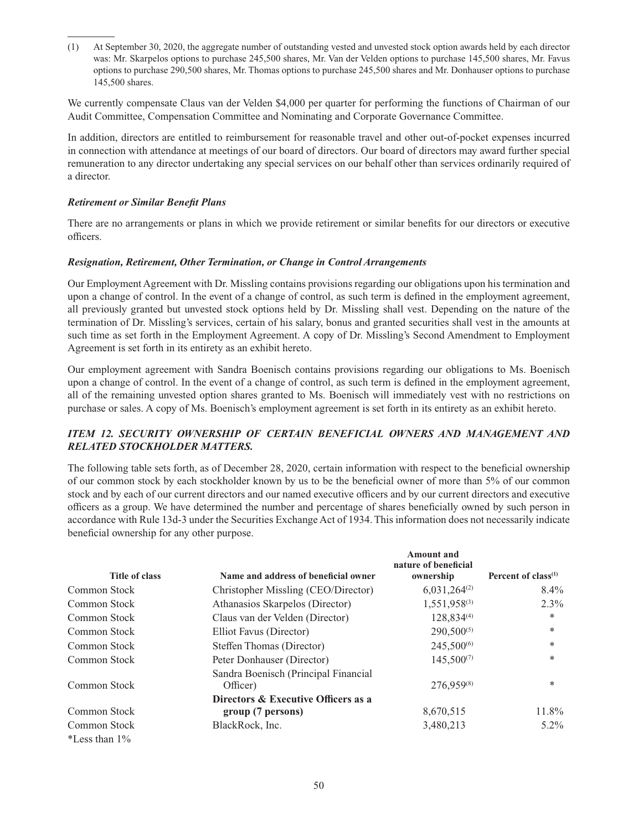(1) At September 30, 2020, the aggregate number of outstanding vested and unvested stock option awards held by each director was: Mr. Skarpelos options to purchase 245,500 shares, Mr. Van der Velden options to purchase 145,500 shares, Mr. Favus options to purchase 290,500 shares, Mr. Thomas options to purchase 245,500 shares and Mr. Donhauser options to purchase 145,500 shares.

We currently compensate Claus van der Velden \$4,000 per quarter for performing the functions of Chairman of our Audit Committee, Compensation Committee and Nominating and Corporate Governance Committee.

In addition, directors are entitled to reimbursement for reasonable travel and other out-of-pocket expenses incurred in connection with attendance at meetings of our board of directors. Our board of directors may award further special remuneration to any director undertaking any special services on our behalf other than services ordinarily required of a director.

#### *Retirement or Similar Benefi t Plans*

There are no arrangements or plans in which we provide retirement or similar benefits for our directors or executive officers.

#### *Resignation, Retirement, Other Termination, or Change in Control Arrangements*

Our Employment Agreement with Dr. Missling contains provisions regarding our obligations upon his termination and upon a change of control. In the event of a change of control, as such term is defined in the employment agreement, all previously granted but unvested stock options held by Dr. Missling shall vest. Depending on the nature of the termination of Dr. Missling's services, certain of his salary, bonus and granted securities shall vest in the amounts at such time as set forth in the Employment Agreement. A copy of Dr. Missling's Second Amendment to Employment Agreement is set forth in its entirety as an exhibit hereto.

Our employment agreement with Sandra Boenisch contains provisions regarding our obligations to Ms. Boenisch upon a change of control. In the event of a change of control, as such term is defined in the employment agreement, all of the remaining unvested option shares granted to Ms. Boenisch will immediately vest with no restrictions on purchase or sales. A copy of Ms. Boenisch's employment agreement is set forth in its entirety as an exhibit hereto.

## *ITEM 12. SECURITY OWNERSHIP OF CERTAIN BENEFICIAL OWNERS AND MANAGEMENT AND RELATED STOCKHOLDER MATTERS.*

The following table sets forth, as of December 28, 2020, certain information with respect to the beneficial ownership of our common stock by each stockholder known by us to be the beneficial owner of more than 5% of our common stock and by each of our current directors and our named executive officers and by our current directors and executive officers as a group. We have determined the number and percentage of shares beneficially owned by such person in accordance with Rule 13d-3 under the Securities Exchange Act of 1934. This information does not necessarily indicate beneficial ownership for any other purpose.

| Title of class      | Name and address of beneficial owner                     | Amount and<br>nature of beneficial<br>ownership | Percent of class <sup><math>(1)</math></sup> |
|---------------------|----------------------------------------------------------|-------------------------------------------------|----------------------------------------------|
| Common Stock        | Christopher Missling (CEO/Director)                      | $6,031,264^{(2)}$                               | $8.4\%$                                      |
| Common Stock        | Athanasios Skarpelos (Director)                          | 1,551,958(3)                                    | $2.3\%$                                      |
| Common Stock        | Claus van der Velden (Director)                          | 128,834(4)                                      | *                                            |
| Common Stock        | Elliot Favus (Director)                                  | $290,500^{(5)}$                                 | $*$                                          |
| Common Stock        | Steffen Thomas (Director)                                | 245,500 <sup>(6)</sup>                          | *                                            |
| Common Stock        | Peter Donhauser (Director)                               | $145,500^{(7)}$                                 | $\ast$                                       |
| Common Stock        | Sandra Boenisch (Principal Financial<br>Officer)         | 276,959(8)                                      | $\ast$                                       |
| Common Stock        | Directors & Executive Officers as a<br>group (7 persons) | 8,670,515                                       | 11.8%                                        |
| Common Stock        | BlackRock, Inc.                                          | 3,480,213                                       | $5.2\%$                                      |
| $*$ Less than $1\%$ |                                                          |                                                 |                                              |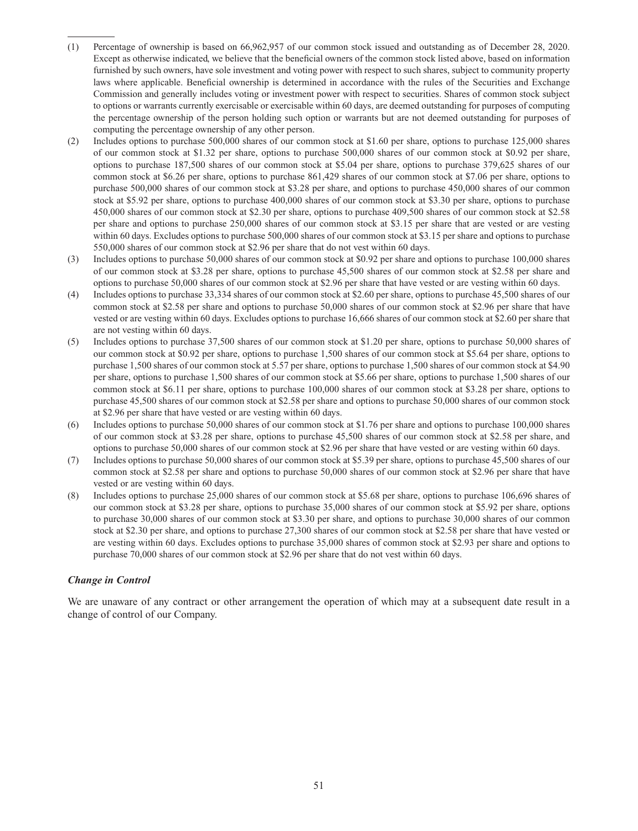- (1) Percentage of ownership is based on 66,962,957 of our common stock issued and outstanding as of December 28, 2020. Except as otherwise indicated, we believe that the beneficial owners of the common stock listed above, based on information furnished by such owners, have sole investment and voting power with respect to such shares, subject to community property laws where applicable. Beneficial ownership is determined in accordance with the rules of the Securities and Exchange Commission and generally includes voting or investment power with respect to securities. Shares of common stock subject to options or warrants currently exercisable or exercisable within 60 days, are deemed outstanding for purposes of computing the percentage ownership of the person holding such option or warrants but are not deemed outstanding for purposes of computing the percentage ownership of any other person.
- (2) Includes options to purchase 500,000 shares of our common stock at \$1.60 per share, options to purchase 125,000 shares of our common stock at \$1.32 per share, options to purchase 500,000 shares of our common stock at \$0.92 per share, options to purchase 187,500 shares of our common stock at \$5.04 per share, options to purchase 379,625 shares of our common stock at \$6.26 per share, options to purchase 861,429 shares of our common stock at \$7.06 per share, options to purchase 500,000 shares of our common stock at \$3.28 per share, and options to purchase 450,000 shares of our common stock at \$5.92 per share, options to purchase 400,000 shares of our common stock at \$3.30 per share, options to purchase 450,000 shares of our common stock at \$2.30 per share, options to purchase 409,500 shares of our common stock at \$2.58 per share and options to purchase 250,000 shares of our common stock at \$3.15 per share that are vested or are vesting within 60 days. Excludes options to purchase 500,000 shares of our common stock at \$3.15 per share and options to purchase 550,000 shares of our common stock at \$2.96 per share that do not vest within 60 days.
- (3) Includes options to purchase 50,000 shares of our common stock at \$0.92 per share and options to purchase 100,000 shares of our common stock at \$3.28 per share, options to purchase 45,500 shares of our common stock at \$2.58 per share and options to purchase 50,000 shares of our common stock at \$2.96 per share that have vested or are vesting within 60 days.
- (4) Includes options to purchase 33,334 shares of our common stock at \$2.60 per share, options to purchase 45,500 shares of our common stock at \$2.58 per share and options to purchase 50,000 shares of our common stock at \$2.96 per share that have vested or are vesting within 60 days. Excludes options to purchase 16,666 shares of our common stock at \$2.60 per share that are not vesting within 60 days.
- (5) Includes options to purchase 37,500 shares of our common stock at \$1.20 per share, options to purchase 50,000 shares of our common stock at \$0.92 per share, options to purchase 1,500 shares of our common stock at \$5.64 per share, options to purchase 1,500 shares of our common stock at 5.57 per share, options to purchase 1,500 shares of our common stock at \$4.90 per share, options to purchase 1,500 shares of our common stock at \$5.66 per share, options to purchase 1,500 shares of our common stock at \$6.11 per share, options to purchase 100,000 shares of our common stock at \$3.28 per share, options to purchase 45,500 shares of our common stock at \$2.58 per share and options to purchase 50,000 shares of our common stock at \$2.96 per share that have vested or are vesting within 60 days.
- (6) Includes options to purchase 50,000 shares of our common stock at \$1.76 per share and options to purchase 100,000 shares of our common stock at \$3.28 per share, options to purchase 45,500 shares of our common stock at \$2.58 per share, and options to purchase 50,000 shares of our common stock at \$2.96 per share that have vested or are vesting within 60 days.
- (7) Includes options to purchase 50,000 shares of our common stock at \$5.39 per share, options to purchase 45,500 shares of our common stock at \$2.58 per share and options to purchase 50,000 shares of our common stock at \$2.96 per share that have vested or are vesting within 60 days.
- (8) Includes options to purchase 25,000 shares of our common stock at \$5.68 per share, options to purchase 106,696 shares of our common stock at \$3.28 per share, options to purchase 35,000 shares of our common stock at \$5.92 per share, options to purchase 30,000 shares of our common stock at \$3.30 per share, and options to purchase 30,000 shares of our common stock at \$2.30 per share, and options to purchase 27,300 shares of our common stock at \$2.58 per share that have vested or are vesting within 60 days. Excludes options to purchase 35,000 shares of common stock at \$2.93 per share and options to purchase 70,000 shares of our common stock at \$2.96 per share that do not vest within 60 days.

#### *Change in Control*

We are unaware of any contract or other arrangement the operation of which may at a subsequent date result in a change of control of our Company.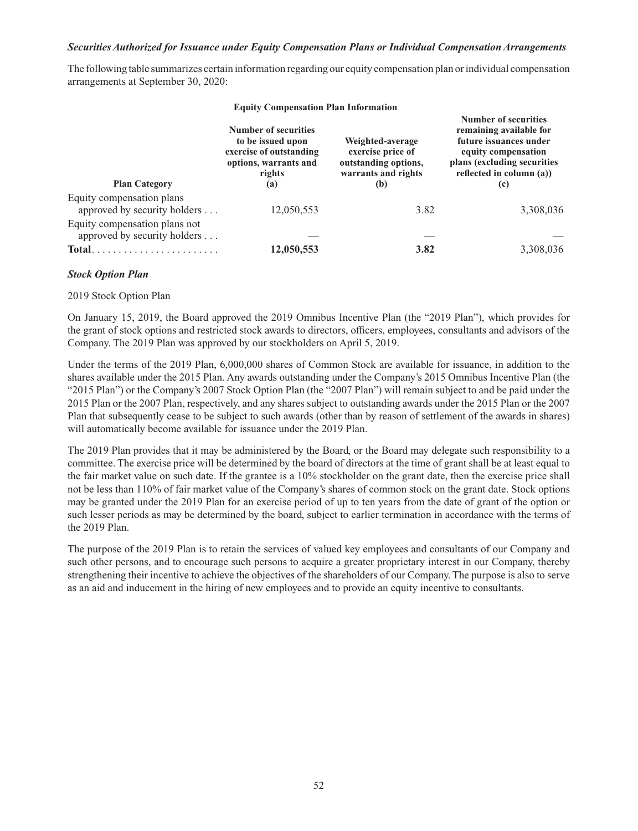#### *Securities Authorized for Issuance under Equity Compensation Plans or Individual Compensation Arrangements*

The following table summarizes certain information regarding our equity compensation plan or individual compensation arrangements at September 30, 2020:

| <b>Equity Compensation Plan Information</b>                                                                                |                                                                                                                |                                                                                             |                                                                                                                                                                     |  |  |
|----------------------------------------------------------------------------------------------------------------------------|----------------------------------------------------------------------------------------------------------------|---------------------------------------------------------------------------------------------|---------------------------------------------------------------------------------------------------------------------------------------------------------------------|--|--|
| <b>Plan Category</b>                                                                                                       | Number of securities<br>to be issued upon<br>exercise of outstanding<br>options, warrants and<br>rights<br>(a) | Weighted-average<br>exercise price of<br>outstanding options,<br>warrants and rights<br>(b) | Number of securities<br>remaining available for<br>future issuances under<br>equity compensation<br>plans (excluding securities)<br>reflected in column (a))<br>(c) |  |  |
| Equity compensation plans<br>approved by security holders                                                                  | 12,050,553                                                                                                     | 3.82                                                                                        | 3,308,036                                                                                                                                                           |  |  |
| Equity compensation plans not<br>approved by security holders<br>$Total. \ldots \ldots \ldots \ldots \ldots \ldots \ldots$ | 12,050,553                                                                                                     | 3.82                                                                                        | 3,308,036                                                                                                                                                           |  |  |
|                                                                                                                            |                                                                                                                |                                                                                             |                                                                                                                                                                     |  |  |

#### *Stock Option Plan*

#### 2019 Stock Option Plan

On January 15, 2019, the Board approved the 2019 Omnibus Incentive Plan (the "2019 Plan"), which provides for the grant of stock options and restricted stock awards to directors, officers, employees, consultants and advisors of the Company. The 2019 Plan was approved by our stockholders on April 5, 2019.

Under the terms of the 2019 Plan, 6,000,000 shares of Common Stock are available for issuance, in addition to the shares available under the 2015 Plan. Any awards outstanding under the Company's 2015 Omnibus Incentive Plan (the "2015 Plan") or the Company's 2007 Stock Option Plan (the "2007 Plan") will remain subject to and be paid under the 2015 Plan or the 2007 Plan, respectively, and any shares subject to outstanding awards under the 2015 Plan or the 2007 Plan that subsequently cease to be subject to such awards (other than by reason of settlement of the awards in shares) will automatically become available for issuance under the 2019 Plan.

The 2019 Plan provides that it may be administered by the Board, or the Board may delegate such responsibility to a committee. The exercise price will be determined by the board of directors at the time of grant shall be at least equal to the fair market value on such date. If the grantee is a 10% stockholder on the grant date, then the exercise price shall not be less than 110% of fair market value of the Company's shares of common stock on the grant date. Stock options may be granted under the 2019 Plan for an exercise period of up to ten years from the date of grant of the option or such lesser periods as may be determined by the board, subject to earlier termination in accordance with the terms of the 2019 Plan.

The purpose of the 2019 Plan is to retain the services of valued key employees and consultants of our Company and such other persons, and to encourage such persons to acquire a greater proprietary interest in our Company, thereby strengthening their incentive to achieve the objectives of the shareholders of our Company. The purpose is also to serve as an aid and inducement in the hiring of new employees and to provide an equity incentive to consultants.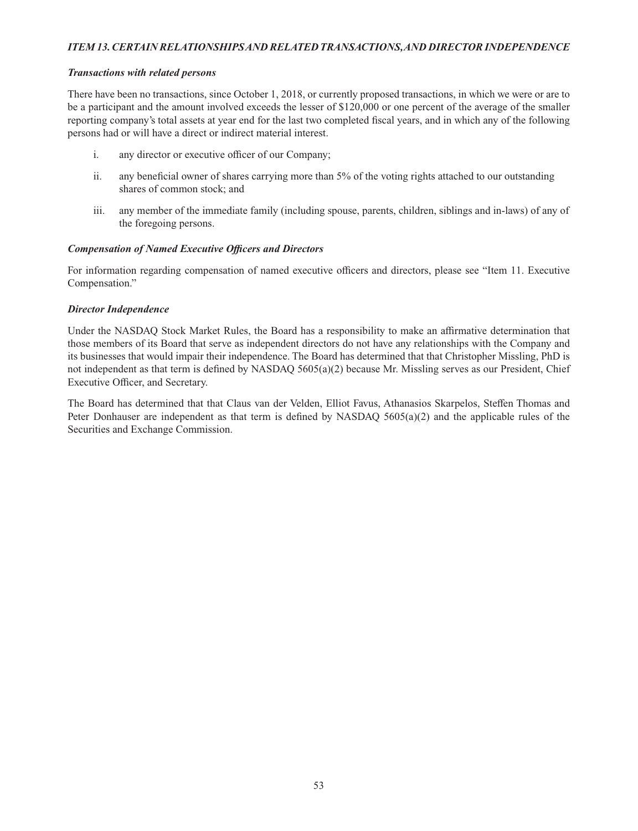## *ITEM 13. CERTAIN RELATIONSHIPS AND RELATED TRANSACTIONS, AND DIRECTOR INDEPENDENCE*

#### *Transactions with related persons*

There have been no transactions, since October 1, 2018, or currently proposed transactions, in which we were or are to be a participant and the amount involved exceeds the lesser of \$120,000 or one percent of the average of the smaller reporting company's total assets at year end for the last two completed fiscal years, and in which any of the following persons had or will have a direct or indirect material interest.

- i. any director or executive officer of our Company;
- ii. any beneficial owner of shares carrying more than 5% of the voting rights attached to our outstanding shares of common stock; and
- iii. any member of the immediate family (including spouse, parents, children, siblings and in-laws) of any of the foregoing persons.

## **Compensation of Named Executive Officers and Directors**

For information regarding compensation of named executive officers and directors, please see "Item 11. Executive Compensation."

## *Director Independence*

Under the NASDAQ Stock Market Rules, the Board has a responsibility to make an affirmative determination that those members of its Board that serve as independent directors do not have any relationships with the Company and its businesses that would impair their independence. The Board has determined that that Christopher Missling, PhD is not independent as that term is defined by NASDAQ 5605(a)(2) because Mr. Missling serves as our President, Chief Executive Officer, and Secretary.

The Board has determined that that Claus van der Velden, Elliot Favus, Athanasios Skarpelos, Steffen Thomas and Peter Donhauser are independent as that term is defined by NASDAQ  $5605(a)(2)$  and the applicable rules of the Securities and Exchange Commission.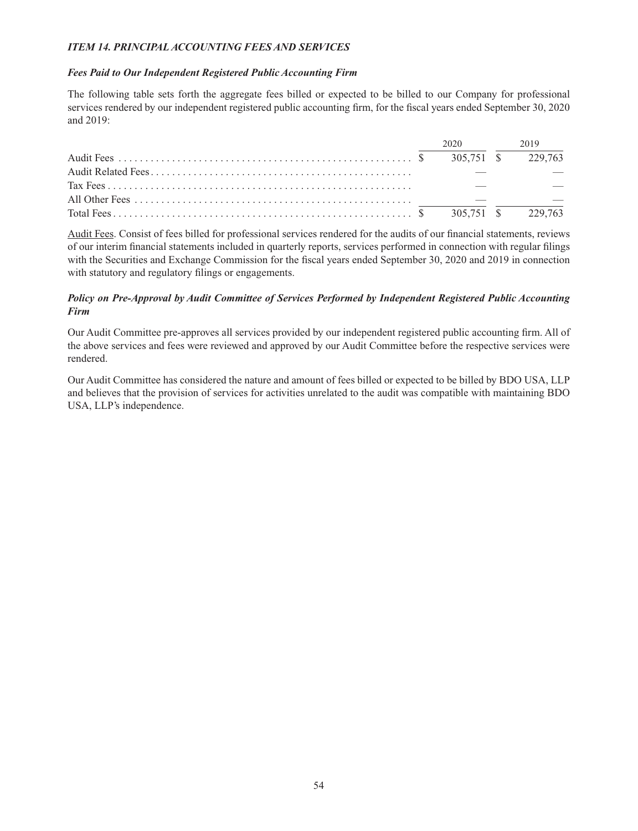## *ITEM 14. PRINCIPAL ACCOUNTING FEES AND SERVICES*

## *Fees Paid to Our Independent Registered Public Accounting Firm*

The following table sets forth the aggregate fees billed or expected to be billed to our Company for professional services rendered by our independent registered public accounting firm, for the fiscal years ended September 30, 2020 and 2019:

|  | 2020 | 2019 |
|--|------|------|
|  |      |      |
|  |      |      |
|  |      |      |
|  |      |      |
|  |      |      |

Audit Fees. Consist of fees billed for professional services rendered for the audits of our financial statements, reviews of our interim financial statements included in quarterly reports, services performed in connection with regular filings with the Securities and Exchange Commission for the fiscal years ended September 30, 2020 and 2019 in connection with statutory and regulatory filings or engagements.

## *Policy on Pre-Approval by Audit Committee of Services Performed by Independent Registered Public Accounting Firm*

Our Audit Committee pre-approves all services provided by our independent registered public accounting firm. All of the above services and fees were reviewed and approved by our Audit Committee before the respective services were rendered.

Our Audit Committee has considered the nature and amount of fees billed or expected to be billed by BDO USA, LLP and believes that the provision of services for activities unrelated to the audit was compatible with maintaining BDO USA, LLP's independence.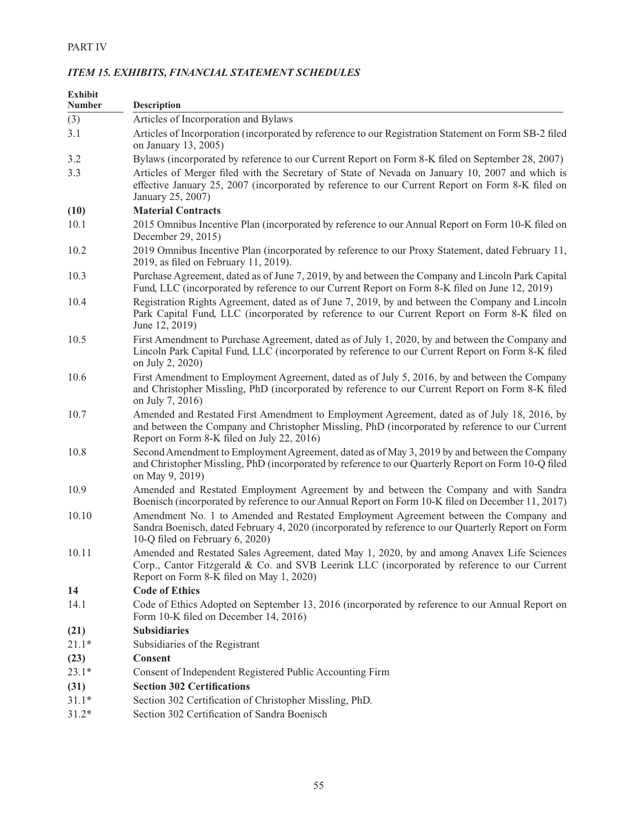| <b>Exhibit</b><br><b>Number</b> | <b>Description</b>                                                                                                                                                                                                                           |
|---------------------------------|----------------------------------------------------------------------------------------------------------------------------------------------------------------------------------------------------------------------------------------------|
| (3)                             | Articles of Incorporation and Bylaws                                                                                                                                                                                                         |
| 3.1                             | Articles of Incorporation (incorporated by reference to our Registration Statement on Form SB-2 filed<br>on January 13, 2005)                                                                                                                |
| 3.2                             | Bylaws (incorporated by reference to our Current Report on Form 8-K filed on September 28, 2007)                                                                                                                                             |
| 3.3                             | Articles of Merger filed with the Secretary of State of Nevada on January 10, 2007 and which is<br>effective January 25, 2007 (incorporated by reference to our Current Report on Form 8-K filed on<br>January 25, 2007)                     |
| (10)                            | <b>Material Contracts</b>                                                                                                                                                                                                                    |
| 10.1                            | 2015 Omnibus Incentive Plan (incorporated by reference to our Annual Report on Form 10-K filed on<br>December 29, 2015)                                                                                                                      |
| 10.2                            | 2019 Omnibus Incentive Plan (incorporated by reference to our Proxy Statement, dated February 11,<br>2019, as filed on February 11, 2019).                                                                                                   |
| 10.3                            | Purchase Agreement, dated as of June 7, 2019, by and between the Company and Lincoln Park Capital<br>Fund, LLC (incorporated by reference to our Current Report on Form 8-K filed on June 12, 2019)                                          |
| 10.4                            | Registration Rights Agreement, dated as of June 7, 2019, by and between the Company and Lincoln<br>Park Capital Fund, LLC (incorporated by reference to our Current Report on Form 8-K filed on<br>June 12, 2019)                            |
| 10.5                            | First Amendment to Purchase Agreement, dated as of July 1, 2020, by and between the Company and<br>Lincoln Park Capital Fund, LLC (incorporated by reference to our Current Report on Form 8-K filed<br>on July 2, 2020)                     |
| 10.6                            | First Amendment to Employment Agreement, dated as of July 5, 2016, by and between the Company<br>and Christopher Missling, PhD (incorporated by reference to our Current Report on Form 8-K filed<br>on July 7, 2016)                        |
| 10.7                            | Amended and Restated First Amendment to Employment Agreement, dated as of July 18, 2016, by<br>and between the Company and Christopher Missling, PhD (incorporated by reference to our Current<br>Report on Form 8-K filed on July 22, 2016) |
| 10.8                            | Second Amendment to Employment Agreement, dated as of May 3, 2019 by and between the Company<br>and Christopher Missling, PhD (incorporated by reference to our Quarterly Report on Form 10-Q filed<br>on May 9, 2019)                       |
| 10.9                            | Amended and Restated Employment Agreement by and between the Company and with Sandra<br>Boenisch (incorporated by reference to our Annual Report on Form 10-K filed on December 11, 2017)                                                    |
| 10.10                           | Amendment No. 1 to Amended and Restated Employment Agreement between the Company and<br>Sandra Boenisch, dated February 4, 2020 (incorporated by reference to our Quarterly Report on Form<br>10-Q filed on February 6, 2020)                |
| 10.11                           | Amended and Restated Sales Agreement, dated May 1, 2020, by and among Anavex Life Sciences<br>Corp., Cantor Fitzgerald & Co. and SVB Leerink LLC (incorporated by reference to our Current<br>Report on Form 8-K filed on May 1, 2020)       |
| 14                              | <b>Code of Ethics</b>                                                                                                                                                                                                                        |
| 14.1                            | Code of Ethics Adopted on September 13, 2016 (incorporated by reference to our Annual Report on<br>Form 10-K filed on December 14, 2016)                                                                                                     |
| (21)                            | <b>Subsidiaries</b>                                                                                                                                                                                                                          |
| $21.1*$                         | Subsidiaries of the Registrant                                                                                                                                                                                                               |
| (23)                            | Consent                                                                                                                                                                                                                                      |
| $23.1*$                         | Consent of Independent Registered Public Accounting Firm                                                                                                                                                                                     |
| (31)                            | <b>Section 302 Certifications</b>                                                                                                                                                                                                            |
| $31.1*$                         | Section 302 Certification of Christopher Missling, PhD.                                                                                                                                                                                      |
| $31.2*$                         | Section 302 Certification of Sandra Boenisch                                                                                                                                                                                                 |

## *ITEM 15. EXHIBITS, FINANCIAL STATEMENT SCHEDULES*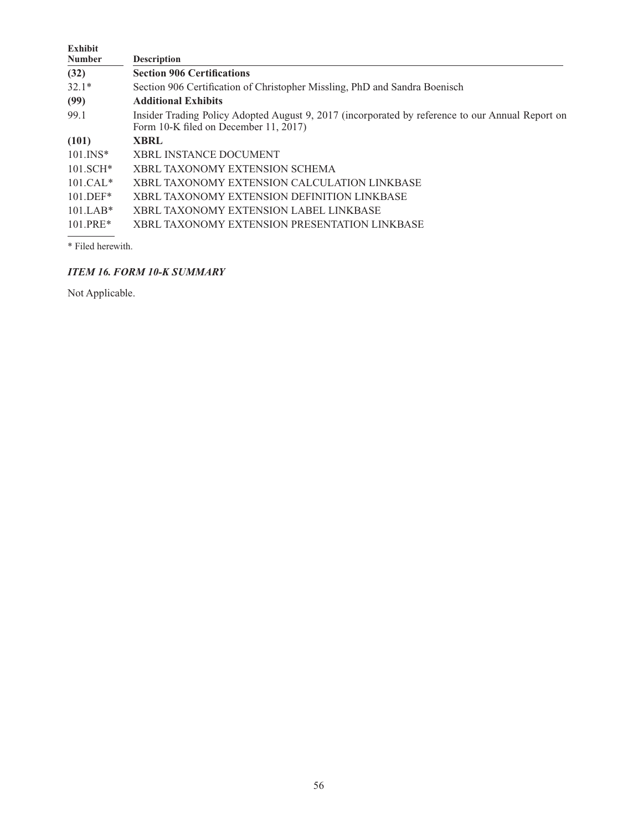| Exhibit       |                                                                                                                                           |
|---------------|-------------------------------------------------------------------------------------------------------------------------------------------|
| <b>Number</b> | <b>Description</b>                                                                                                                        |
| (32)          | <b>Section 906 Certifications</b>                                                                                                         |
| $32.1*$       | Section 906 Certification of Christopher Missling, PhD and Sandra Boenisch                                                                |
| (99)          | <b>Additional Exhibits</b>                                                                                                                |
| 99.1          | Insider Trading Policy Adopted August 9, 2017 (incorporated by reference to our Annual Report on<br>Form 10-K filed on December 11, 2017) |
| (101)         | <b>XBRL</b>                                                                                                                               |
| $101.$ $N^*$  | <b>XBRL INSTANCE DOCUMENT</b>                                                                                                             |
| $101.SCH*$    | XBRL TAXONOMY EXTENSION SCHEMA                                                                                                            |
| $101.CAL*$    | XBRL TAXONOMY EXTENSION CALCULATION LINKBASE                                                                                              |
| $101.$ DEF*   | XBRL TAXONOMY EXTENSION DEFINITION LINKBASE                                                                                               |
| $101.LAB*$    | XBRL TAXONOMY EXTENSION LABEL LINKBASE                                                                                                    |
| $101.PRE*$    | XBRL TAXONOMY EXTENSION PRESENTATION LINKBASE                                                                                             |

\* Filed herewith.

# *ITEM 16. FORM 10-K SUMMARY*

Not Applicable.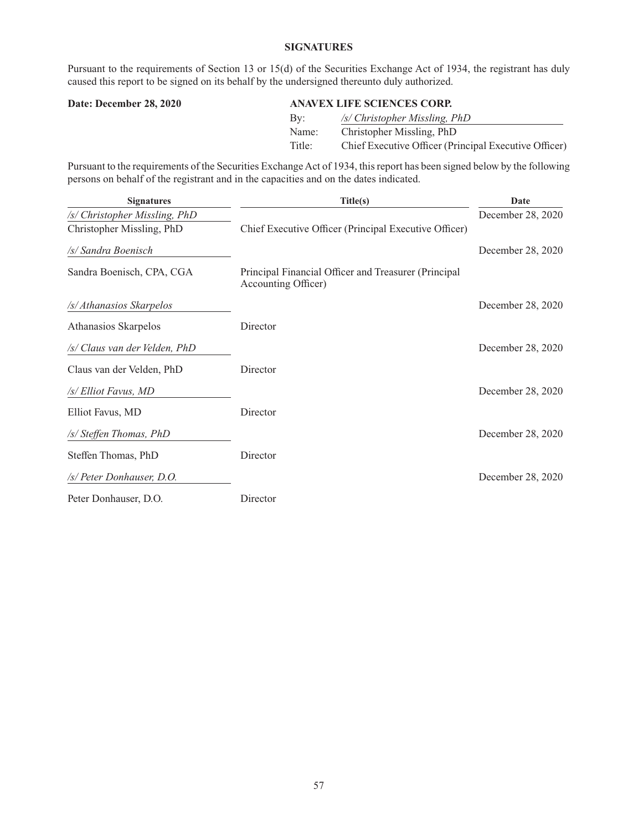## **SIGNATURES**

Pursuant to the requirements of Section 13 or 15(d) of the Securities Exchange Act of 1934, the registrant has duly caused this report to be signed on its behalf by the undersigned thereunto duly authorized.

## **Date: December 28, 2020 ANAVEX LIFE SCIENCES CORP.**

| Bv:    | /s/ Christopher Missling, PhD                         |
|--------|-------------------------------------------------------|
| Name:  | Christopher Missling, PhD                             |
| Title: | Chief Executive Officer (Principal Executive Officer) |

Pursuant to the requirements of the Securities Exchange Act of 1934, this report has been signed below by the following persons on behalf of the registrant and in the capacities and on the dates indicated.

| <b>Signatures</b>             | Title(s)                                                                    | Date              |
|-------------------------------|-----------------------------------------------------------------------------|-------------------|
| /s/ Christopher Missling, PhD |                                                                             | December 28, 2020 |
| Christopher Missling, PhD     | Chief Executive Officer (Principal Executive Officer)                       |                   |
| /s/ Sandra Boenisch           |                                                                             | December 28, 2020 |
| Sandra Boenisch, CPA, CGA     | Principal Financial Officer and Treasurer (Principal<br>Accounting Officer) |                   |
| /s/ Athanasios Skarpelos      |                                                                             | December 28, 2020 |
| Athanasios Skarpelos          | Director                                                                    |                   |
| /s/ Claus van der Velden, PhD |                                                                             | December 28, 2020 |
| Claus van der Velden, PhD     | Director                                                                    |                   |
| /s/ Elliot Favus, MD          |                                                                             | December 28, 2020 |
| Elliot Favus, MD              | Director                                                                    |                   |
| /s/ Steffen Thomas, PhD       |                                                                             | December 28, 2020 |
| Steffen Thomas, PhD           | Director                                                                    |                   |
| /s/ Peter Donhauser, D.O.     |                                                                             | December 28, 2020 |
| Peter Donhauser, D.O.         | Director                                                                    |                   |